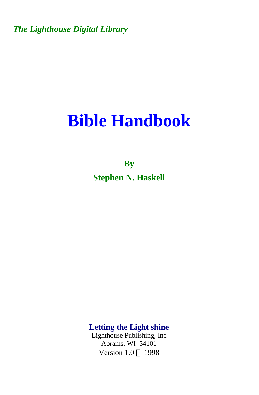*The Lighthouse Digital Library* 

# **Bible Handbook**

**By Stephen N. Haskell** 

**Letting the Light shine** 

Lighthouse Publishing, Inc Abrams, WI 54101 Version  $1.0 \odot 1998$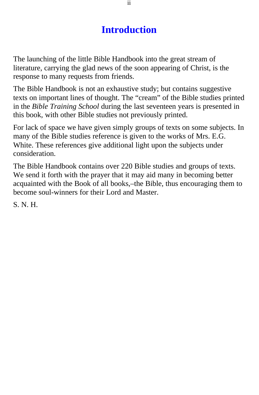### **Introduction**

The launching of the little Bible Handbook into the great stream of literature, carrying the glad news of the soon appearing of Christ, is the response to many requests from friends.

The Bible Handbook is not an exhaustive study; but contains suggestive texts on important lines of thought. The "cream" of the Bible studies printed in the *Bible Training School* during the last seventeen years is presented in this book, with other Bible studies not previously printed.

For lack of space we have given simply groups of texts on some subjects. In many of the Bible studies reference is given to the works of Mrs. E.G. White. These references give additional light upon the subjects under consideration.

The Bible Handbook contains over 220 Bible studies and groups of texts. We send it forth with the prayer that it may aid many in becoming better acquainted with the Book of all books,–the Bible, thus encouraging them to become soul-winners for their Lord and Master.

S. N. H.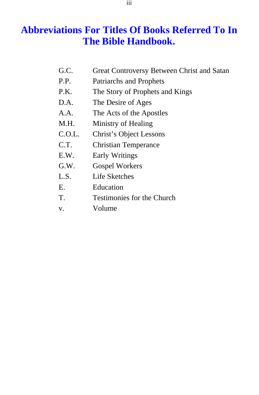### **Abbreviations For Titles Of Books Referred To In The Bible Handbook.**

- G.C. Great Controversy Between Christ and Satan
- P.P. Patriarchs and Prophets
- P.K. The Story of Prophets and Kings
- D.A. The Desire of Ages
- A.A. The Acts of the Apostles
- M.H. Ministry of Healing
- C.O.L. Christ's Object Lessons
- C.T. Christian Temperance
- E.W. Early Writings
- G.W. Gospel Workers
- L.S. Life Sketches
- E. Education
- T. Testimonies for the Church
- v. Volume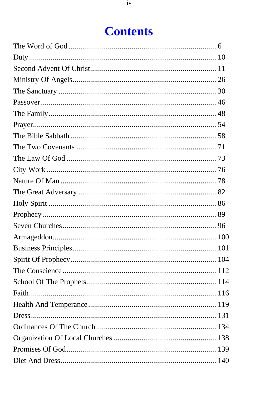## **Contents**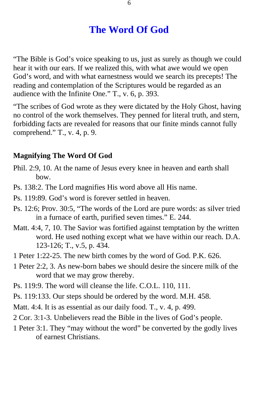### **The Word Of God**

<span id="page-5-0"></span>"The Bible is God's voice speaking to us, just as surely as though we could hear it with our ears. If we realized this, with what awe would we open God's word, and with what earnestness would we search its precepts! The reading and contemplation of the Scriptures would be regarded as an audience with the Infinite One." T., v. 6, p. 393.

"The scribes of God wrote as they were dictated by the Holy Ghost, having no control of the work themselves. They penned for literal truth, and stern, forbidding facts are revealed for reasons that our finite minds cannot fully comprehend." T., v. 4, p. 9.

#### **Magnifying The Word Of God**

- Phil. 2:9, 10. At the name of Jesus every knee in heaven and earth shall bow.
- Ps. 138:2. The Lord magnifies His word above all His name.
- Ps. 119:89. God's word is forever settled in heaven.
- Ps. 12:6; Prov. 30:5, "The words of the Lord are pure words: as silver tried in a furnace of earth, purified seven times." E. 244.
- Matt. 4:4, 7, 10. The Savior was fortified against temptation by the written word. He used nothing except what we have within our reach. D.A. 123-126; T., v.5, p. 434.
- 1 Peter 1:22-25. The new birth comes by the word of God. P.K. 626.
- 1 Peter 2:2, 3. As new-born babes we should desire the sincere milk of the word that we may grow thereby.
- Ps. 119:9. The word will cleanse the life. C.O.L. 110, 111.
- Ps. 119:133. Our steps should be ordered by the word. M.H. 458.
- Matt. 4:4. It is as essential as our daily food. T., v. 4, p. 499.
- 2 Cor. 3:1-3. Unbelievers read the Bible in the lives of God's people.
- 1 Peter 3:1. They "may without the word" be converted by the godly lives of earnest Christians.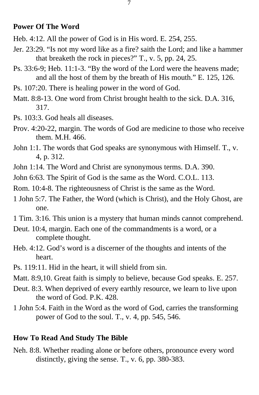#### **Power Of The Word**

Heb. 4:12. All the power of God is in His word. E. 254, 255.

- Jer. 23:29. "Is not my word like as a fire? saith the Lord; and like a hammer that breaketh the rock in pieces?" T., v. 5, pp. 24, 25.
- Ps. 33:6-9; Heb. 11:1-3. "By the word of the Lord were the heavens made; and all the host of them by the breath of His mouth." E. 125, 126.
- Ps. 107:20. There is healing power in the word of God.
- Matt. 8:8-13. One word from Christ brought health to the sick. D.A. 316, 317.
- Ps. 103:3. God heals all diseases.
- Prov. 4:20-22, margin. The words of God are medicine to those who receive them. M.H. 466.
- John 1:1. The words that God speaks are synonymous with Himself. T., v. 4, p. 312.
- John 1:14. The Word and Christ are synonymous terms. D.A. 390.
- John 6:63. The Spirit of God is the same as the Word. C.O.L. 113.

Rom. 10:4-8. The righteousness of Christ is the same as the Word.

- 1 John 5:7. The Father, the Word (which is Christ), and the Holy Ghost, are one.
- 1 Tim. 3:16. This union is a mystery that human minds cannot comprehend.
- Deut. 10:4, margin. Each one of the commandments is a word, or a complete thought.
- Heb. 4:12. God's word is a discerner of the thoughts and intents of the heart.
- Ps. 119:11. Hid in the heart, it will shield from sin.
- Matt. 8:9,10. Great faith is simply to believe, because God speaks. E. 257.
- Deut. 8:3. When deprived of every earthly resource, we learn to live upon the word of God. P.K. 428.
- 1 John 5:4. Faith in the Word as the word of God, carries the transforming power of God to the soul. T., v. 4, pp. 545, 546.

#### **How To Read And Study The Bible**

Neh. 8:8. Whether reading alone or before others, pronounce every word distinctly, giving the sense. T., v. 6, pp. 380-383.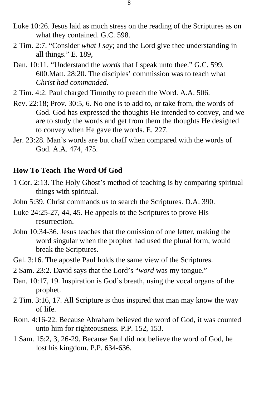- Luke 10:26. Jesus laid as much stress on the reading of the Scriptures as on what they contained. G.C. 598.
- 2 Tim. 2:7. "Consider *what I say*; and the Lord give thee understanding in all things." E. 189,
- Dan. 10:11. "Understand the *words* that I speak unto thee." G.C. 599, 600.Matt. 28:20. The disciples' commission was to teach what *Christ had commanded.*
- 2 Tim. 4:2. Paul charged Timothy to preach the Word. A.A. 506.
- Rev. 22:18; Prov. 30:5, 6. No one is to add to, or take from, the words of God. God has expressed the thoughts He intended to convey, and we are to study the words and get from them the thoughts He designed to convey when He gave the words. E. 227.
- Jer. 23:28. Man's words are but chaff when compared with the words of God. A.A. 474, 475.

#### **How To Teach The Word Of God**

- 1 Cor. 2:13. The Holy Ghost's method of teaching is by comparing spiritual things with spiritual.
- John 5:39. Christ commands us to search the Scriptures. D.A. 390.
- Luke 24:25-27, 44, 45. He appeals to the Scriptures to prove His resurrection.
- John 10:34-36. Jesus teaches that the omission of one letter, making the word singular when the prophet had used the plural form, would break the Scriptures.
- Gal. 3:16. The apostle Paul holds the same view of the Scriptures.
- 2 Sam. 23:2. David says that the Lord's "*word* was my tongue."
- Dan. 10:17, 19. Inspiration is God's breath, using the vocal organs of the prophet.
- 2 Tim. 3:16, 17. All Scripture is thus inspired that man may know the way of life.
- Rom. 4:16-22. Because Abraham believed the word of God, it was counted unto him for righteousness. P.P. 152, 153.
- 1 Sam. 15:2, 3, 26-29. Because Saul did not believe the word of God, he lost his kingdom. P.P. 634-636.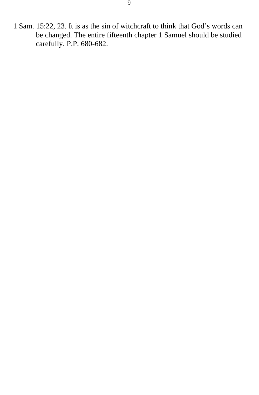1 Sam. 15:22, 23. It is as the sin of witchcraft to think that God's words can be changed. The entire fifteenth chapter 1 Samuel should be studied carefully. P.P. 680-682.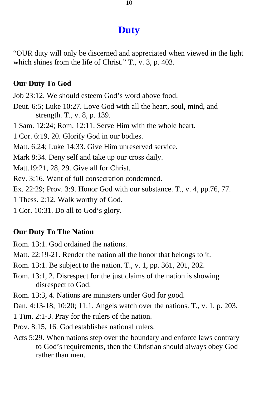### **Duty**

<span id="page-9-0"></span>"OUR duty will only be discerned and appreciated when viewed in the light which shines from the life of Christ." T., v. 3, p. 403.

#### **Our Duty To God**

Job 23:12. We should esteem God's word above food.

- Deut. 6:5; Luke 10:27. Love God with all the heart, soul, mind, and strength. T., v. 8, p. 139.
- 1 Sam. 12:24; Rom. 12:11. Serve Him with the whole heart.

1 Cor. 6:19, 20. Glorify God in our bodies.

Matt. 6:24; Luke 14:33. Give Him unreserved service.

Mark 8:34. Deny self and take up our cross daily.

Matt.19:21, 28, 29. Give all for Christ.

Rev. 3:16. Want of full consecration condemned.

Ex. 22:29; Prov. 3:9. Honor God with our substance. T., v. 4, pp.76, 77.

1 Thess. 2:12. Walk worthy of God.

1 Cor. 10:31. Do all to God's glory.

#### **Our Duty To The Nation**

Rom. 13:1. God ordained the nations.

- Matt. 22:19-21. Render the nation all the honor that belongs to it.
- Rom. 13:1. Be subject to the nation. T., v. 1, pp. 361, 201, 202.
- Rom. 13:1, 2. Disrespect for the just claims of the nation is showing disrespect to God.
- Rom. 13:3, 4. Nations are ministers under God for good.

Dan. 4:13-18; 10:20; 11:1. Angels watch over the nations. T., v. 1, p. 203.

- 1 Tim. 2:1-3. Pray for the rulers of the nation.
- Prov. 8:15, 16. God establishes national rulers.
- Acts 5:29. When nations step over the boundary and enforce laws contrary to God's requirements, then the Christian should always obey God rather than men.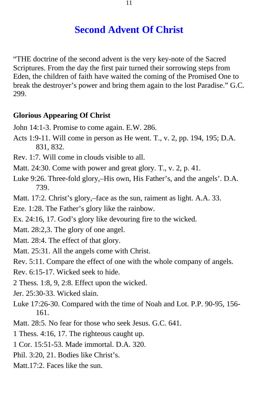### **Second Advent Of Christ**

<span id="page-10-0"></span>"THE doctrine of the second advent is the very key-note of the Sacred Scriptures. From the day the first pair turned their sorrowing steps from Eden, the children of faith have waited the coming of the Promised One to break the destroyer's power and bring them again to the lost Paradise." G.C. 299.

#### **Glorious Appearing Of Christ**

- John 14:1-3. Promise to come again. E.W. 286.
- Acts 1:9-11. Will come in person as He went. T., v. 2, pp. 194, 195; D.A. 831, 832.
- Rev. 1:7. Will come in clouds visible to all.
- Matt. 24:30. Come with power and great glory. T., v. 2, p. 41.
- Luke 9:26. Three-fold glory,–His own, His Father's, and the angels'. D.A. 739.
- Matt. 17:2. Christ's glory,–face as the sun, raiment as light. A.A. 33.
- Eze. 1:28. The Father's glory like the rainbow.
- Ex. 24:16, 17. God's glory like devouring fire to the wicked.
- Matt. 28:2,3. The glory of one angel.
- Matt. 28:4. The effect of that glory.
- Matt. 25:31. All the angels come with Christ.
- Rev. 5:11. Compare the effect of one with the whole company of angels.
- Rev. 6:15-17. Wicked seek to hide.
- 2 Thess. 1:8, 9, 2:8. Effect upon the wicked.
- Jer. 25:30-33. Wicked slain.
- Luke 17:26-30. Compared with the time of Noah and Lot. P.P. 90-95, 156 161.
- Matt. 28:5. No fear for those who seek Jesus. G.C. 641.
- 1 Thess. 4:16, 17. The righteous caught up.
- 1 Cor. 15:51-53. Made immortal. D.A. 320.
- Phil. 3:20, 21. Bodies like Christ's.
- Matt.17:2. Faces like the sun.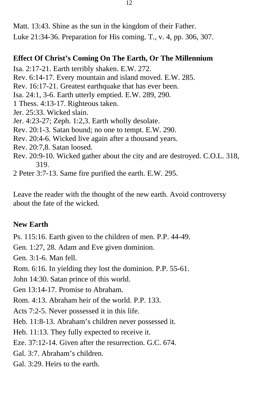Matt. 13:43. Shine as the sun in the kingdom of their Father. Luke 21:34-36. Preparation for His coming. T., v. 4, pp. 306, 307.

#### **Effect Of Christ's Coming On The Earth, Or The Millennium**

Isa. 2:17-21. Earth terribly shaken. E.W. 272.

Rev. 6:14-17. Every mountain and island moved. E.W. 285.

Rev. 16:17-21. Greatest earthquake that has ever been.

Isa. 24:1, 3-6. Earth utterly emptied. E.W. 289, 290.

1 Thess. 4:13-17. Righteous taken.

Jer. 25:33. Wicked slain.

Jer. 4:23-27; Zeph. 1:2,3. Earth wholly desolate.

Rev. 20:1-3. Satan bound; no one to tempt. E.W. 290.

Rev. 20:4-6. Wicked live again after a thousand years.

Rev. 20:7,8. Satan loosed.

Rev. 20:9-10. Wicked gather about the city and are destroyed. C.O.L. 318, 319.

2 Peter 3:7-13. Same fire purified the earth. E.W. 295.

Leave the reader with the thought of the new earth. Avoid controversy about the fate of the wicked.

#### **New Earth**

Ps. 115:16. Earth given to the children of men. P.P. 44-49.

Gen. 1:27, 28. Adam and Eve given dominion.

Gen. 3:1-6. Man fell.

Rom. 6:16. In yielding they lost the dominion. P.P. 55-61.

John 14:30. Satan prince of this world.

Gen 13:14-17. Promise to Abraham.

Rom. 4:13. Abraham heir of the world. P.P. 133.

Acts 7:2-5. Never possessed it in this life.

Heb. 11:8-13. Abraham's children never possessed it.

Heb. 11:13. They fully expected to receive it.

Eze. 37:12-14. Given after the resurrection. G.C. 674.

Gal. 3:7. Abraham's children.

Gal. 3:29. Heirs to the earth.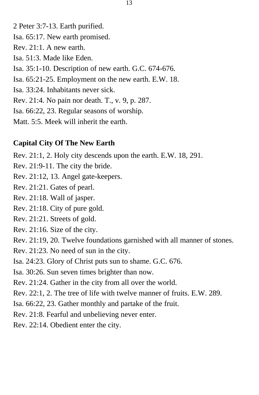2 Peter 3:7-13. Earth purified.

- Isa. 65:17. New earth promised.
- Rev. 21:1. A new earth.
- Isa. 51:3. Made like Eden.
- Isa. 35:1-10. Description of new earth. G.C. 674-676.
- Isa. 65:21-25. Employment on the new earth. E.W. 18.
- Isa. 33:24. Inhabitants never sick.
- Rev. 21:4. No pain nor death. T., v. 9, p. 287.
- Isa. 66:22, 23. Regular seasons of worship.
- Matt. 5:5. Meek will inherit the earth.

### **Capital City Of The New Earth**

Rev. 21:1, 2. Holy city descends upon the earth. E.W. 18, 291.

- Rev. 21:9-11. The city the bride.
- Rev. 21:12, 13. Angel gate-keepers.
- Rev. 21:21. Gates of pearl.
- Rev. 21:18. Wall of jasper.
- Rev. 21:18. City of pure gold.
- Rev. 21:21. Streets of gold.
- Rev. 21:16. Size of the city.
- Rev. 21:19, 20. Twelve foundations garnished with all manner of stones.
- Rev. 21:23. No need of sun in the city.
- Isa. 24:23. Glory of Christ puts sun to shame. G.C. 676.
- Isa. 30:26. Sun seven times brighter than now.
- Rev. 21:24. Gather in the city from all over the world.
- Rev. 22:1, 2. The tree of life with twelve manner of fruits. E.W. 289.
- Isa. 66:22, 23. Gather monthly and partake of the fruit.
- Rev. 21:8. Fearful and unbelieving never enter.
- Rev. 22:14. Obedient enter the city.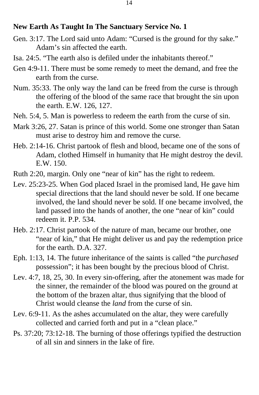#### **New Earth As Taught In The Sanctuary Service No. 1**

- Gen. 3:17. The Lord said unto Adam: "Cursed is the ground for thy sake." Adam's sin affected the earth.
- Isa. 24:5. "The earth also is defiled under the inhabitants thereof."
- Gen 4:9-11. There must be some remedy to meet the demand, and free the earth from the curse.
- Num. 35:33. The only way the land can be freed from the curse is through the offering of the blood of the same race that brought the sin upon the earth. E.W. 126, 127.
- Neh. 5:4, 5. Man is powerless to redeem the earth from the curse of sin.
- Mark 3:26, 27. Satan is prince of this world. Some one stronger than Satan must arise to destroy him and remove the curse.
- Heb. 2:14-16. Christ partook of flesh and blood, became one of the sons of Adam, clothed Himself in humanity that He might destroy the devil. E.W. 150.
- Ruth 2:20, margin. Only one "near of kin" has the right to redeem.
- Lev. 25:23-25. When God placed Israel in the promised land, He gave him special directions that the land should never be sold. If one became involved, the land should never be sold. If one became involved, the land passed into the hands of another, the one "near of kin" could redeem it. P.P. 534.
- Heb. 2:17. Christ partook of the nature of man, became our brother, one "near of kin," that He might deliver us and pay the redemption price for the earth. D.A. 327.
- Eph. 1:13, 14. The future inheritance of the saints is called "the *purchased*  possession"; it has been bought by the precious blood of Christ.
- Lev. 4:7, 18, 25, 30. In every sin-offering, after the atonement was made for the sinner, the remainder of the blood was poured on the ground at the bottom of the brazen altar, thus signifying that the blood of Christ would cleanse the *land* from the curse of sin.
- Lev. 6:9-11. As the ashes accumulated on the altar, they were carefully collected and carried forth and put in a "clean place."
- Ps. 37:20; 73:12-18. The burning of those offerings typified the destruction of all sin and sinners in the lake of fire.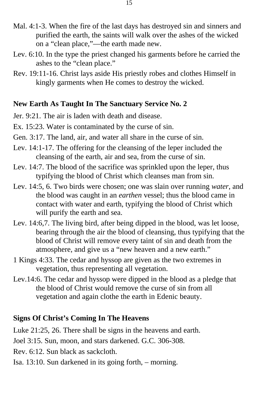- Mal. 4:1-3. When the fire of the last days has destroyed sin and sinners and purified the earth, the saints will walk over the ashes of the wicked on a "clean place,"—the earth made new.
- Lev. 6:10. In the type the priest changed his garments before he carried the ashes to the "clean place."
- Rev. 19:11-16. Christ lays aside His priestly robes and clothes Himself in kingly garments when He comes to destroy the wicked.

#### **New Earth As Taught In The Sanctuary Service No. 2**

- Jer. 9:21. The air is laden with death and disease.
- Ex. 15:23. Water is contaminated by the curse of sin.
- Gen. 3:17. The land, air, and water all share in the curse of sin.
- Lev. 14:1-17. The offering for the cleansing of the leper included the cleansing of the earth, air and sea, from the curse of sin.
- Lev. 14:7. The blood of the sacrifice was sprinkled upon the leper, thus typifying the blood of Christ which cleanses man from sin.
- Lev. 14:5, 6. Two birds were chosen; one was slain over running *water*, and the blood was caught in an *earthen* vessel; thus the blood came in contact with water and earth, typifying the blood of Christ which will purify the earth and sea.
- Lev. 14:6,7. The living bird, after being dipped in the blood, was let loose, bearing through the air the blood of cleansing, thus typifying that the blood of Christ will remove every taint of sin and death from the atmosphere, and give us a "new heaven and a new earth."
- 1 Kings 4:33. The cedar and hyssop are given as the two extremes in vegetation, thus representing all vegetation.
- Lev.14:6. The cedar and hyssop were dipped in the blood as a pledge that the blood of Christ would remove the curse of sin from all vegetation and again clothe the earth in Edenic beauty.

#### **Signs Of Christ's Coming In The Heavens**

Luke 21:25, 26. There shall be signs in the heavens and earth.

Joel 3:15. Sun, moon, and stars darkened. G.C. 306-308.

Rev. 6:12. Sun black as sackcloth.

Isa. 13:10. Sun darkened in its going forth, – morning.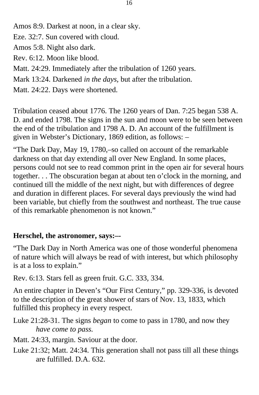Amos 8:9. Darkest at noon, in a clear sky.

- Eze. 32:7. Sun covered with cloud.
- Amos 5:8. Night also dark.
- Rev. 6:12. Moon like blood.
- Matt. 24:29. Immediately after the tribulation of 1260 years.
- Mark 13:24. Darkened *in the days,* but after the tribulation.
- Matt. 24:22. Days were shortened.

Tribulation ceased about 1776. The 1260 years of Dan. 7:25 began 538 A. D. and ended 1798. The signs in the sun and moon were to be seen between the end of the tribulation and 1798 A. D. An account of the fulfillment is given in Webster's Dictionary, 1869 edition, as follows: –

"The Dark Day, May 19, 1780,–so called on account of the remarkable darkness on that day extending all over New England. In some places, persons could not see to read common print in the open air for several hours together. . . The obscuration began at about ten o'clock in the morning, and continued till the middle of the next night, but with differences of degree and duration in different places. For several days previously the wind had been variable, but chiefly from the southwest and northeast. The true cause of this remarkable phenomenon is not known."

### **Herschel, the astronomer, says:–-**

"The Dark Day in North America was one of those wonderful phenomena of nature which will always be read of with interest, but which philosophy is at a loss to explain."

Rev. 6:13. Stars fell as green fruit. G.C. 333, 334.

An entire chapter in Deven's "Our First Century," pp. 329-336, is devoted to the description of the great shower of stars of Nov. 13, 1833, which fulfilled this prophecy in every respect.

- Luke 21:28-31. The signs *began* to come to pass in 1780, and now they *have come to pass.*
- Matt. 24:33, margin. Saviour at the door.
- Luke 21:32; Matt. 24:34. This generation shall not pass till all these things are fulfilled. D.A. 632.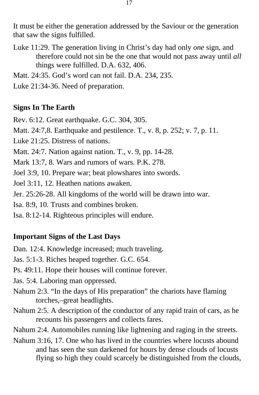It must be either the generation addressed by the Saviour or the generation that saw the signs fulfilled.

Luke 11:29. The generation living in Christ's day had only *one* sign, and therefore could not sin be the one that would not pass away until *all*  things were fulfilled. D.A. 632, 406.

Matt. 24:35. God's word can not fail. D.A. 234, 235.

Luke 21:34-36. Need of preparation.

#### **Signs In The Earth**

Rev. 6:12. Great earthquake. G.C. 304, 305.

Matt. 24:7,8. Earthquake and pestilence. T., v. 8, p. 252; v. 7, p. 11.

Luke 21:25. Distress of nations.

Matt. 24:7. Nation against nation. T., v. 9, pp. 14-28.

Mark 13:7, 8. Wars and rumors of wars. P.K. 278.

Joel 3:9, 10. Prepare war; beat plowshares into swords.

Joel 3:11, 12. Heathen nations awaken.

Jer. 25:26-28. All kingdoms of the world will be drawn into war.

Isa. 8:9, 10. Trusts and combines broken.

Isa. 8:12-14. Righteous principles will endure.

#### **Important Signs of the Last Days**

Dan. 12:4. Knowledge increased; much traveling.

Jas. 5:1-3. Riches heaped together. G.C. 654.

- Ps. 49:11. Hope their houses will continue forever.
- Jas. 5:4. Laboring man oppressed.
- Nahum 2:3. "In the days of His preparation" the chariots have flaming torches,–great headlights.
- Nahum 2:5. A description of the conductor of any rapid train of cars, as he recounts his passengers and collects fares.

Nahum 2:4. Automobiles running like lightening and raging in the streets.

Nahum 3:16, 17. One who has lived in the countries where locusts abound and has seen the sun darkened for hours by dense clouds of locusts flying so high they could scarcely be distinguished from the clouds,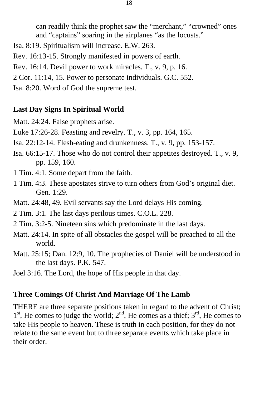can readily think the prophet saw the "merchant," "crowned" ones and "captains" soaring in the airplanes "as the locusts."

- Isa. 8:19. Spiritualism will increase. E.W. 263.
- Rev. 16:13-15. Strongly manifested in powers of earth.
- Rev. 16:14. Devil power to work miracles. T., v. 9, p. 16.
- 2 Cor. 11:14, 15. Power to personate individuals. G.C. 552.
- Isa. 8:20. Word of God the supreme test.

#### **Last Day Signs In Spiritual World**

- Matt. 24:24. False prophets arise.
- Luke 17:26-28. Feasting and revelry. T., v. 3, pp. 164, 165.
- Isa. 22:12-14. Flesh-eating and drunkenness. T., v. 9, pp. 153-157.
- Isa. 66:15-17. Those who do not control their appetites destroyed. T., v. 9, pp. 159, 160.
- 1 Tim. 4:1. Some depart from the faith.
- 1 Tim. 4:3. These apostates strive to turn others from God's original diet. Gen. 1:29.
- Matt. 24:48, 49. Evil servants say the Lord delays His coming.
- 2 Tim. 3:1. The last days perilous times. C.O.L. 228.
- 2 Tim. 3:2-5. Nineteen sins which predominate in the last days.
- Matt. 24:14. In spite of all obstacles the gospel will be preached to all the world.
- Matt. 25:15; Dan. 12:9, 10. The prophecies of Daniel will be understood in the last days. P.K. 547.
- Joel 3:16. The Lord, the hope of His people in that day.

#### **Three Comings Of Christ And Marriage Of The Lamb**

 $1<sup>st</sup>$ , He comes to judge the world;  $2<sup>nd</sup>$ , He comes as a thief;  $3<sup>rd</sup>$ , He comes to THERE are three separate positions taken in regard to the advent of Christ; take His people to heaven. These is truth in each position, for they do not relate to the same event but to three separate events which take place in their order.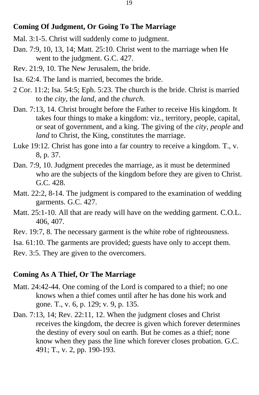#### **Coming Of Judgment, Or Going To The Marriage**

- Mal. 3:1-5. Christ will suddenly come to judgment.
- Dan. 7:9, 10, 13, 14; Matt. 25:10. Christ went to the marriage when He went to the judgment. G.C. 427.
- Rev. 21:9, 10. The New Jerusalem, the bride.
- Isa. 62:4. The land is married, becomes the bride.
- 2 Cor. 11:2; Isa. 54:5; Eph. 5:23. The church is the bride. Christ is married to the *city*, the *land,* and the *church*.
- Dan. 7:13, 14. Christ brought before the Father to receive His kingdom. It takes four things to make a kingdom: viz., territory, people, capital, or seat of government, and a king. The giving of the *city, people* and *land* to Christ, the King, constitutes the marriage.
- Luke 19:12. Christ has gone into a far country to receive a kingdom. T., v. 8, p. 37.
- Dan. 7:9, 10. Judgment precedes the marriage, as it must be determined who are the subjects of the kingdom before they are given to Christ. G.C. 428.
- Matt. 22:2, 8-14. The judgment is compared to the examination of wedding garments. G.C. 427.
- Matt. 25:1-10. All that are ready will have on the wedding garment. C.O.L. 406, 407.
- Rev. 19:7, 8. The necessary garment is the white robe of righteousness.
- Isa. 61:10. The garments are provided; guests have only to accept them.
- Rev. 3:5. They are given to the overcomers.

#### **Coming As A Thief, Or The Marriage**

- Matt. 24:42-44. One coming of the Lord is compared to a thief; no one knows when a thief comes until after he has done his work and gone. T., v. 6, p. 129; v. 9, p. 135.
- Dan. 7:13, 14; Rev. 22:11, 12. When the judgment closes and Christ receives the kingdom, the decree is given which forever determines the destiny of every soul on earth. But he comes as a thief; none know when they pass the line which forever closes probation. G.C. 491; T., v. 2, pp. 190-193.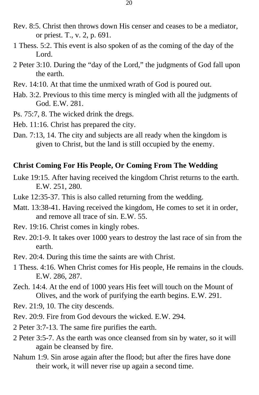- Rev. 8:5. Christ then throws down His censer and ceases to be a mediator, or priest. T., v. 2, p. 691.
- 1 Thess. 5:2. This event is also spoken of as the coming of the day of the Lord.
- 2 Peter 3:10. During the "day of the Lord," the judgments of God fall upon the earth.
- Rev. 14:10. At that time the unmixed wrath of God is poured out.
- Hab. 3:2. Previous to this time mercy is mingled with all the judgments of God. E.W. 281.
- Ps. 75:7, 8. The wicked drink the dregs.
- Heb. 11:16. Christ has prepared the city.
- Dan. 7:13, 14. The city and subjects are all ready when the kingdom is given to Christ, but the land is still occupied by the enemy.

#### **Christ Coming For His People, Or Coming From The Wedding**

- Luke 19:15. After having received the kingdom Christ returns to the earth. E.W. 251, 280.
- Luke 12:35-37. This is also called returning from the wedding.
- Matt. 13:38-41. Having received the kingdom, He comes to set it in order, and remove all trace of sin. E.W. 55.
- Rev. 19:16. Christ comes in kingly robes.
- Rev. 20:1-9. It takes over 1000 years to destroy the last race of sin from the earth.
- Rev. 20:4. During this time the saints are with Christ.
- 1 Thess. 4:16. When Christ comes for His people, He remains in the clouds. E.W. 286, 287.
- Zech. 14:4. At the end of 1000 years His feet will touch on the Mount of Olives, and the work of purifying the earth begins. E.W. 291.
- Rev. 21:9, 10. The city descends.
- Rev. 20:9. Fire from God devours the wicked. E.W. 294.
- 2 Peter 3:7-13. The same fire purifies the earth.
- 2 Peter 3:5-7. As the earth was once cleansed from sin by water, so it will again be cleansed by fire.
- Nahum 1:9. Sin arose again after the flood; but after the fires have done their work, it will never rise up again a second time.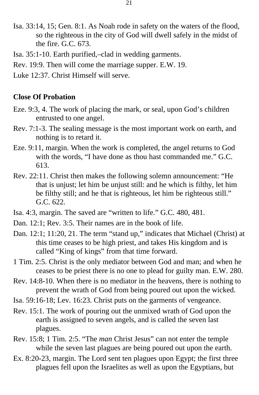- Isa. 33:14, 15; Gen. 8:1. As Noah rode in safety on the waters of the flood, so the righteous in the city of God will dwell safely in the midst of the fire. G.C. 673.
- Isa. 35:1-10. Earth purified,–clad in wedding garments.
- Rev. 19:9. Then will come the marriage supper. E.W. 19.
- Luke 12:37. Christ Himself will serve.

#### **Close Of Probation**

- Eze. 9:3, 4. The work of placing the mark, or seal, upon God's children entrusted to one angel.
- Rev. 7:1-3. The sealing message is the most important work on earth, and nothing is to retard it.
- Eze. 9:11, margin. When the work is completed, the angel returns to God with the words, "I have done as thou hast commanded me." G.C. 613.
- Rev. 22:11. Christ then makes the following solemn announcement: "He that is unjust; let him be unjust still: and he which is filthy, let him be filthy still; and he that is righteous, let him be righteous still." G.C. 622.
- Isa. 4:3, margin. The saved are "written to life." G.C. 480, 481.
- Dan. 12:1; Rev. 3:5. Their names are in the book of life.
- Dan. 12:1; 11:20, 21. The term "stand up," indicates that Michael (Christ) at this time ceases to be high priest, and takes His kingdom and is called "King of kings" from that time forward.
- 1 Tim. 2:5. Christ is the only mediator between God and man; and when he ceases to be priest there is no one to plead for guilty man. E.W. 280.
- Rev. 14:8-10. When there is no mediator in the heavens, there is nothing to prevent the wrath of God from being poured out upon the wicked.
- Isa. 59:16-18; Lev. 16:23. Christ puts on the garments of vengeance.
- Rev. 15:1. The work of pouring out the unmixed wrath of God upon the earth is assigned to seven angels, and is called the seven last plagues.
- Rev. 15:8; 1 Tim. 2:5. "The *man* Christ Jesus" can not enter the temple while the seven last plagues are being poured out upon the earth.
- Ex. 8:20-23, margin. The Lord sent ten plagues upon Egypt; the first three plagues fell upon the Israelites as well as upon the Egyptians, but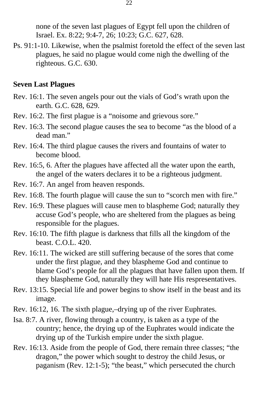none of the seven last plagues of Egypt fell upon the children of Israel. Ex. 8:22; 9:4-7, 26; 10:23; G.C. 627, 628.

Ps. 91:1-10. Likewise, when the psalmist foretold the effect of the seven last plagues, he said no plague would come nigh the dwelling of the righteous. G.C. 630.

#### **Seven Last Plagues**

- Rev. 16:1. The seven angels pour out the vials of God's wrath upon the earth. G.C. 628, 629.
- Rev. 16:2. The first plague is a "noisome and grievous sore."
- Rev. 16:3. The second plague causes the sea to become "as the blood of a dead man."
- Rev. 16:4. The third plague causes the rivers and fountains of water to become blood.
- Rev. 16:5, 6. After the plagues have affected all the water upon the earth, the angel of the waters declares it to be a righteous judgment.
- Rev. 16:7. An angel from heaven responds.
- Rev. 16:8. The fourth plague will cause the sun to "scorch men with fire."
- Rev. 16:9. These plagues will cause men to blaspheme God; naturally they accuse God's people, who are sheltered from the plagues as being responsible for the plagues.
- Rev. 16:10. The fifth plague is darkness that fills all the kingdom of the beast. C.O.L. 420.
- Rev. 16:11. The wicked are still suffering because of the sores that come under the first plague, and they blaspheme God and continue to blame God's people for all the plagues that have fallen upon them. If they blaspheme God, naturally they will hate His respresentatives.
- Rev. 13:15. Special life and power begins to show itself in the beast and its image.
- Rev. 16:12, 16. The sixth plague,–drying up of the river Euphrates.
- Isa. 8:7. A river, flowing through a country, is taken as a type of the country; hence, the drying up of the Euphrates would indicate the drying up of the Turkish empire under the sixth plague.
- Rev. 16:13. Aside from the people of God, there remain three classes; "the dragon," the power which sought to destroy the child Jesus, or paganism (Rev. 12:1-5); "the beast," which persecuted the church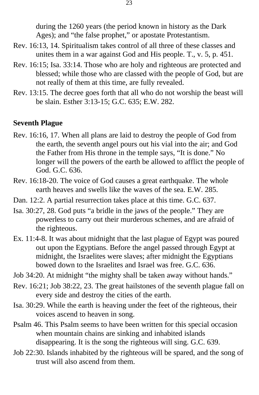during the 1260 years (the period known in history as the Dark Ages); and "the false prophet," or apostate Protestantism.

- Rev. 16:13, 14. Spiritualism takes control of all three of these classes and unites them in a war against God and His people. T., v. 5, p. 451.
- Rev. 16:15; Isa. 33:14. Those who are holy and righteous are protected and blessed; while those who are classed with the people of God, but are not really of them at this time, are fully revealed.
- Rev. 13:15. The decree goes forth that all who do not worship the beast will be slain. Esther 3:13-15; G.C. 635; E.W. 282.

#### **Seventh Plague**

- Rev. 16:16, 17. When all plans are laid to destroy the people of God from the earth, the seventh angel pours out his vial into the air; and God the Father from His throne in the temple says, "It is done." No longer will the powers of the earth be allowed to afflict the people of God. G.C. 636.
- Rev. 16:18-20. The voice of God causes a great earthquake. The whole earth heaves and swells like the waves of the sea. E.W. 285.
- Dan. 12:2. A partial resurrection takes place at this time. G.C. 637.
- Isa. 30:27, 28. God puts "a bridle in the jaws of the people." They are powerless to carry out their murderous schemes, and are afraid of the righteous.
- Ex. 11:4-8. It was about midnight that the last plague of Egypt was poured out upon the Egyptians. Before the angel passed through Egypt at midnight, the Israelites were slaves; after midnight the Egyptians bowed down to the Israelites and Israel was free. G.C. 636.
- Job 34:20. At midnight "the mighty shall be taken away without hands."
- Rev. 16:21; Job 38:22, 23. The great hailstones of the seventh plague fall on every side and destroy the cities of the earth.
- Isa. 30:29. While the earth is heaving under the feet of the righteous, their voices ascend to heaven in song.
- Psalm 46. This Psalm seems to have been written for this special occasion when mountain chains are sinking and inhabited islands disappearing. It is the song the righteous will sing. G.C. 639.
- Job 22:30. Islands inhabited by the righteous will be spared, and the song of trust will also ascend from them.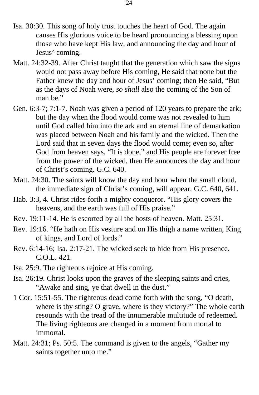- Isa. 30:30. This song of holy trust touches the heart of God. The again causes His glorious voice to be heard pronouncing a blessing upon those who have kept His law, and announcing the day and hour of Jesus' coming.
- Matt. 24:32-39. After Christ taught that the generation which saw the signs would not pass away before His coming, He said that none but the Father knew the day and hour of Jesus' coming; then He said, "But as the days of Noah were, *so shall* also the coming of the Son of man he"
- Gen. 6:3-7; 7:1-7. Noah was given a period of 120 years to prepare the ark; but the day when the flood would come was not revealed to him until God called him into the ark and an eternal line of demarkation was placed between Noah and his family and the wicked. Then the Lord said that in seven days the flood would come; even so, after God from heaven says, "It is done," and His people are forever free from the power of the wicked, then He announces the day and hour of Christ's coming. G.C. 640.
- Matt. 24:30. The saints will know the day and hour when the small cloud, the immediate sign of Christ's coming, will appear. G.C. 640, 641.
- Hab. 3:3, 4. Christ rides forth a mighty conqueror. "His glory covers the heavens, and the earth was full of His praise."
- Rev. 19:11-14. He is escorted by all the hosts of heaven. Matt. 25:31.
- Rev. 19:16. "He hath on His vesture and on His thigh a name written, King of kings, and Lord of lords."
- Rev. 6:14-16; Isa. 2:17-21. The wicked seek to hide from His presence. C.O.L. 421.
- Isa. 25:9. The righteous rejoice at His coming.
- Isa. 26:19. Christ looks upon the graves of the sleeping saints and cries, "Awake and sing, ye that dwell in the dust."
- 1 Cor. 15:51-55. The righteous dead come forth with the song, "O death, where is thy sting? O grave, where is they victory?" The whole earth resounds with the tread of the innumerable multitude of redeemed. The living righteous are changed in a moment from mortal to immortal.
- Matt. 24:31; Ps. 50:5. The command is given to the angels, "Gather my saints together unto me."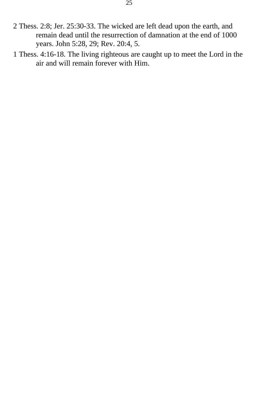- 2 Thess. 2:8; Jer. 25:30-33. The wicked are left dead upon the earth, and remain dead until the resurrection of damnation at the end of 1000 years. John 5:28, 29; Rev. 20:4, 5.
- 1 Thess. 4:16-18. The living righteous are caught up to meet the Lord in the air and will remain forever with Him.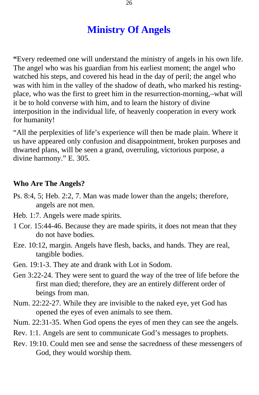### **Ministry Of Angels**

<span id="page-25-0"></span>**"**Every redeemed one will understand the ministry of angels in his own life. The angel who was his guardian from his earliest moment; the angel who watched his steps, and covered his head in the day of peril; the angel who was with him in the valley of the shadow of death, who marked his restingplace, who was the first to greet him in the resurrection-morning,–what will it be to hold converse with him, and to learn the history of divine interposition in the individual life, of heavenly cooperation in every work for humanity!

"All the perplexities of life's experience will then be made plain. Where it us have appeared only confusion and disappointment, broken purposes and thwarted plans, will be seen a grand, overruling, victorious purpose, a divine harmony." E. 305.

#### **Who Are The Angels?**

- Ps. 8:4, 5; Heb. 2:2, 7. Man was made lower than the angels; therefore, angels are not men.
- Heb. 1:7. Angels were made spirits.
- 1 Cor. 15:44-46. Because they are made spirits, it does not mean that they do not have bodies.
- Eze. 10:12, margin. Angels have flesh, backs, and hands. They are real, tangible bodies.
- Gen. 19:1-3. They ate and drank with Lot in Sodom.
- Gen 3:22-24. They were sent to guard the way of the tree of life before the first man died; therefore, they are an entirely different order of beings from man.
- Num. 22:22-27. While they are invisible to the naked eye, yet God has opened the eyes of even animals to see them.
- Num. 22:31-35. When God opens the eyes of men they can see the angels.
- Rev. 1:1. Angels are sent to communicate God's messages to prophets.
- Rev. 19:10. Could men see and sense the sacredness of these messengers of God, they would worship them.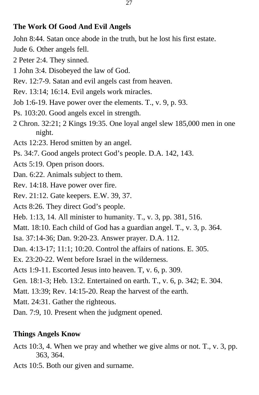#### **The Work Of Good And Evil Angels**

John 8:44. Satan once abode in the truth, but he lost his first estate.

- Jude 6. Other angels fell.
- 2 Peter 2:4. They sinned.
- 1 John 3:4. Disobeyed the law of God.
- Rev. 12:7-9. Satan and evil angels cast from heaven.
- Rev. 13:14; 16:14. Evil angels work miracles.
- Job 1:6-19. Have power over the elements. T., v. 9, p. 93.
- Ps. 103:20. Good angels excel in strength.
- 2 Chron. 32:21; 2 Kings 19:35. One loyal angel slew 185,000 men in one night.
- Acts 12:23. Herod smitten by an angel.
- Ps. 34:7. Good angels protect God's people. D.A. 142, 143.
- Acts 5:19. Open prison doors.
- Dan. 6:22. Animals subject to them.
- Rev. 14:18. Have power over fire.
- Rev. 21:12. Gate keepers. E.W. 39, 37.
- Acts 8:26. They direct God's people.
- Heb. 1:13, 14. All minister to humanity. T., v. 3, pp. 381, 516.
- Matt. 18:10. Each child of God has a guardian angel. T., v. 3, p. 364.
- Isa. 37:14-36; Dan. 9:20-23. Answer prayer. D.A. 112.
- Dan. 4:13-17; 11:1; 10:20. Control the affairs of nations. E. 305.
- Ex. 23:20-22. Went before Israel in the wilderness.
- Acts 1:9-11. Escorted Jesus into heaven. T, v. 6, p. 309.
- Gen. 18:1-3; Heb. 13:2. Entertained on earth. T., v. 6, p. 342; E. 304.
- Matt. 13:39; Rev. 14:15-20. Reap the harvest of the earth.
- Matt. 24:31. Gather the righteous.
- Dan. 7:9, 10. Present when the judgment opened.

#### **Things Angels Know**

- Acts 10:3, 4. When we pray and whether we give alms or not. T., v. 3, pp. 363, 364.
- Acts 10:5. Both our given and surname.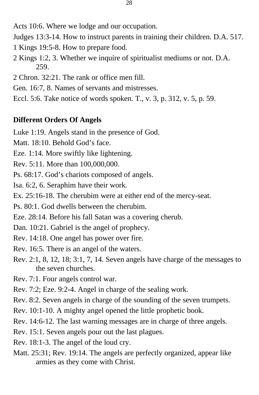- Acts 10:6. Where we lodge and our occupation.
- Judges 13:3-14. How to instruct parents in training their children. D.A. 517.
- 1 Kings 19:5-8. How to prepare food.
- 2 Kings 1:2, 3. Whether we inquire of spiritualist mediums or not. D.A. 259.
- 2 Chron. 32:21. The rank or office men fill.
- Gen. 16:7, 8. Names of servants and mistresses.
- Eccl. 5:6. Take notice of words spoken. T., v. 3, p. 312, v. 5, p. 59.

### **Different Orders Of Angels**

- Luke 1:19. Angels stand in the presence of God.
- Matt. 18:10. Behold God's face.
- Eze. 1:14. More swiftly like lightening.
- Rev. 5:11. More than 100,000,000.
- Ps. 68:17. God's chariots composed of angels.
- Isa. 6:2, 6. Seraphim have their work.
- Ex. 25:16-18. The cherubim were at either end of the mercy-seat.
- Ps. 80:1. God dwells between the cherubim.
- Eze. 28:14. Before his fall Satan was a covering cherub.
- Dan. 10:21. Gabriel is the angel of prophecy.
- Rev. 14:18. One angel has power over fire.
- Rev. 16:5. There is an angel of the waters.
- Rev. 2:1, 8, 12, 18; 3:1, 7, 14. Seven angels have charge of the messages to the seven churches.
- Rev. 7:1. Four angels control war.
- Rev. 7:2; Eze. 9:2-4. Angel in charge of the sealing work.
- Rev. 8:2. Seven angels in charge of the sounding of the seven trumpets.
- Rev. 10:1-10. A mighty angel opened the little prophetic book.
- Rev. 14:6-12. The last warning messages are in charge of three angels.
- Rev. 15:1. Seven angels pour out the last plagues.
- Rev. 18:1-3. The angel of the loud cry.
- Matt. 25:31; Rev. 19:14. The angels are perfectly organized, appear like armies as they come with Christ.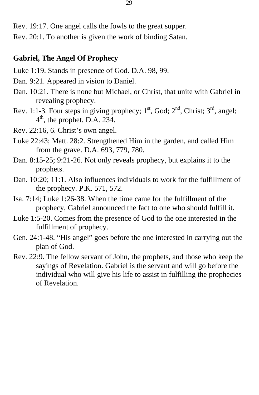Rev. 19:17. One angel calls the fowls to the great supper.

Rev. 20:1. To another is given the work of binding Satan.

#### **Gabriel, The Angel Of Prophecy**

- Luke 1:19. Stands in presence of God. D.A. 98, 99.
- Dan. 9:21. Appeared in vision to Daniel.
- Dan. 10:21. There is none but Michael, or Christ, that unite with Gabriel in revealing prophecy.
- 4 th, the prophet. D.A. 234. Rev. 1:1-3. Four steps in giving prophecy;  $1<sup>st</sup>$ , God;  $2<sup>nd</sup>$ , Christ;  $3<sup>rd</sup>$ , angel;
- Rev. 22:16, 6. Christ's own angel.
- Luke 22:43; Matt. 28:2. Strengthened Him in the garden, and called Him from the grave. D.A. 693, 779, 780.
- Dan. 8:15-25; 9:21-26. Not only reveals prophecy, but explains it to the prophets.
- Dan. 10:20; 11:1. Also influences individuals to work for the fulfillment of the prophecy. P.K. 571, 572.
- Isa. 7:14; Luke 1:26-38. When the time came for the fulfillment of the prophecy, Gabriel announced the fact to one who should fulfill it.
- Luke 1:5-20. Comes from the presence of God to the one interested in the fulfillment of prophecy.
- Gen. 24:1-48. "His angel" goes before the one interested in carrying out the plan of God.
- Rev. 22:9. The fellow servant of John, the prophets, and those who keep the sayings of Revelation. Gabriel is the servant and will go before the individual who will give his life to assist in fulfilling the prophecies of Revelation.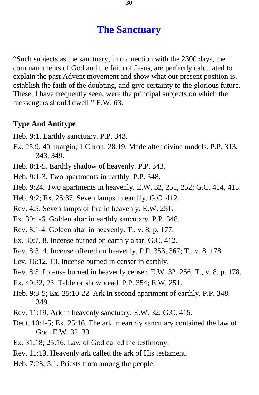### **The Sanctuary**

<span id="page-29-0"></span>"Such subjects as the sanctuary, in connection with the 2300 days, the commandments of God and the faith of Jesus, are perfectly calculated to explain the past Advent movement and show what our present position is, establish the faith of the doubting, and give certainty to the glorious future. These, I have frequently seen, were the principal subjects on which the messengers should dwell." E.W. 63.

#### **Type And Antitype**

- Heb. 9:1. Earthly sanctuary. P.P. 343.
- Ex. 25:9, 40, margin; 1 Chron. 28:19. Made after divine models. P.P. 313, 343, 349.
- Heb. 8:1-5. Earthly shadow of heavenly. P.P. 343.
- Heb. 9:1-3. Two apartments in earthly. P.P. 348.
- Heb. 9:24. Two apartments in heavenly. E.W. 32, 251, 252; G.C. 414, 415.
- Heb. 9:2; Ex. 25:37. Seven lamps in earthly. G.C. 412.
- Rev. 4:5. Seven lamps of fire in heavenly. E.W. 251.
- Ex. 30:1-6. Golden altar in earthly sanctuary. P.P. 348.
- Rev. 8:1-4. Golden altar in heavenly. T., v. 8, p. 177.
- Ex. 30:7, 8. Incense burned on earthly altar. G.C. 412.
- Rev. 8:3, 4. Incense offered on heavenly. P.P. 353, 367; T., v. 8, 178.
- Lev. 16:12, 13. Incense burned in censer in earthly.
- Rev. 8:5. Incense burned in heavenly censer. E.W. 32, 256; T., v. 8, p. 178.
- Ex. 40:22, 23. Table or showbread. P.P. 354; E.W. 251.
- Heb. 9:3-5; Ex. 25:10-22. Ark in second apartment of earthly. P.P. 348, 349.
- Rev. 11:19. Ark in heavenly sanctuary. E.W. 32; G.C. 415.
- Deut. 10:1-5; Ex. 25:16. The ark in earthly sanctuary contained the law of God. E.W. 32, 33.
- Ex. 31:18; 25:16. Law of God called the testimony.
- Rev. 11:19. Heavenly ark called the ark of His testament.
- Heb. 7:28; 5:1. Priests from among the people.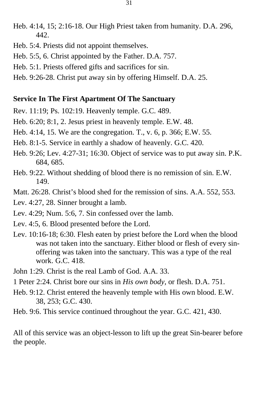- Heb. 4:14, 15; 2:16-18. Our High Priest taken from humanity. D.A. 296, 442.
- Heb. 5:4. Priests did not appoint themselves.
- Heb. 5:5, 6. Christ appointed by the Father. D.A. 757.
- Heb. 5:1. Priests offered gifts and sacrifices for sin.
- Heb. 9:26-28. Christ put away sin by offering Himself. D.A. 25.

#### **Service In The First Apartment Of The Sanctuary**

- Rev. 11:19; Ps. 102:19. Heavenly temple. G.C. 489.
- Heb. 6:20; 8:1, 2. Jesus priest in heavenly temple. E.W. 48.
- Heb. 4:14, 15. We are the congregation. T., v. 6, p. 366; E.W. 55.
- Heb. 8:1-5. Service in earthly a shadow of heavenly. G.C. 420.
- Heb. 9:26; Lev. 4:27-31; 16:30. Object of service was to put away sin. P.K. 684, 685.
- Heb. 9:22. Without shedding of blood there is no remission of sin. E.W. 149.
- Matt. 26:28. Christ's blood shed for the remission of sins. A.A. 552, 553.
- Lev. 4:27, 28. Sinner brought a lamb.
- Lev. 4:29; Num. 5:6, 7. Sin confessed over the lamb.
- Lev. 4:5, 6. Blood presented before the Lord.
- Lev. 10:16-18; 6:30. Flesh eaten by priest before the Lord when the blood was not taken into the sanctuary. Either blood or flesh of every sinoffering was taken into the sanctuary. This was a type of the real work. G.C. 418.
- John 1:29. Christ is the real Lamb of God. A.A. 33.
- 1 Peter 2:24. Christ bore our sins in *His own body,* or flesh. D.A. 751.
- Heb. 9:12. Christ entered the heavenly temple with His own blood. E.W. 38, 253; G.C. 430.
- Heb. 9:6. This service continued throughout the year. G.C. 421, 430.

All of this service was an object-lesson to lift up the great Sin-bearer before the people.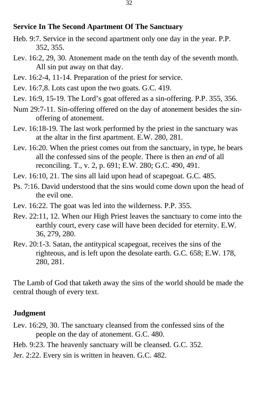#### **Service In The Second Apartment Of The Sanctuary**

- Heb. 9:7. Service in the second apartment only one day in the year. P.P. 352, 355.
- Lev. 16:2, 29, 30. Atonement made on the tenth day of the seventh month. All sin put away on that day.
- Lev. 16:2-4, 11-14. Preparation of the priest for service.
- Lev. 16:7,8. Lots cast upon the two goats. G.C. 419.
- Lev. 16:9, 15-19. The Lord's goat offered as a sin-offering. P.P. 355, 356.
- Num 29:7-11. Sin-offering offered on the day of atonement besides the sinoffering of atonement.
- Lev. 16:18-19. The last work performed by the priest in the sanctuary was at the altar in the first apartment. E.W. 280, 281.
- Lev. 16:20. When the priest comes out from the sanctuary, in type, he bears all the confessed sins of the people. There is then an *end* of all reconciling. T., v. 2, p. 691; E.W. 280; G.C. 490, 491.
- Lev. 16:10, 21. The sins all laid upon head of scapegoat. G.C. 485.
- Ps. 7:16. David understood that the sins would come down upon the head of the evil one.
- Lev. 16:22. The goat was led into the wilderness. P.P. 355.
- Rev. 22:11, 12. When our High Priest leaves the sanctuary to come into the earthly court, every case will have been decided for eternity. E.W. 36, 279, 280.
- Rev. 20:1-3. Satan, the antitypical scapegoat, receives the sins of the righteous, and is left upon the desolate earth. G.C. 658; E.W. 178, 280, 281.

The Lamb of God that taketh away the sins of the world should be made the central though of every text.

#### **Judgment**

- Lev. 16:29, 30. The sanctuary cleansed from the confessed sins of the people on the day of atonement. G.C. 480.
- Heb. 9:23. The heavenly sanctuary will be cleansed. G.C. 352.
- Jer. 2:22. Every sin is written in heaven. G.C. 482.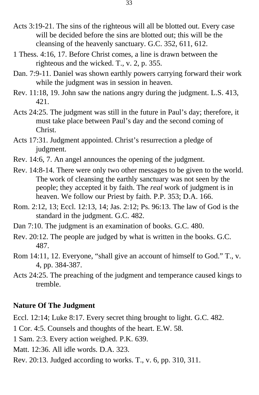- Acts 3:19-21. The sins of the righteous will all be blotted out. Every case will be decided before the sins are blotted out; this will be the cleansing of the heavenly sanctuary. G.C. 352, 611, 612.
- 1 Thess. 4:16, 17. Before Christ comes, a line is drawn between the righteous and the wicked. T., v. 2, p. 355.
- Dan. 7:9-11. Daniel was shown earthly powers carrying forward their work while the judgment was in session in heaven.
- Rev. 11:18, 19. John saw the nations angry during the judgment. L.S. 413, 421.
- Acts 24:25. The judgment was still in the future in Paul's day; therefore, it must take place between Paul's day and the second coming of Christ.
- Acts 17:31. Judgment appointed. Christ's resurrection a pledge of judgment.
- Rev. 14:6, 7. An angel announces the opening of the judgment.
- Rev. 14:8-14. There were only two other messages to be given to the world. The work of cleansing the earthly sanctuary was not seen by the people; they accepted it by faith. The *real* work of judgment is in heaven. We follow our Priest by faith. P.P. 353; D.A. 166.
- Rom. 2:12, 13; Eccl. 12:13, 14; Jas. 2:12; Ps. 96:13. The law of God is the standard in the judgment. G.C. 482.
- Dan 7:10. The judgment is an examination of books. G.C. 480.
- Rev. 20:12. The people are judged by what is written in the books. G.C. 487.
- Rom 14:11, 12. Everyone, "shall give an account of himself to God." T., v. 4, pp. 384-387.
- Acts 24:25. The preaching of the judgment and temperance caused kings to tremble.

#### **Nature Of The Judgment**

Eccl. 12:14; Luke 8:17. Every secret thing brought to light. G.C. 482.

- 1 Cor. 4:5. Counsels and thoughts of the heart. E.W. 58.
- 1 Sam. 2:3. Every action weighed. P.K. 639.
- Matt. 12:36. All idle words. D.A. 323.
- Rev. 20:13. Judged according to works. T., v. 6, pp. 310, 311.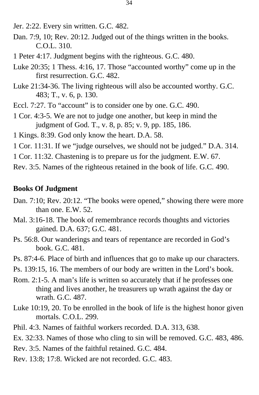- Jer. 2:22. Every sin written. G.C. 482.
- Dan. 7:9, 10; Rev. 20:12. Judged out of the things written in the books. C.O.L. 310.
- 1 Peter 4:17. Judgment begins with the righteous. G.C. 480.
- Luke 20:35; 1 Thess. 4:16, 17. Those "accounted worthy" come up in the first resurrection. G.C. 482.
- Luke 21:34-36. The living righteous will also be accounted worthy. G.C. 483; T., v. 6, p. 130.
- Eccl. 7:27. To "account" is to consider one by one. G.C. 490.
- 1 Cor. 4:3-5. We are not to judge one another, but keep in mind the judgment of God. T., v. 8, p. 85; v. 9, pp. 185, 186.
- 1 Kings. 8:39. God only know the heart. D.A. 58.
- 1 Cor. 11:31. If we "judge ourselves, we should not be judged." D.A. 314.
- 1 Cor. 11:32. Chastening is to prepare us for the judgment. E.W. 67.
- Rev. 3:5. Names of the righteous retained in the book of life. G.C. 490.

#### **Books Of Judgment**

- Dan. 7:10; Rev. 20:12. "The books were opened," showing there were more than one. E.W. 52.
- Mal. 3:16-18. The book of remembrance records thoughts and victories gained. D.A. 637; G.C. 481.
- Ps. 56:8. Our wanderings and tears of repentance are recorded in God's book. G.C. 481.
- Ps. 87:4-6. Place of birth and influences that go to make up our characters.
- Ps. 139:15, 16. The members of our body are written in the Lord's book.
- Rom. 2:1-5. A man's life is written so accurately that if he professes one thing and lives another, he treasurers up wrath against the day or wrath. G.C. 487.
- Luke 10:19, 20. To be enrolled in the book of life is the highest honor given mortals. C.O.L. 299.
- Phil. 4:3. Names of faithful workers recorded. D.A. 313, 638.
- Ex. 32:33. Names of those who cling to sin will be removed. G.C. 483, 486.
- Rev. 3:5. Names of the faithful retained. G.C. 484.
- Rev. 13:8; 17:8. Wicked are not recorded. G.C. 483.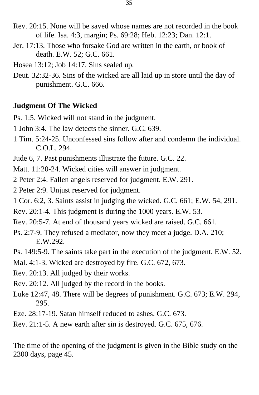- Rev. 20:15. None will be saved whose names are not recorded in the book of life. Isa. 4:3, margin; Ps. 69:28; Heb. 12:23; Dan. 12:1.
- Jer. 17:13. Those who forsake God are written in the earth, or book of death. E.W. 52; G.C. 661.
- Hosea 13:12; Job 14:17. Sins sealed up.
- Deut. 32:32-36. Sins of the wicked are all laid up in store until the day of punishment. G.C. 666.

#### **Judgment Of The Wicked**

Ps. 1:5. Wicked will not stand in the judgment.

- 1 John 3:4. The law detects the sinner. G.C. 639.
- 1 Tim. 5:24-25. Unconfessed sins follow after and condemn the individual. C.O.L. 294.
- Jude 6, 7. Past punishments illustrate the future. G.C. 22.

Matt. 11:20-24. Wicked cities will answer in judgment.

2 Peter 2:4. Fallen angels reserved for judgment. E.W. 291.

2 Peter 2:9. Unjust reserved for judgment.

- 1 Cor. 6:2, 3. Saints assist in judging the wicked. G.C. 661; E.W. 54, 291.
- Rev. 20:1-4. This judgment is during the 1000 years. E.W. 53.
- Rev. 20:5-7. At end of thousand years wicked are raised. G.C. 661.
- Ps. 2:7-9. They refused a mediator, now they meet a judge. D.A. 210; E.W.292.
- Ps. 149:5-9. The saints take part in the execution of the judgment. E.W. 52.
- Mal. 4:1-3. Wicked are destroyed by fire. G.C. 672, 673.
- Rev. 20:13. All judged by their works.
- Rev. 20:12. All judged by the record in the books.
- Luke 12:47, 48. There will be degrees of punishment. G.C. 673; E.W. 294, 295.
- Eze. 28:17-19. Satan himself reduced to ashes. G.C. 673.
- Rev. 21:1-5. A new earth after sin is destroyed. G.C. 675, 676.

The time of the opening of the judgment is given in the Bible study on the 2300 days, page 45.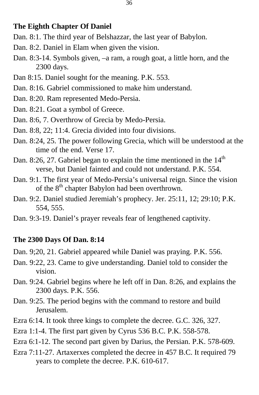#### **The Eighth Chapter Of Daniel**

- Dan. 8:1. The third year of Belshazzar, the last year of Babylon.
- Dan. 8:2. Daniel in Elam when given the vision.
- Dan. 8:3-14. Symbols given, –a ram, a rough goat, a little horn, and the 2300 days.
- Dan 8:15. Daniel sought for the meaning. P.K. 553.
- Dan. 8:16. Gabriel commissioned to make him understand.
- Dan. 8:20. Ram represented Medo-Persia.
- Dan. 8:21. Goat a symbol of Greece.
- Dan. 8:6, 7. Overthrow of Grecia by Medo-Persia.
- Dan. 8:8, 22; 11:4. Grecia divided into four divisions.
- Dan. 8:24, 25. The power following Grecia, which will be understood at the time of the end. Verse 17.
- Dan. 8:26, 27. Gabriel began to explain the time mentioned in the  $14<sup>th</sup>$ verse, but Daniel fainted and could not understand. P.K. 554.
- Dan. 9:1. The first year of Medo-Persia's universal reign. Since the vision of the 8<sup>th</sup> chapter Babylon had been overthrown.
- Dan. 9:2. Daniel studied Jeremiah's prophecy. Jer. 25:11, 12; 29:10; P.K. 554, 555.
- Dan. 9:3-19. Daniel's prayer reveals fear of lengthened captivity.

#### **The 2300 Days Of Dan. 8:14**

- Dan. 9;20, 21. Gabriel appeared while Daniel was praying. P.K. 556.
- Dan. 9:22, 23. Came to give understanding. Daniel told to consider the vision.
- Dan. 9:24. Gabriel begins where he left off in Dan. 8:26, and explains the 2300 days. P.K. 556.
- Dan. 9:25. The period begins with the command to restore and build Jerusalem.
- Ezra 6:14. It took three kings to complete the decree. G.C. 326, 327.
- Ezra 1:1-4. The first part given by Cyrus 536 B.C. P.K. 558-578.
- Ezra 6:1-12. The second part given by Darius, the Persian. P.K. 578-609.
- Ezra 7:11-27. Artaxerxes completed the decree in 457 B.C. It required 79 years to complete the decree. P.K. 610-617.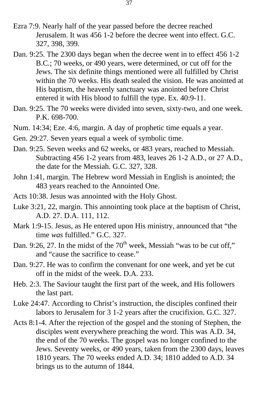- Ezra 7:9. Nearly half of the year passed before the decree reached Jerusalem. It was 456 1-2 before the decree went into effect. G.C. 327, 398, 399.
- Dan. 9:25. The 2300 days began when the decree went in to effect 456 1-2 B.C.; 70 weeks, or 490 years, were determined, or cut off for the Jews. The six definite things mentioned were all fulfilled by Christ within the 70 weeks. His death sealed the vision. He was anointed at His baptism, the heavenly sanctuary was anointed before Christ entered it with His blood to fulfill the type. Ex. 40:9-11.
- Dan. 9:25. The 70 weeks were divided into seven, sixty-two, and one week. P.K. 698-700.
- Num. 14:34; Eze. 4:6, margin. A day of prophetic time equals a year.
- Gen. 29:27. Seven years equal a week of symbolic time.
- Dan. 9:25. Seven weeks and 62 weeks, or 483 years, reached to Messiah. Subtracting 456 1-2 years from 483, leaves 26 1-2 A.D., or 27 A.D., the date for the Messiah. G.C. 327, 328.
- John 1:41, margin. The Hebrew word Messiah in English is anointed; the 483 years reached to the Annointed One.
- Acts 10:38. Jesus was annointed with the Holy Ghost.
- Luke 3:21, 22, margin. This annointing took place at the baptism of Christ, A.D. 27. D.A. 111, 112.
- Mark 1:9-15. Jesus, as He entered upon His ministry, announced that "the time *was* fulfilled." G.C. 327.
- Dan. 9:26, 27. In the midst of the  $70<sup>th</sup>$  week, Messiah "was to be cut off," and "cause the sacrifice to cease."
- Dan. 9:27. He was to confirm the convenant for one week, and yet be cut off in the midst of the week. D.A. 233.
- Heb. 2:3. The Saviour taught the first part of the week, and His followers the last part.
- Luke 24:47. According to Christ's instruction, the disciples confined their labors to Jerusalem for 3 1-2 years after the crucifixion. G.C. 327.
- Acts 8:1-4. After the rejection of the gospel and the stoning of Stephen, the disciples went everywhere preaching the word. This was A.D. 34, the end of the 70 weeks. The gospel was no longer confined to the Jews. Seventy weeks, or 490 years, taken from the 2300 days, leaves 1810 years. The 70 weeks ended A.D. 34; 1810 added to A.D. 34 brings us to the autumn of 1844.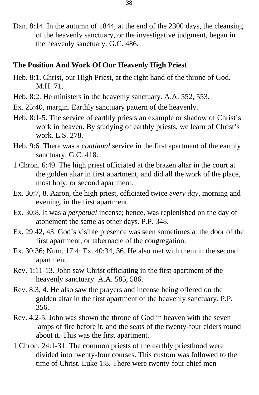Dan. 8:14. In the autumn of 1844, at the end of the 2300 days, the cleansing of the heavenly sanctuary, or the investigative judgment, began in the heavenly sanctuary. G.C. 486.

#### **The Position And Work Of Our Heavenly High Priest**

- Heb. 8:1. Christ, our High Priest, at the right hand of the throne of God. M.H. 71.
- Heb. 8:2. He ministers in the heavenly sanctuary. A.A. 552, 553.
- Ex. 25:40, margin. Earthly sanctuary pattern of the heavenly.
- Heb. 8:1-5. The service of earthly priests an example or shadow of Christ's work in heaven. By studying of earthly priests, we learn of Christ's work. L.S. 278.
- Heb. 9:6. There was a *continual* service in the first apartment of the earthly sanctuary. G.C. 418.
- 1 Chron. 6:49. The high priest officiated at the brazen altar in the court at the golden altar in first apartment, and did all the work of the place, most holy, or second apartment.
- Ex. 30:7, 8. Aaron, the high priest, officiated twice *every day*, morning and evening, in the first apartment.
- Ex. 30:8. It was a *perpetual* incense; hence, was replenished on the day of atonement the same as other days. P.P. 348.
- Ex. 29:42, 43. God's visible presence was seen sometimes at the door of the first apartment, or tabernacle of the congregation.
- Ex. 30:36; Num. 17:4; Ex. 40:34, 36. He also met with them in the second apartment.
- Rev. 1:11-13. John saw Christ officiating in the first apartment of the heavenly sanctuary. A.A. 585, 586.
- Rev. 8:3, 4. He also saw the prayers and incense being offered on the golden altar in the first apartment of the heavenly sanctuary. P.P. 356.
- Rev. 4:2-5. John was shown the throne of God in heaven with the seven lamps of fire before it, and the seats of the twenty-four elders round about it. This was the first apartment.
- 1 Chron. 24:1-31. The common priests of the earthly priesthood were divided into twenty-four courses. This custom was followed to the time of Christ. Luke 1:8. There were twenty-four chief men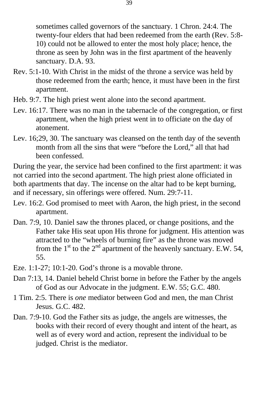sometimes called governors of the sanctuary. 1 Chron. 24:4. The twenty-four elders that had been redeemed from the earth (Rev. 5:8- 10) could not be allowed to enter the most holy place; hence, the throne as seen by John was in the first apartment of the heavenly sanctuary. D.A. 93.

- Rev. 5:1-10. With Christ in the midst of the throne a service was held by those redeemed from the earth; hence, it must have been in the first apartment.
- Heb. 9:7. The high priest went alone into the second apartment.
- Lev. 16:17. There was no man in the tabernacle of the congregation, or first apartment, when the high priest went in to officiate on the day of atonement.
- Lev. 16;29, 30. The sanctuary was cleansed on the tenth day of the seventh month from all the sins that were "before the Lord," all that had been confessed.

During the year, the service had been confined to the first apartment: it was not carried into the second apartment. The high priest alone officiated in both apartments that day. The incense on the altar had to be kept burning, and if necessary, sin offerings were offered. Num. 29:7-11.

- Lev. 16:2. God promised to meet with Aaron, the high priest, in the second apartment.
- Dan. 7:9, 10. Daniel saw the thrones placed, or change positions, and the Father take His seat upon His throne for judgment. His attention was attracted to the "wheels of burning fire" as the throne was moved from the  $1<sup>st</sup>$  to the  $2<sup>nd</sup>$  apartment of the heavenly sanctuary. E.W. 54, 55.
- Eze. 1:1-27; 10:1-20. God's throne is a movable throne.
- Dan 7:13, 14. Daniel beheld Christ borne in before the Father by the angels of God as our Advocate in the judgment. E.W. 55; G.C. 480.
- 1 Tim. 2:5. There is *one* mediator between God and men, the man Christ Jesus. G.C. 482.
- Dan. 7:9-10. God the Father sits as judge, the angels are witnesses, the books with their record of every thought and intent of the heart, as well as of every word and action, represent the individual to be judged. Christ is the mediator.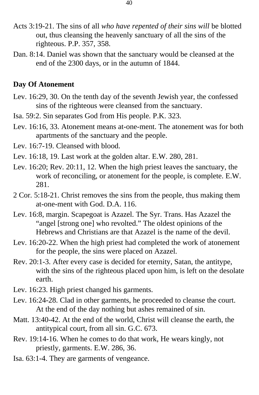- Acts 3:19-21. The sins of all *who have repented of their sins will* be blotted out, thus cleansing the heavenly sanctuary of all the sins of the righteous. P.P. 357, 358.
- Dan. 8:14. Daniel was shown that the sanctuary would be cleansed at the end of the 2300 days, or in the autumn of 1844.

#### **Day Of Atonement**

- Lev. 16:29, 30. On the tenth day of the seventh Jewish year, the confessed sins of the righteous were cleansed from the sanctuary.
- Isa. 59:2. Sin separates God from His people. P.K. 323.
- Lev. 16:16, 33. Atonement means at-one-ment. The atonement was for both apartments of the sanctuary and the people.
- Lev. 16:7-19. Cleansed with blood.
- Lev. 16:18, 19. Last work at the golden altar. E.W. 280, 281.
- Lev. 16:20; Rev. 20:11, 12. When the high priest leaves the sanctuary, the work of reconciling, or atonement for the people, is complete. E.W. 281.
- 2 Cor. 5:18-21. Christ removes the sins from the people, thus making them at-one-ment with God. D.A. 116.
- Lev. 16:8, margin. Scapegoat is Azazel. The Syr. Trans. Has Azazel the "angel [strong one] who revolted." The oldest opinions of the Hebrews and Christians are that Azazel is the name of the devil.
- Lev. 16:20-22. When the high priest had completed the work of atonement for the people, the sins were placed on Azazel.
- Rev. 20:1-3. After every case is decided for eternity, Satan, the antitype, with the sins of the righteous placed upon him, is left on the desolate earth.
- Lev. 16:23. High priest changed his garments.
- Lev. 16:24-28. Clad in other garments, he proceeded to cleanse the court. At the end of the day nothing but ashes remained of sin.
- Matt. 13:40-42. At the end of the world, Christ will cleanse the earth, the antitypical court, from all sin. G.C. 673.
- Rev. 19:14-16. When he comes to do that work, He wears kingly, not priestly, garments. E.W. 286, 36.
- Isa. 63:1-4. They are garments of vengeance.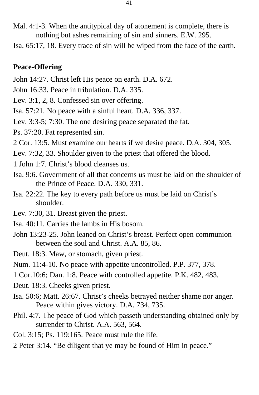- Mal. 4:1-3. When the antitypical day of atonement is complete, there is nothing but ashes remaining of sin and sinners. E.W. 295.
- Isa. 65:17, 18. Every trace of sin will be wiped from the face of the earth.

## **Peace-Offering**

- John 14:27. Christ left His peace on earth. D.A. 672.
- John 16:33. Peace in tribulation. D.A. 335.
- Lev. 3:1, 2, 8. Confessed sin over offering.
- Isa. 57:21. No peace with a sinful heart. D.A. 336, 337.
- Lev. 3:3-5; 7:30. The one desiring peace separated the fat.
- Ps. 37:20. Fat represented sin.
- 2 Cor. 13:5. Must examine our hearts if we desire peace. D.A. 304, 305.
- Lev. 7:32, 33. Shoulder given to the priest that offered the blood.
- 1 John 1:7. Christ's blood cleanses us.
- Isa. 9:6. Government of all that concerns us must be laid on the shoulder of the Prince of Peace. D.A. 330, 331.
- Isa. 22:22. The key to every path before us must be laid on Christ's shoulder.
- Lev. 7:30, 31. Breast given the priest.
- Isa. 40:11. Carries the lambs in His bosom.
- John 13:23-25. John leaned on Christ's breast. Perfect open communion between the soul and Christ. A.A. 85, 86.
- Deut. 18:3. Maw, or stomach, given priest.
- Num. 11:4-10. No peace with appetite uncontrolled. P.P. 377, 378.
- 1 Cor.10:6; Dan. 1:8. Peace with controlled appetite. P.K. 482, 483.
- Deut. 18:3. Cheeks given priest.
- Isa. 50:6; Matt. 26:67. Christ's cheeks betrayed neither shame nor anger. Peace within gives victory. D.A. 734, 735.
- Phil. 4:7. The peace of God which passeth understanding obtained only by surrender to Christ. A.A. 563, 564.
- Col. 3:15; Ps. 119:165. Peace must rule the life.
- 2 Peter 3:14. "Be diligent that ye may be found of Him in peace."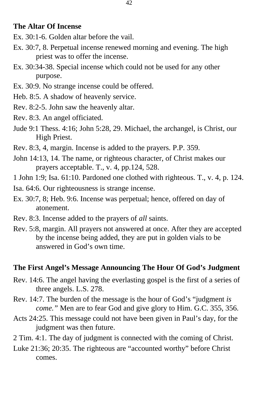#### **The Altar Of Incense**

- Ex. 30:1-6. Golden altar before the vail.
- Ex. 30:7, 8. Perpetual incense renewed morning and evening. The high priest was to offer the incense.
- Ex. 30:34-38. Special incense which could not be used for any other purpose.
- Ex. 30:9. No strange incense could be offered.
- Heb. 8:5. A shadow of heavenly service.
- Rev. 8:2-5. John saw the heavenly altar.
- Rev. 8:3. An angel officiated.
- Jude 9:1 Thess. 4:16; John 5:28, 29. Michael, the archangel, is Christ, our High Priest.
- Rev. 8:3, 4, margin. Incense is added to the prayers. P.P. 359.
- John 14:13, 14. The name, or righteous character, of Christ makes our prayers acceptable. T., v. 4, pp.124, 528.
- 1 John 1:9; Isa. 61:10. Pardoned one clothed with righteous. T., v. 4, p. 124.
- Isa. 64:6. Our righteousness is strange incense.
- Ex. 30:7, 8; Heb. 9:6. Incense was perpetual; hence, offered on day of atonement.
- Rev. 8:3. Incense added to the prayers of *all* saints.
- Rev. 5:8, margin. All prayers not answered at once. After they are accepted by the incense being added, they are put in golden vials to be answered in God's own time.

#### **The First Angel's Message Announcing The Hour Of God's Judgment**

- Rev. 14:6. The angel having the everlasting gospel is the first of a series of three angels. L.S. 278.
- Rev. 14:7. The burden of the message is the hour of God's "judgment *is come."* Men are to fear God and give glory to Him. G.C. 355, 356.
- Acts 24:25. This message could not have been given in Paul's day, for the judgment was then future.
- 2 Tim. 4:1. The day of judgment is connected with the coming of Christ.
- Luke 21:36; 20:35. The righteous are "accounted worthy" before Christ comes.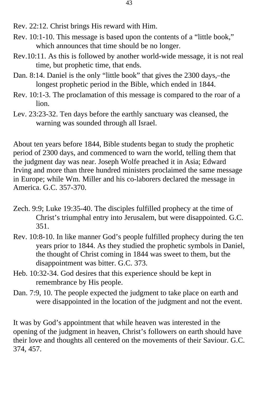- Rev. 22:12. Christ brings His reward with Him.
- Rev. 10:1-10. This message is based upon the contents of a "little book," which announces that time should be no longer.
- Rev.10:11. As this is followed by another world-wide message, it is not real time, but prophetic time, that ends.
- Dan. 8:14. Daniel is the only "little book" that gives the 2300 days,–the longest prophetic period in the Bible, which ended in 1844.
- Rev. 10:1-3. The proclamation of this message is compared to the roar of a lion.
- Lev. 23:23-32. Ten days before the earthly sanctuary was cleansed, the warning was sounded through all Israel.

About ten years before 1844, Bible students began to study the prophetic period of 2300 days, and commenced to warn the world, telling them that the judgment day was near. Joseph Wolfe preached it in Asia; Edward Irving and more than three hundred ministers proclaimed the same message in Europe; while Wm. Miller and his co-laborers declared the message in America. G.C. 357-370.

- Zech. 9:9; Luke 19:35-40. The disciples fulfilled prophecy at the time of Christ's triumphal entry into Jerusalem, but were disappointed. G.C. 351.
- Rev. 10:8-10. In like manner God's people fulfilled prophecy during the ten years prior to 1844. As they studied the prophetic symbols in Daniel, the thought of Christ coming in 1844 was sweet to them, but the disappointment was bitter. G.C. 373.
- Heb. 10:32-34. God desires that this experience should be kept in remembrance by His people.
- Dan. 7:9, 10. The people expected the judgment to take place on earth and were disappointed in the location of the judgment and not the event.

It was by God's appointment that while heaven was interested in the opening of the judgment in heaven, Christ's followers on earth should have their love and thoughts all centered on the movements of their Saviour. G.C. 374, 457.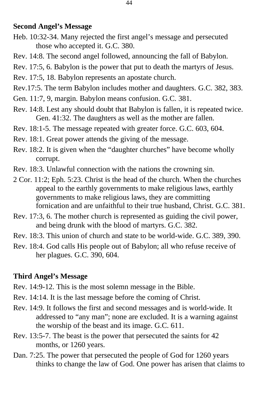#### **Second Angel's Message**

- Heb. 10:32-34. Many rejected the first angel's message and persecuted those who accepted it. G.C. 380.
- Rev. 14:8. The second angel followed, announcing the fall of Babylon.
- Rev. 17:5, 6. Babylon is the power that put to death the martyrs of Jesus.
- Rev. 17:5, 18. Babylon represents an apostate church.
- Rev.17:5. The term Babylon includes mother and daughters. G.C. 382, 383.
- Gen. 11:7, 9, margin. Babylon means confusion. G.C. 381.
- Rev. 14:8. Lest any should doubt that Babylon is fallen, it is repeated twice. Gen. 41:32. The daughters as well as the mother are fallen.
- Rev. 18:1-5. The message repeated with greater force. G.C. 603, 604.
- Rev. 18:1. Great power attends the giving of the message.
- Rev. 18:2. It is given when the "daughter churches" have become wholly corrupt.
- Rev. 18:3. Unlawful connection with the nations the crowning sin.
- 2 Cor. 11:2; Eph. 5:23. Christ is the head of the church. When the churches appeal to the earthly governments to make religious laws, earthly governments to make religious laws, they are committing fornication and are unfaithful to their true husband, Christ. G.C. 381.
- Rev. 17:3, 6. The mother church is represented as guiding the civil power, and being drunk with the blood of martyrs. G.C. 382.
- Rev. 18:3. This union of church and state to be world-wide. G.C. 389, 390.
- Rev. 18:4. God calls His people out of Babylon; all who refuse receive of her plagues. G.C. 390, 604.

## **Third Angel's Message**

- Rev. 14:9-12. This is the most solemn message in the Bible.
- Rev. 14:14. It is the last message before the coming of Christ.
- Rev. 14:9. It follows the first and second messages and is world-wide. It addressed to "any man"; none are excluded. It is a warning against the worship of the beast and its image. G.C. 611.
- Rev. 13:5-7. The beast is the power that persecuted the saints for 42 months, or 1260 years.
- Dan. 7:25. The power that persecuted the people of God for 1260 years thinks to change the law of God. One power has arisen that claims to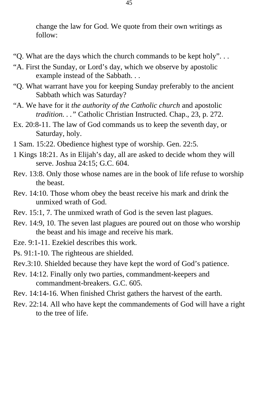change the law for God. We quote from their own writings as follow:

- "Q. What are the days which the church commands to be kept holy". . .
- "A. First the Sunday, or Lord's day, which we observe by apostolic example instead of the Sabbath. . .
- "Q. What warrant have you for keeping Sunday preferably to the ancient Sabbath which was Saturday?
- "A. We have for it *the authority of the Catholic church* and apostolic *tradition. . ."* Catholic Christian Instructed. Chap., 23, p. 272.
- Ex. 20:8-11. The law of God commands us to keep the seventh day, or Saturday, holy.
- 1 Sam. 15:22. Obedience highest type of worship. Gen. 22:5.
- 1 Kings 18:21. As in Elijah's day, all are asked to decide whom they will serve. Joshua 24:15; G.C. 604.
- Rev. 13:8. Only those whose names are in the book of life refuse to worship the beast.
- Rev. 14:10. Those whom obey the beast receive his mark and drink the unmixed wrath of God.
- Rev. 15:1, 7. The unmixed wrath of God is the seven last plagues.
- Rev. 14:9, 10. The seven last plagues are poured out on those who worship the beast and his image and receive his mark.
- Eze. 9:1-11. Ezekiel describes this work.
- Ps. 91:1-10. The righteous are shielded.
- Rev.3:10. Shielded because they have kept the word of God's patience.
- Rev. 14:12. Finally only two parties, commandment-keepers and commandment-breakers. G.C. 605.
- Rev. 14:14-16. When finished Christ gathers the harvest of the earth.
- Rev. 22:14. All who have kept the commandements of God will have a right to the tree of life.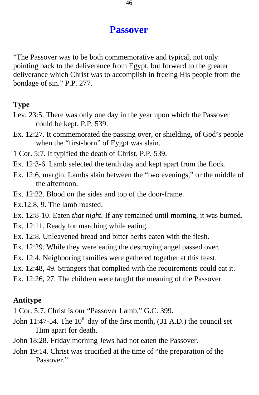# **Passover**

"The Passover was to be both commemorative and typical, not only pointing back to the deliverance from Egypt, but forward to the greater deliverance which Christ was to accomplish in freeing His people from the bondage of sin." P.P. 277.

# **Type**

- Lev. 23:5. There was only one day in the year upon which the Passover could be kept. P.P. 539.
- Ex. 12:27. It commemorated the passing over, or shielding, of God's people when the "first-born" of Eygpt was slain.
- 1 Cor. 5:7. It typified the death of Christ. P.P. 539.
- Ex. 12:3-6. Lamb selected the tenth day and kept apart from the flock.
- Ex. 12:6, margin. Lambs slain between the "two evenings," or the middle of the afternoon.
- Ex. 12:22. Blood on the sides and top of the door-frame.
- Ex.12:8, 9. The lamb roasted.
- Ex. 12:8-10. Eaten *that night.* If any remained until morning, it was burned.
- Ex. 12:11. Ready for marching while eating.
- Ex. 12:8. Unleavened bread and bitter herbs eaten with the flesh.
- Ex. 12:29. While they were eating the destroying angel passed over.
- Ex. 12:4. Neighboring families were gathered together at this feast.
- Ex. 12:48, 49. Strangers that complied with the requirements could eat it.
- Ex. 12:26, 27. The children were taught the meaning of the Passover.

# **Antitype**

- 1 Cor. 5:7. Christ is our "Passover Lamb." G.C. 399.
- John 11:47-54. The  $10^{th}$  day of the first month, (31 A.D.) the council set Him apart for death.
- John 18:28. Friday morning Jews had not eaten the Passover.
- John 19:14. Christ was crucified at the time of "the preparation of the Passover."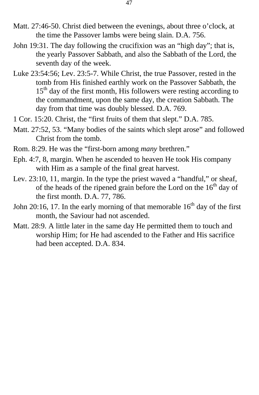- Matt. 27:46-50. Christ died between the evenings, about three o'clock, at the time the Passover lambs were being slain. D.A. 756.
- John 19:31. The day following the crucifixion was an "high day"; that is, the yearly Passover Sabbath, and also the Sabbath of the Lord, the seventh day of the week.
- Luke 23:54:56; Lev. 23:5-7. While Christ, the true Passover, rested in the tomb from His finished earthly work on the Passover Sabbath, the  $15<sup>th</sup>$  day of the first month, His followers were resting according to the commandment, upon the same day, the creation Sabbath. The day from that time was doubly blessed. D.A. 769.
- 1 Cor. 15:20. Christ, the "first fruits of them that slept." D.A. 785.
- Matt. 27:52, 53. "Many bodies of the saints which slept arose" and followed Christ from the tomb.
- Rom. 8:29. He was the "first-born among *many* brethren."
- Eph. 4:7, 8, margin. When he ascended to heaven He took His company with Him as a sample of the final great harvest.
- Lev. 23:10, 11, margin. In the type the priest waved a "handful," or sheaf, of the heads of the ripened grain before the Lord on the  $16<sup>th</sup>$  day of the first month. D.A. 77, 786.
- John 20:16, 17. In the early morning of that memorable  $16<sup>th</sup>$  day of the first month, the Saviour had not ascended.
- Matt. 28:9. A little later in the same day He permitted them to touch and worship Him; for He had ascended to the Father and His sacrifice had been accepted. D.A. 834.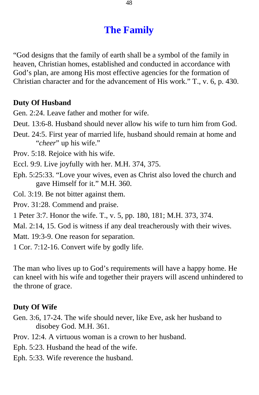# **The Family**

"God designs that the family of earth shall be a symbol of the family in heaven, Christian homes, established and conducted in accordance with God's plan, are among His most effective agencies for the formation of Christian character and for the advancement of His work." T., v. 6, p. 430.

## **Duty Of Husband**

Gen. 2:24. Leave father and mother for wife.

- Deut. 13:6-8. Husband should never allow his wife to turn him from God.
- Deut. 24:5. First year of married life, husband should remain at home and "*cheer*" up his wife."

Prov. 5:18. Rejoice with his wife.

- Eccl. 9:9. Live joyfully with her. M.H. 374, 375.
- Eph. 5:25:33. "Love your wives, even as Christ also loved the church and gave Himself for it." M.H. 360.

Col. 3:19. Be not bitter against them.

Prov. 31:28. Commend and praise.

1 Peter 3:7. Honor the wife. T., v. 5, pp. 180, 181; M.H. 373, 374.

Mal. 2:14, 15. God is witness if any deal treacherously with their wives.

Matt. 19:3-9. One reason for separation.

1 Cor. 7:12-16. Convert wife by godly life.

The man who lives up to God's requirements will have a happy home. He can kneel with his wife and together their prayers will ascend unhindered to the throne of grace.

## **Duty Of Wife**

- Gen. 3:6, 17-24. The wife should never, like Eve, ask her husband to disobey God. M.H. 361.
- Prov. 12:4. A virtuous woman is a crown to her husband.
- Eph. 5:23. Husband the head of the wife.
- Eph. 5:33. Wife reverence the husband.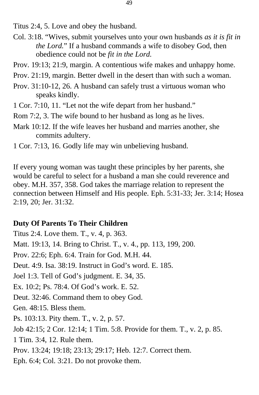Titus 2:4, 5. Love and obey the husband.

- Col. 3:18. "Wives, submit yourselves unto your own husbands *as it is fit in the Lord.*" If a husband commands a wife to disobey God, then obedience could not be *fit in the Lord.*
- Prov. 19:13; 21:9, margin. A contentious wife makes and unhappy home.
- Prov. 21:19, margin. Better dwell in the desert than with such a woman.
- Prov. 31:10-12, 26. A husband can safely trust a virtuous woman who speaks kindly.
- 1 Cor. 7:10, 11. "Let not the wife depart from her husband."
- Rom 7:2, 3. The wife bound to her husband as long as he lives.
- Mark 10:12. If the wife leaves her husband and marries another, she commits adultery.
- 1 Cor. 7:13, 16. Godly life may win unbelieving husband.

If every young woman was taught these principles by her parents, she would be careful to select for a husband a man she could reverence and obey. M.H. 357, 358. God takes the marriage relation to represent the connection between Himself and His people. Eph. 5:31-33; Jer. 3:14; Hosea 2:19, 20; Jer. 31:32.

## **Duty Of Parents To Their Children**

Titus 2:4. Love them. T., v. 4, p. 363. Matt. 19:13, 14. Bring to Christ. T., v. 4., pp. 113, 199, 200. Prov. 22:6; Eph. 6:4. Train for God. M.H. 44. Deut. 4:9. Isa. 38:19. Instruct in God's word. E. 185. Joel 1:3. Tell of God's judgment. E. 34, 35. Ex. 10:2; Ps. 78:4. Of God's work. E. 52. Deut. 32:46. Command them to obey God. Gen. 48:15. Bless them. Ps. 103:13. Pity them. T., v. 2, p. 57. Job 42:15; 2 Cor. 12:14; 1 Tim. 5:8. Provide for them. T., v. 2, p. 85. 1 Tim. 3:4, 12. Rule them. Prov. 13:24; 19:18; 23:13; 29:17; Heb. 12:7. Correct them. Eph. 6:4; Col. 3:21. Do not provoke them.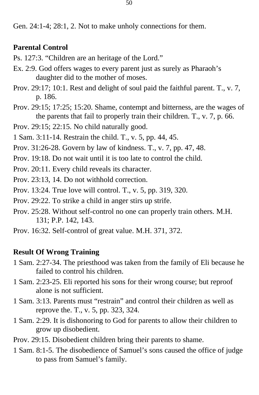Gen. 24:1-4; 28:1, 2. Not to make unholy connections for them.

# **Parental Control**

- Ps. 127:3. "Children are an heritage of the Lord."
- Ex. 2:9. God offers wages to every parent just as surely as Pharaoh's daughter did to the mother of moses.
- Prov. 29:17; 10:1. Rest and delight of soul paid the faithful parent. T., v. 7, p. 186.
- Prov. 29:15; 17:25; 15:20. Shame, contempt and bitterness, are the wages of the parents that fail to properly train their children. T., v. 7, p. 66.
- Prov. 29:15; 22:15. No child naturally good.
- 1 Sam. 3:11-14. Restrain the child. T., v. 5, pp. 44, 45.
- Prov. 31:26-28. Govern by law of kindness. T., v. 7, pp. 47, 48.
- Prov. 19:18. Do not wait until it is too late to control the child.
- Prov. 20:11. Every child reveals its character.
- Prov. 23:13, 14. Do not withhold correction.
- Prov. 13:24. True love will control. T., v. 5, pp. 319, 320.
- Prov. 29:22. To strike a child in anger stirs up strife.
- Prov. 25:28. Without self-control no one can properly train others. M.H. 131; P.P. 142, 143.
- Prov. 16:32. Self-control of great value. M.H. 371, 372.

## **Result Of Wrong Training**

- 1 Sam. 2:27-34. The priesthood was taken from the family of Eli because he failed to control his children.
- 1 Sam. 2:23-25. Eli reported his sons for their wrong course; but reproof alone is not sufficient.
- 1 Sam. 3:13. Parents must "restrain" and control their children as well as reprove the. T., v. 5, pp. 323, 324.
- 1 Sam. 2:29. It is dishonoring to God for parents to allow their children to grow up disobedient.
- Prov. 29:15. Disobedient children bring their parents to shame.
- 1 Sam. 8:1-5. The disobedience of Samuel's sons caused the office of judge to pass from Samuel's family.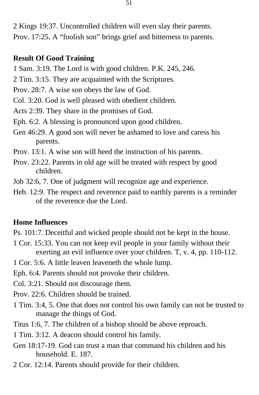2 Kings 19:37. Uncontrolled children will even slay their parents. Prov. 17:25. A "foolish son" brings grief and bitterness to parents.

## **Result Of Good Training**

- 1 Sam. 3:19. The Lord is with good children. P.K. 245, 246.
- 2 Tim. 3:15. They are acquainted with the Scriptures.
- Prov. 28:7. A wise son obeys the law of God.
- Col. 3:20. God is well pleased with obedient children.
- Acts 2:39. They share in the promises of God.
- Eph. 6:2. A blessing is pronounced upon good children.
- Gen 46:29. A good son will never be ashamed to love and caress his parents.
- Prov. 13:1. A wise son will heed the instruction of his parents.
- Prov. 23:22. Parents in old age will be treated with respect by good children.
- Job 32:6, 7. One of judgment will recognize age and experience.
- Heb. 12:9. The respect and reverence paid to earthly parents is a reminder of the reverence due the Lord.

#### **Home Influences**

- Ps. 101:7. Deceitful and wicked people should not be kept in the house.
- 1 Cor. 15:33. You can not keep evil people in your family without their exerting an evil influence over your children. T, v. 4, pp. 110-112.
- 1 Cor. 5:6. A little leaven leaveneth the whole lump.
- Eph. 6:4. Parents should not provoke their children.
- Col. 3:21. Should not discourage them.
- Prov. 22:6. Children should be trained.
- 1 Tim. 3:4, 5. One that does not control his own family can not be trusted to manage the things of God.
- Titus 1:6, 7. The children of a bishop should be above reproach.
- 1 Tim. 3:12. A deacon should control his family.
- Gen 18:17-19. God can trust a man that command his children and his household. E. 187.
- 2 Cor. 12:14. Parents should provide for their children.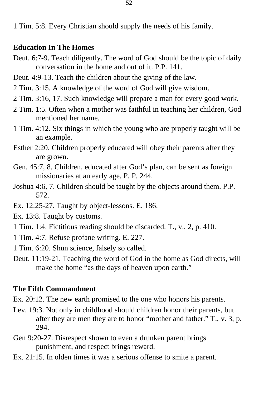1 Tim. 5:8. Every Christian should supply the needs of his family.

#### **Education In The Homes**

- Deut. 6:7-9. Teach diligently. The word of God should be the topic of daily conversation in the home and out of it. P.P. 141.
- Deut. 4:9-13. Teach the children about the giving of the law.
- 2 Tim. 3:15. A knowledge of the word of God will give wisdom.
- 2 Tim. 3:16, 17. Such knowledge will prepare a man for every good work.
- 2 Tim. 1:5. Often when a mother was faithful in teaching her children, God mentioned her name.
- 1 Tim. 4:12. Six things in which the young who are properly taught will be an example.
- Esther 2:20. Children properly educated will obey their parents after they are grown.
- Gen. 45:7, 8. Children, educated after God's plan, can be sent as foreign missionaries at an early age. P. P. 244.
- Joshua 4:6, 7. Children should be taught by the objects around them. P.P. 572.
- Ex. 12:25-27. Taught by object-lessons. E. 186.
- Ex. 13:8. Taught by customs.
- 1 Tim. 1:4. Fictitious reading should be discarded. T., v., 2, p. 410.
- 1 Tim. 4:7. Refuse profane writing. E. 227.
- 1 Tim. 6:20. Shun science, falsely so called.
- Deut. 11:19-21. Teaching the word of God in the home as God directs, will make the home "as the days of heaven upon earth."

## **The Fifth Commandment**

Ex. 20:12. The new earth promised to the one who honors his parents.

- Lev. 19:3. Not only in childhood should children honor their parents, but after they are men they are to honor "mother and father." T., v. 3, p. 294.
- Gen 9:20-27. Disrespect shown to even a drunken parent brings punishment, and respect brings reward.
- Ex. 21:15. In olden times it was a serious offense to smite a parent.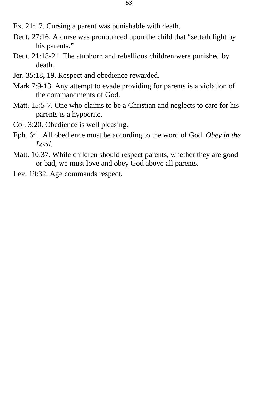- Ex. 21:17. Cursing a parent was punishable with death.
- Deut. 27:16. A curse was pronounced upon the child that "setteth light by his parents."
- Deut. 21:18-21. The stubborn and rebellious children were punished by death.
- Jer. 35:18, 19. Respect and obedience rewarded.
- Mark 7:9-13. Any attempt to evade providing for parents is a violation of the commandments of God.
- Matt. 15:5-7. One who claims to be a Christian and neglects to care for his parents is a hypocrite.
- Col. 3:20. Obedience is well pleasing.
- Eph. 6:1. All obedience must be according to the word of God. *Obey in the Lord.*
- Matt. 10:37. While children should respect parents, whether they are good or bad, we must love and obey God above all parents.
- Lev. 19:32. Age commands respect.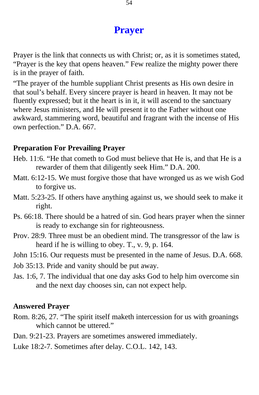# **Prayer**

Prayer is the link that connects us with Christ; or, as it is sometimes stated, "Prayer is the key that opens heaven." Few realize the mighty power there is in the prayer of faith.

"The prayer of the humble suppliant Christ presents as His own desire in that soul's behalf. Every sincere prayer is heard in heaven. It may not be fluently expressed; but it the heart is in it, it will ascend to the sanctuary where Jesus ministers, and He will present it to the Father without one awkward, stammering word, beautiful and fragrant with the incense of His own perfection." D.A. 667.

#### **Preparation For Prevailing Prayer**

- Heb. 11:6. "He that cometh to God must believe that He is, and that He is a rewarder of them that diligently seek Him." D.A. 200.
- Matt. 6:12-15. We must forgive those that have wronged us as we wish God to forgive us.
- Matt. 5:23-25. If others have anything against us, we should seek to make it right.
- Ps. 66:18. There should be a hatred of sin. God hears prayer when the sinner is ready to exchange sin for righteousness.
- Prov. 28:9. Three must be an obedient mind. The transgressor of the law is heard if he is willing to obey. T., v. 9, p. 164.
- John 15:16. Our requests must be presented in the name of Jesus. D.A. 668.
- Job 35:13. Pride and vanity should be put away.
- Jas. 1:6, 7. The individual that one day asks God to help him overcome sin and the next day chooses sin, can not expect help.

## **Answered Prayer**

- Rom. 8:26, 27. "The spirit itself maketh intercession for us with groanings which cannot be uttered."
- Dan. 9:21-23. Prayers are sometimes answered immediately.
- Luke 18:2-7. Sometimes after delay. C.O.L. 142, 143.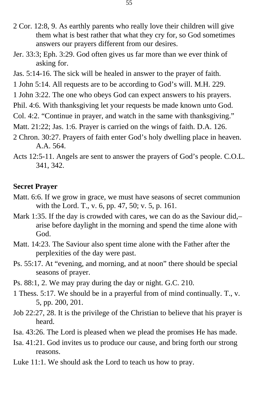- 2 Cor. 12:8, 9. As earthly parents who really love their children will give them what is best rather that what they cry for, so God sometimes answers our prayers different from our desires.
- Jer. 33:3; Eph. 3:29. God often gives us far more than we ever think of asking for.
- Jas. 5:14-16. The sick will be healed in answer to the prayer of faith.
- 1 John 5:14. All requests are to be according to God's will. M.H. 229.
- 1 John 3:22. The one who obeys God can expect answers to his prayers.
- Phil. 4:6. With thanksgiving let your requests be made known unto God.
- Col. 4:2. "Continue in prayer, and watch in the same with thanksgiving."
- Matt. 21:22; Jas. 1:6. Prayer is carried on the wings of faith. D.A. 126.
- 2 Chron. 30:27. Prayers of faith enter God's holy dwelling place in heaven. A.A. 564.
- Acts 12:5-11. Angels are sent to answer the prayers of God's people. C.O.L. 341, 342.

#### **Secret Prayer**

- Matt. 6:6. If we grow in grace, we must have seasons of secret communion with the Lord. T., v. 6, pp. 47, 50; v. 5, p. 161.
- Mark 1:35. If the day is crowded with cares, we can do as the Saviour did,arise before daylight in the morning and spend the time alone with God.
- Matt. 14:23. The Saviour also spent time alone with the Father after the perplexities of the day were past.
- Ps. 55:17. At "evening, and morning, and at noon" there should be special seasons of prayer.
- Ps. 88:1, 2. We may pray during the day or night. G.C. 210.
- 1 Thess. 5:17. We should be in a prayerful from of mind continually. T., v. 5, pp. 200, 201.
- Job 22:27, 28. It is the privilege of the Christian to believe that his prayer is heard.
- Isa. 43:26. The Lord is pleased when we plead the promises He has made.
- Isa. 41:21. God invites us to produce our cause, and bring forth our strong reasons.
- Luke 11:1. We should ask the Lord to teach us how to pray.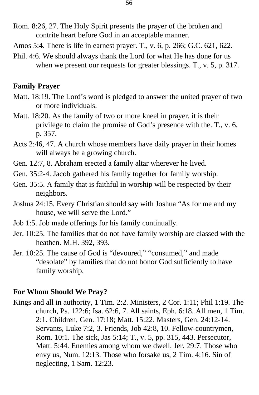- Rom. 8:26, 27. The Holy Spirit presents the prayer of the broken and contrite heart before God in an acceptable manner.
- Amos 5:4. There is life in earnest prayer. T., v. 6, p. 266; G.C. 621, 622.
- Phil. 4:6. We should always thank the Lord for what He has done for us when we present our requests for greater blessings. T., v. 5, p. 317.

## **Family Prayer**

- Matt. 18:19. The Lord's word is pledged to answer the united prayer of two or more individuals.
- Matt. 18:20. As the family of two or more kneel in prayer, it is their privilege to claim the promise of God's presence with the. T., v. 6, p. 357.
- Acts 2:46, 47. A church whose members have daily prayer in their homes will always be a growing church.
- Gen. 12:7, 8. Abraham erected a family altar wherever he lived.
- Gen. 35:2-4. Jacob gathered his family together for family worship.
- Gen. 35:5. A family that is faithful in worship will be respected by their neighbors.
- Joshua 24:15. Every Christian should say with Joshua "As for me and my house, we will serve the Lord."
- Job 1:5. Job made offerings for his family continually.
- Jer. 10:25. The families that do not have family worship are classed with the heathen. M.H. 392, 393.
- Jer. 10:25. The cause of God is "devoured," "consumed," and made "desolate" by families that do not honor God sufficiently to have family worship.

## **For Whom Should We Pray?**

Kings and all in authority, 1 Tim. 2:2. Ministers, 2 Cor. 1:11; Phil 1:19. The church, Ps. 122:6; Isa. 62:6, 7. All saints, Eph. 6:18. All men, 1 Tim. 2:1. Children, Gen. 17:18; Matt. 15:22. Masters, Gen. 24:12-14. Servants, Luke 7:2, 3. Friends, Job 42:8, 10. Fellow-countrymen, Rom. 10:1. The sick, Jas 5:14; T., v. 5, pp. 315, 443. Persecutor, Matt. 5:44. Enemies among whom we dwell, Jer. 29:7. Those who envy us, Num. 12:13. Those who forsake us, 2 Tim. 4:16. Sin of neglecting, 1 Sam. 12:23.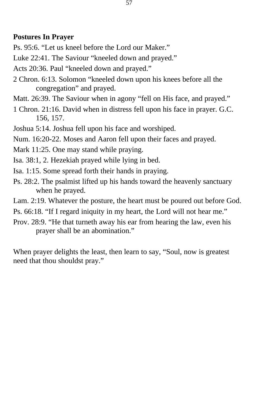## **Postures In Prayer**

Ps. 95:6. "Let us kneel before the Lord our Maker."

Luke 22:41. The Saviour "kneeled down and prayed."

Acts 20:36. Paul "kneeled down and prayed."

- 2 Chron. 6:13. Solomon "kneeled down upon his knees before all the congregation" and prayed.
- Matt. 26:39. The Saviour when in agony "fell on His face, and prayed."
- 1 Chron. 21:16. David when in distress fell upon his face in prayer. G.C. 156, 157.
- Joshua 5:14. Joshua fell upon his face and worshiped.
- Num. 16:20-22. Moses and Aaron fell upon their faces and prayed.
- Mark 11:25. One may stand while praying.
- Isa. 38:1, 2. Hezekiah prayed while lying in bed.
- Isa. 1:15. Some spread forth their hands in praying.
- Ps. 28:2. The psalmist lifted up his hands toward the heavenly sanctuary when he prayed.
- Lam. 2:19. Whatever the posture, the heart must be poured out before God.
- Ps. 66:18. "If I regard iniquity in my heart, the Lord will not hear me."
- Prov. 28:9. "He that turneth away his ear from hearing the law, even his prayer shall be an abomination."

When prayer delights the least, then learn to say, "Soul, now is greatest need that thou shouldst pray."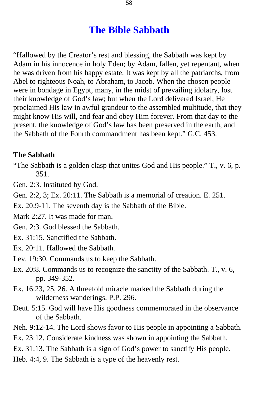# **The Bible Sabbath**

"Hallowed by the Creator's rest and blessing, the Sabbath was kept by Adam in his innocence in holy Eden; by Adam, fallen, yet repentant, when he was driven from his happy estate. It was kept by all the patriarchs, from Abel to righteous Noah, to Abraham, to Jacob. When the chosen people were in bondage in Egypt, many, in the midst of prevailing idolatry, lost their knowledge of God's law; but when the Lord delivered Israel, He proclaimed His law in awful grandeur to the assembled multitude, that they might know His will, and fear and obey Him forever. From that day to the present, the knowledge of God's law has been preserved in the earth, and the Sabbath of the Fourth commandment has been kept." G.C. 453.

#### **The Sabbath**

"The Sabbath is a golden clasp that unites God and His people." T., v. 6, p. 351.

Gen. 2:3. Instituted by God.

Gen. 2:2, 3; Ex. 20:11. The Sabbath is a memorial of creation. E. 251.

Ex. 20:9-11. The seventh day is the Sabbath of the Bible.

Mark 2:27. It was made for man.

Gen. 2:3. God blessed the Sabbath.

- Ex. 31:15. Sanctified the Sabbath.
- Ex. 20:11. Hallowed the Sabbath.
- Lev. 19:30. Commands us to keep the Sabbath.
- Ex. 20:8. Commands us to recognize the sanctity of the Sabbath. T., v. 6, pp. 349-352.
- Ex. 16:23, 25, 26. A threefold miracle marked the Sabbath during the wilderness wanderings. P.P. 296.
- Deut. 5:15. God will have His goodness commemorated in the observance of the Sabbath.
- Neh. 9:12-14. The Lord shows favor to His people in appointing a Sabbath.
- Ex. 23:12. Considerate kindness was shown in appointing the Sabbath.
- Ex. 31:13. The Sabbath is a sign of God's power to sanctify His people.
- Heb. 4:4, 9. The Sabbath is a type of the heavenly rest.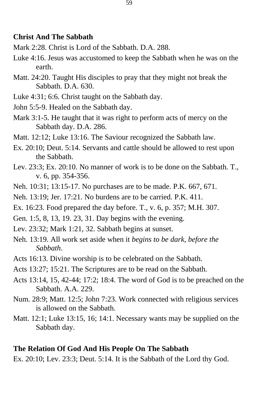#### **Christ And The Sabbath**

- Mark 2:28. Christ is Lord of the Sabbath. D.A. 288.
- Luke 4:16. Jesus was accustomed to keep the Sabbath when he was on the earth.
- Matt. 24:20. Taught His disciples to pray that they might not break the Sabbath. D.A. 630.
- Luke 4:31; 6:6. Christ taught on the Sabbath day.
- John 5:5-9. Healed on the Sabbath day.
- Mark 3:1-5. He taught that it was right to perform acts of mercy on the Sabbath day. D.A. 286.
- Matt. 12:12; Luke 13:16. The Saviour recognized the Sabbath law.
- Ex. 20:10; Deut. 5:14. Servants and cattle should be allowed to rest upon the Sabbath.
- Lev. 23:3; Ex. 20:10. No manner of work is to be done on the Sabbath. T., v. 6, pp. 354-356.
- Neh. 10:31; 13:15-17. No purchases are to be made. P.K. 667, 671.
- Neh. 13:19; Jer. 17:21. No burdens are to be carried. P.K. 411.
- Ex. 16:23. Food prepared the day before. T., v. 6, p. 357; M.H. 307.
- Gen. 1:5, 8, 13, 19. 23, 31. Day begins with the evening.
- Lev. 23:32; Mark 1:21, 32. Sabbath begins at sunset.
- Neh. 13:19. All work set aside when it *begins to be dark, before the Sabbath*.
- Acts 16:13. Divine worship is to be celebrated on the Sabbath.
- Acts 13:27; 15:21. The Scriptures are to be read on the Sabbath.
- Acts 13:14, 15, 42-44; 17:2; 18:4. The word of God is to be preached on the Sabbath. A.A. 229.
- Num. 28:9; Matt. 12:5; John 7:23. Work connected with religious services is allowed on the Sabbath.
- Matt. 12:1; Luke 13:15, 16; 14:1. Necessary wants may be supplied on the Sabbath day.

#### **The Relation Of God And His People On The Sabbath**

Ex. 20:10; Lev. 23:3; Deut. 5:14. It is the Sabbath of the Lord thy God.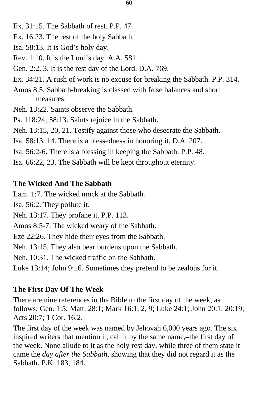- Ex. 31:15. The Sabbath of rest. P.P. 47.
- Ex. 16:23. The rest of the holy Sabbath.
- Isa. 58:13. It is God's holy day.
- Rev. 1:10. It is the Lord's day. A.A. 581.
- Gen. 2:2, 3. It is the rest day of the Lord. D.A. 769.
- Ex. 34:21. A rush of work is no excuse for breaking the Sabbath. P.P. 314.
- Amos 8:5. Sabbath-breaking is classed with false balances and short measures.
- Neh. 13:22. Saints observe the Sabbath.
- Ps. 118:24; 58:13. Saints rejoice in the Sabbath.
- Neh. 13:15, 20, 21. Testify against those who desecrate the Sabbath.
- Isa. 58:13, 14. There is a blessedness in honoring it. D.A. 207.
- Isa. 56:2-6. There is a blessing in keeping the Sabbath. P.P. 48.
- Isa. 66:22, 23. The Sabbath will be kept throughout eternity.

## **The Wicked And The Sabbath**

Lam. 1:7. The wicked mock at the Sabbath.

- Isa. 56:2. They pollute it.
- Neh. 13:17. They profane it. P.P. 113.

Amos 8:5-7. The wicked weary of the Sabbath.

Eze 22:26. They hide their eyes from the Sabbath.

Neh. 13:15. They also bear burdens upon the Sabbath.

Neh. 10:31. The wicked traffic on the Sabbath.

Luke 13:14; John 9:16. Sometimes they pretend to be zealous for it.

## **The First Day Of The Week**

There are nine references in the Bible to the first day of the week, as follows: Gen. 1:5; Matt. 28:1; Mark 16:1, 2, 9; Luke 24:1; John 20:1; 20:19; Acts 20:7; 1 Cor. 16:2.

The first day of the week was named by Jehovah 6,000 years ago. The six inspired writers that mention it, call it by the same name,–the first day of the week. None allude to it as the holy rest day, while three of them state it came the *day after the Sabbath,* showing that they did not regard it as the Sabbath. P.K. 183, 184.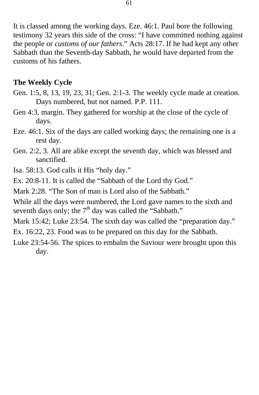It is classed among the working days. Eze. 46:1. Paul bore the following testimony 32 years this side of the cross: "I have committed nothing against the people or *customs of our fathers*." Acts 28:17. If he had kept any other Sabbath than the Seventh-day Sabbath, he would have departed from the customs of his fathers.

## **The Weekly Cycle**

- Gen. 1:5, 8, 13, 19, 23, 31; Gen. 2:1-3. The weekly cycle made at creation. Days numbered, but not named. P.P. 111.
- Gen 4:3, margin. They gathered for worship at the close of the cycle of days.
- Eze. 46:1. Six of the days are called working days; the remaining one is a rest day.
- Gen. 2:2, 3. All are alike except the seventh day, which was blessed and sanctified.

Isa. 58:13. God calls it His "holy day."

Ex. 20:8-11. It is called the "Sabbath of the Lord thy God."

Mark 2:28. "The Son of man is Lord also of the Sabbath."

While all the days were numbered, the Lord gave names to the sixth and seventh days only; the  $7<sup>th</sup>$  day was called the "Sabbath."

Mark 15:42; Luke 23:54. The sixth day was called the "preparation day."

Ex. 16:22, 23. Food was to be prepared on this day for the Sabbath.

Luke 23:54-56. The spices to embalm the Saviour were brought upon this day.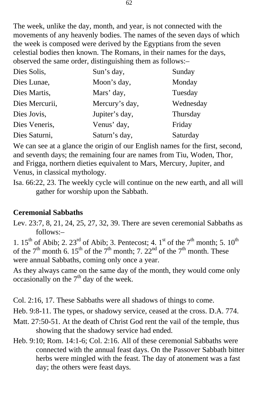The week, unlike the day, month, and year, is not connected with the movements of any heavenly bodies. The names of the seven days of which the week is composed were derived by the Egyptians from the seven celestial bodies then known. The Romans, in their names for the days, observed the same order, distinguishing them as follows:–

| Dies Solis,    | Sun's day,     | Sunday    |
|----------------|----------------|-----------|
| Dies Lunae,    | Moon's day,    | Monday    |
| Dies Martis,   | Mars' day,     | Tuesday   |
| Dies Mercurii, | Mercury's day, | Wednesday |
| Dies Jovis,    | Jupiter's day, | Thursday  |
| Dies Veneris,  | Venus' day,    | Friday    |
| Dies Saturni,  | Saturn's day,  | Saturday  |

We can see at a glance the origin of our English names for the first, second, and seventh days; the remaining four are names from Tiu, Woden, Thor, and Frigga, northern dieties equivalent to Mars, Mercury, Jupiter, and Venus, in classical mythology.

Isa. 66:22, 23. The weekly cycle will continue on the new earth, and all will gather for worship upon the Sabbath.

# **Ceremonial Sabbaths**

Lev. 23:7, 8, 21, 24, 25, 27, 32, 39. There are seven ceremonial Sabbaths as follows:–

1.  $15<sup>th</sup>$  of Abib; 2.  $23<sup>rd</sup>$  of Abib; 3. Pentecost; 4. 1<sup>st</sup> of the 7<sup>th</sup> month; 5.  $10<sup>th</sup>$ of the  $7<sup>th</sup>$  month 6. 15<sup>th</sup> of the  $7<sup>th</sup>$  month; 7. 22<sup>nd</sup> of the  $7<sup>th</sup>$  month. These were annual Sabbaths, coming only once a year.

As they always came on the same day of the month, they would come only occasionally on the  $7<sup>th</sup>$  day of the week.

Col. 2:16, 17. These Sabbaths were all shadows of things to come.

Heb. 9:8-11. The types, or shadowy service, ceased at the cross. D.A. 774.

- Matt. 27:50-51. At the death of Christ God rent the vail of the temple, thus showing that the shadowy service had ended.
- Heb. 9:10; Rom. 14:1-6; Col. 2:16. All of these ceremonial Sabbaths were connected with the annual feast days. On the Passover Sabbath bitter herbs were mingled with the feast. The day of atonement was a fast day; the others were feast days.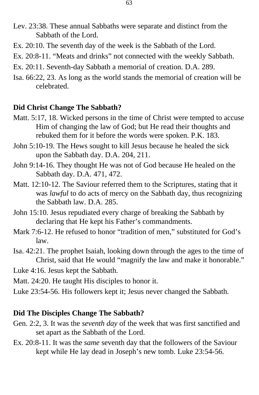- Lev. 23:38. These annual Sabbaths were separate and distinct from the Sabbath of the Lord.
- Ex. 20:10. The seventh day of the week is the Sabbath of the Lord.
- Ex. 20:8-11. "Meats and drinks" not connected with the weekly Sabbath.
- Ex. 20:11. Seventh-day Sabbath a memorial of creation. D.A. 289.
- Isa. 66:22, 23. As long as the world stands the memorial of creation will be celebrated.

#### **Did Christ Change The Sabbath?**

- Matt. 5:17, 18. Wicked persons in the time of Christ were tempted to accuse Him of changing the law of God; but He read their thoughts and rebuked them for it before the words were spoken. P.K. 183.
- John 5:10-19. The Hews sought to kill Jesus because he healed the sick upon the Sabbath day. D.A. 204, 211.
- John 9:14-16. They thought He was not of God because He healed on the Sabbath day. D.A. 471, 472.
- Matt. 12:10-12. The Saviour referred them to the Scriptures, stating that it was *lawful* to do acts of mercy on the Sabbath day, thus recognizing the Sabbath law. D.A. 285.
- John 15:10. Jesus repudiated every charge of breaking the Sabbath by declaring that He kept his Father's commandments.
- Mark 7:6-12. He refused to honor "tradition of men," substituted for God's law.
- Isa. 42:21. The prophet Isaiah, looking down through the ages to the time of Christ, said that He would "magnify the law and make it honorable."
- Luke 4:16. Jesus kept the Sabbath.
- Matt. 24:20. He taught His disciples to honor it.
- Luke 23:54-56. His followers kept it; Jesus never changed the Sabbath.

## **Did The Disciples Change The Sabbath?**

- Gen. 2:2, 3. It was the *seventh day* of the week that was first sanctified and set apart as the Sabbath of the Lord.
- Ex. 20:8-11. It was the *same* seventh day that the followers of the Saviour kept while He lay dead in Joseph's new tomb. Luke 23:54-56.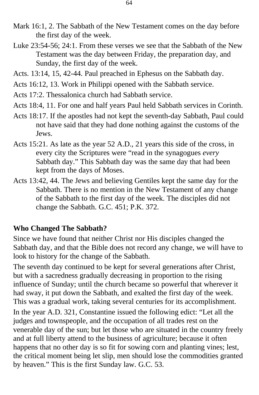- Mark 16:1, 2. The Sabbath of the New Testament comes on the day before the first day of the week.
- Luke 23:54-56; 24:1. From these verses we see that the Sabbath of the New Testament was the day between Friday, the preparation day, and Sunday, the first day of the week.
- Acts. 13:14, 15, 42-44. Paul preached in Ephesus on the Sabbath day.
- Acts 16:12, 13. Work in Philippi opened with the Sabbath service.
- Acts 17:2. Thessalonica church had Sabbath service.
- Acts 18:4, 11. For one and half years Paul held Sabbath services in Corinth.
- Acts 18:17. If the apostles had not kept the seventh-day Sabbath, Paul could not have said that they had done nothing against the customs of the Jews.
- Acts 15:21. As late as the year 52 A.D., 21 years this side of the cross, in every city the Scriptures were "read in the synagogues *every*  Sabbath day." This Sabbath day was the same day that had been kept from the days of Moses.
- Acts 13:42, 44. The Jews and believing Gentiles kept the same day for the Sabbath. There is no mention in the New Testament of any change of the Sabbath to the first day of the week. The disciples did not change the Sabbath. G.C. 451; P.K. 372.

# **Who Changed The Sabbath?**

Since we have found that neither Christ nor His disciples changed the Sabbath day, and that the Bible does not record any change, we will have to look to history for the change of the Sabbath.

The seventh day continued to be kept for several generations after Christ, but with a sacredness gradually decreasing in proportion to the rising influence of Sunday; until the church became so powerful that wherever it had sway, it put down the Sabbath, and exalted the first day of the week. This was a gradual work, taking several centuries for its accomplishment. In the year A.D. 321, Constantine issued the following edict: "Let all the judges and townspeople, and the occupation of all trades rest on the venerable day of the sun; but let those who are situated in the country freely and at full liberty attend to the business of agriculture; because it often happens that no other day is so fit for sowing corn and planting vines; lest, the critical moment being let slip, men should lose the commodities granted by heaven." This is the first Sunday law. G.C. 53.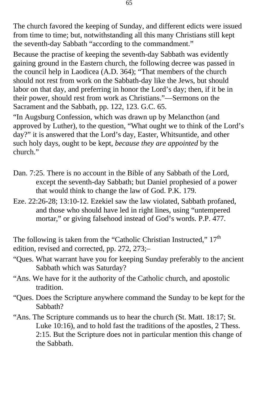The church favored the keeping of Sunday, and different edicts were issued from time to time; but, notwithstanding all this many Christians still kept the seventh-day Sabbath "according to the commandment."

Because the practise of keeping the seventh-day Sabbath was evidently gaining ground in the Eastern church, the following decree was passed in the council help in Laodicea (A.D. 364); "That members of the church should not rest from work on the Sabbath-day like the Jews, but should labor on that day, and preferring in honor the Lord's day; then, if it be in their power, should rest from work as Christians."—Sermons on the Sacrament and the Sabbath, pp. 122, 123. G.C. 65.

"In Augsburg Confession, which was drawn up by Melancthon (and approved by Luther), to the question, "What ought we to think of the Lord's day?" it is answered that the Lord's day, Easter, Whitsuntide, and other such holy days, ought to be kept, *because they are appointed* by the church."

- Dan. 7:25. There is no account in the Bible of any Sabbath of the Lord, except the seventh-day Sabbath; but Daniel prophesied of a power that would think to change the law of God. P.K. 179.
- Eze. 22:26-28; 13:10-12. Ezekiel saw the law violated, Sabbath profaned, and those who should have led in right lines, using "untempered mortar," or giving falsehood instead of God's words. P.P. 477.

The following is taken from the "Catholic Christian Instructed,"  $17<sup>th</sup>$ edition, revised and corrected, pp. 272, 273;–

- "Ques. What warrant have you for keeping Sunday preferably to the ancient Sabbath which was Saturday?
- "Ans. We have for it the authority of the Catholic church, and apostolic tradition.
- "Ques. Does the Scripture anywhere command the Sunday to be kept for the Sabbath?
- "Ans. The Scripture commands us to hear the church (St. Matt. 18:17; St. Luke 10:16), and to hold fast the traditions of the apostles, 2 Thess. 2:15. But the Scripture does not in particular mention this change of the Sabbath.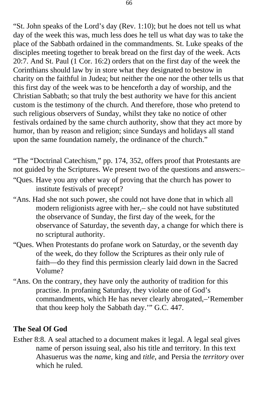"St. John speaks of the Lord's day (Rev. 1:10); but he does not tell us what day of the week this was, much less does he tell us what day was to take the place of the Sabbath ordained in the commandments. St. Luke speaks of the disciples meeting together to break bread on the first day of the week. Acts 20:7. And St. Paul (1 Cor. 16:2) orders that on the first day of the week the Corinthians should law by in store what they designated to bestow in charity on the faithful in Judea; but neither the one nor the other tells us that this first day of the week was to be henceforth a day of worship, and the Christian Sabbath; so that truly the best authority we have for this ancient custom is the testimony of the church. And therefore, those who pretend to such religious observers of Sunday, whilst they take no notice of other festivals ordained by the same church authority, show that they act more by humor, than by reason and religion; since Sundays and holidays all stand upon the same foundation namely, the ordinance of the church."

"The "Doctrinal Catechism," pp. 174, 352, offers proof that Protestants are not guided by the Scriptures. We present two of the questions and answers:–

- "Ques. Have you any other way of proving that the church has power to institute festivals of precept?
- "Ans. Had she not such power, she could not have done that in which all modern religionists agree with her,– she could not have substituted the observance of Sunday, the first day of the week, for the observance of Saturday, the seventh day, a change for which there is no scriptural authority.
- "Ques. When Protestants do profane work on Saturday, or the seventh day of the week, do they follow the Scriptures as their only rule of faith—do they find this permission clearly laid down in the Sacred Volume?
- "Ans. On the contrary, they have only the authority of tradition for this practise. In profaning Saturday, they violate one of God's commandments, which He has never clearly abrogated,–'Remember that thou keep holy the Sabbath day.'" G.C. 447.

# **The Seal Of God**

Esther 8:8. A seal attached to a document makes it legal. A legal seal gives name of person issuing seal, also his title and territory. In this text Ahasuerus was the *name,* king and *title*, and Persia the *territory* over which he ruled.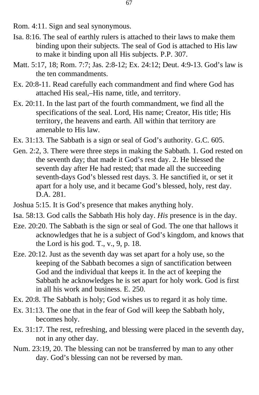Rom. 4:11. Sign and seal synonymous.

- Isa. 8:16. The seal of earthly rulers is attached to their laws to make them binding upon their subjects. The seal of God is attached to His law to make it binding upon all His subjects. P.P. 307.
- Matt. 5:17, 18; Rom. 7:7; Jas. 2:8-12; Ex. 24:12; Deut. 4:9-13. God's law is the ten commandments.
- Ex. 20:8-11. Read carefully each commandment and find where God has attached His seal,–His name, title, and territory.
- Ex. 20:11. In the last part of the fourth commandment, we find all the specifications of the seal. Lord, His name; Creator, His title; His territory, the heavens and earth. All within that territory are amenable to His law.
- Ex. 31:13. The Sabbath is a sign or seal of God's authority. G.C. 605.
- Gen. 2:2, 3. There were three steps in making the Sabbath. 1. God rested on the seventh day; that made it God's rest day. 2. He blessed the seventh day after He had rested; that made all the succeeding seventh-days God's blessed rest days. 3. He sanctified it, or set it apart for a holy use, and it became God's blessed, holy, rest day. D.A. 281.
- Joshua 5:15. It is God's presence that makes anything holy.
- Isa. 58:13. God calls the Sabbath His holy day. *His* presence is in the day.
- Eze. 20:20. The Sabbath is the sign or seal of God. The one that hallows it acknowledges that he is a subject of God's kingdom, and knows that the Lord is his god. T., v., 9, p. 18.
- Eze. 20:12. Just as the seventh day was set apart for a holy use, so the keeping of the Sabbath becomes a sign of sanctification between God and the individual that keeps it. In the act of keeping the Sabbath he acknowledges he is set apart for holy work. God is first in all his work and business. E. 250.
- Ex. 20:8. The Sabbath is holy; God wishes us to regard it as holy time.
- Ex. 31:13. The one that in the fear of God will keep the Sabbath holy, becomes holy.
- Ex. 31:17. The rest, refreshing, and blessing were placed in the seventh day, not in any other day.
- Num. 23:19, 20. The blessing can not be transferred by man to any other day. God's blessing can not be reversed by man.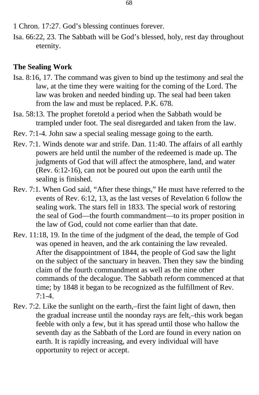1 Chron. 17:27. God's blessing continues forever.

Isa. 66:22, 23. The Sabbath will be God's blessed, holy, rest day throughout eternity.

# **The Sealing Work**

- Isa. 8:16, 17. The command was given to bind up the testimony and seal the law, at the time they were waiting for the coming of the Lord. The law was broken and needed binding up. The seal had been taken from the law and must be replaced. P.K. 678.
- Isa. 58:13. The prophet foretold a period when the Sabbath would be trampled under foot. The seal disregarded and taken from the law.
- Rev. 7:1-4. John saw a special sealing message going to the earth.
- Rev. 7:1. Winds denote war and strife. Dan. 11:40. The affairs of all earthly powers are held until the number of the redeemed is made up. The judgments of God that will affect the atmosphere, land, and water (Rev. 6:12-16), can not be poured out upon the earth until the sealing is finished.
- Rev. 7:1. When God said, "After these things," He must have referred to the events of Rev. 6:12, 13, as the last verses of Revelation 6 follow the sealing work. The stars fell in 1833. The special work of restoring the seal of God—the fourth commandment—to its proper position in the law of God, could not come earlier than that date.
- Rev. 11:18, 19. In the time of the judgment of the dead, the temple of God was opened in heaven, and the ark containing the law revealed. After the disappointment of 1844, the people of God saw the light on the subject of the sanctuary in heaven. Then they saw the binding claim of the fourth commandment as well as the nine other commands of the decalogue. The Sabbath reform commenced at that time; by 1848 it began to be recognized as the fulfillment of Rev.  $7:1-4.$
- Rev. 7:2. Like the sunlight on the earth,–first the faint light of dawn, then the gradual increase until the noonday rays are felt,–this work began feeble with only a few, but it has spread until those who hallow the seventh day as the Sabbath of the Lord are found in every nation on earth. It is rapidly increasing, and every individual will have opportunity to reject or accept.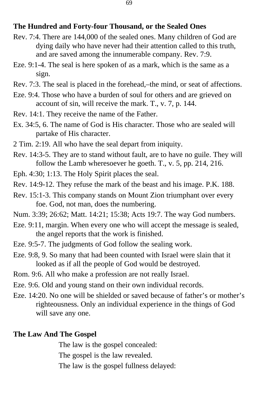#### **The Hundred and Forty-four Thousand, or the Sealed Ones**

- Rev. 7:4. There are 144,000 of the sealed ones. Many children of God are dying daily who have never had their attention called to this truth, and are saved among the innumerable company. Rev. 7:9.
- Eze. 9:1-4. The seal is here spoken of as a mark, which is the same as a sign.
- Rev. 7:3. The seal is placed in the forehead,–the mind, or seat of affections.
- Eze. 9:4. Those who have a burden of soul for others and are grieved on account of sin, will receive the mark. T., v. 7, p. 144.
- Rev. 14:1. They receive the name of the Father.
- Ex. 34:5, 6. The name of God is His character. Those who are sealed will partake of His character.
- 2 Tim. 2:19. All who have the seal depart from iniquity.
- Rev. 14:3-5. They are to stand without fault, are to have no guile. They will follow the Lamb wheresoever he goeth. T., v. 5, pp. 214, 216.
- Eph. 4:30; 1:13. The Holy Spirit places the seal.
- Rev. 14:9-12. They refuse the mark of the beast and his image. P.K. 188.
- Rev. 15:1-3. This company stands on Mount Zion triumphant over every foe. God, not man, does the numbering.
- Num. 3:39; 26:62; Matt. 14:21; 15:38; Acts 19:7. The way God numbers.
- Eze. 9:11, margin. When every one who will accept the message is sealed, the angel reports that the work is finished.
- Eze. 9:5-7. The judgments of God follow the sealing work.
- Eze. 9:8, 9. So many that had been counted with Israel were slain that it looked as if all the people of God would be destroyed.
- Rom. 9:6. All who make a profession are not really Israel.
- Eze. 9:6. Old and young stand on their own individual records.
- Eze. 14:20. No one will be shielded or saved because of father's or mother's righteousness. Only an individual experience in the things of God will save any one.

#### **The Law And The Gospel**

The law is the gospel concealed: The gospel is the law revealed. The law is the gospel fullness delayed: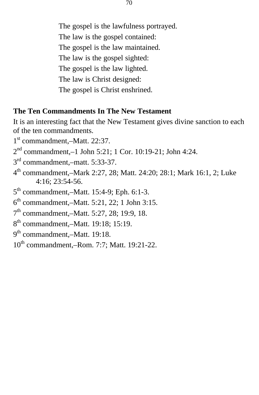The gospel is the lawfulness portrayed. The law is the gospel contained: The gospel is the law maintained. The law is the gospel sighted: The gospel is the law lighted. The law is Christ designed: The gospel is Christ enshrined.

#### **The Ten Commandments In The New Testament**

It is an interesting fact that the New Testament gives divine sanction to each of the ten commandments.

- 1 st commandment,–Matt. 22:37.
- 2 nd commandment,–1 John 5:21; 1 Cor. 10:19-21; John 4:24.
- 3<sup>rd</sup> commandment,-matt. 5:33-37.
- 4 th commandment,–Mark 2:27, 28; Matt. 24:20; 28:1; Mark 16:1, 2; Luke 4:16; 23:54-56.
- 5<sup>th</sup> commandment,-Matt. 15:4-9; Eph. 6:1-3.
- 6 th commandment,–Matt. 5:21, 22; 1 John 3:15.
- 7<sup>th</sup> commandment,-Matt. 5:27, 28; 19:9, 18.
- 8<sup>th</sup> commandment,–Matt. 19:18; 15:19.
- 9<sup>th</sup> commandment,–Matt. 19:18.
- 10th commandment,–Rom. 7:7; Matt. 19:21-22.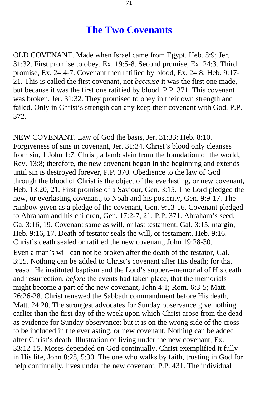# **The Two Covenants**

OLD COVENANT. Made when Israel came from Egypt, Heb. 8:9; Jer. 31:32. First promise to obey, Ex. 19:5-8. Second promise, Ex. 24:3. Third promise, Ex. 24:4-7. Covenant then ratified by blood, Ex. 24:8; Heb. 9:17- 21. This is called the first covenant, not *because* it was the first one made, but because it was the first one ratified by blood. P.P. 371. This covenant was broken. Jer. 31:32. They promised to obey in their own strength and failed. Only in Christ's strength can any keep their covenant with God. P.P. 372.

NEW COVENANT. Law of God the basis, Jer. 31:33; Heb. 8:10. Forgiveness of sins in covenant, Jer. 31:34. Christ's blood only cleanses from sin, 1 John 1:7. Christ, a lamb slain from the foundation of the world, Rev. 13:8; therefore, the new covenant began in the beginning and extends until sin is destroyed forever, P.P. 370. Obedience to the law of God through the blood of Christ is the object of the everlasting, or new covenant, Heb. 13:20, 21. First promise of a Saviour, Gen. 3:15. The Lord pledged the new, or everlasting covenant, to Noah and his posterity, Gen. 9:9-17. The rainbow given as a pledge of the covenant, Gen. 9:13-16. Covenant pledged to Abraham and his children, Gen. 17:2-7, 21; P.P. 371. Abraham's seed, Ga. 3:16, 19. Covenant same as will, or last testament, Gal. 3:15, margin; Heb. 9:16, 17. Death of testator seals the will, or testament, Heb. 9:16. Christ's death sealed or ratified the new covenant, John 19:28-30.

Even a man's will can not be broken after the death of the testator, Gal. 3:15. Nothing can be added to Christ's covenant after His death; for that reason He instituted baptism and the Lord's supper,–memorial of His death and resurrection, *before* the events had taken place, that the memorials might become a part of the new covenant, John 4:1; Rom. 6:3-5; Matt. 26:26-28. Christ renewed the Sabbath commandment before His death, Matt. 24:20. The strongest advocates for Sunday observance give nothing earlier than the first day of the week upon which Christ arose from the dead as evidence for Sunday observance; but it is on the wrong side of the cross to be included in the everlasting, or new covenant. Nothing can be added after Christ's death. Illustration of living under the new covenant, Ex. 33:12-15. Moses depended on God continually. Christ exemplified it fully in His life, John 8:28, 5:30. The one who walks by faith, trusting in God for help continually, lives under the new covenant, P.P. 431. The individual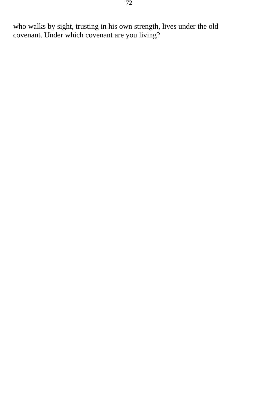who walks by sight, trusting in his own strength, lives under the old covenant. Under which covenant are you living?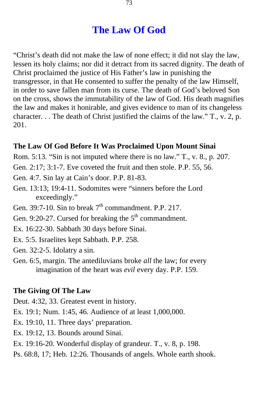## **The Law Of God**

"Christ's death did not make the law of none effect; it did not slay the law, lessen its holy claims; nor did it detract from its sacred dignity. The death of Christ proclaimed the justice of His Father's law in punishing the transgressor, in that He consented to suffer the penalty of the law Himself, in order to save fallen man from its curse. The death of God's beloved Son on the cross, shows the immutability of the law of God. His death magnifies the law and makes it honirable, and gives evidence to man of its changeless character. . . The death of Christ justified the claims of the law." T., v. 2, p. 201.

### **The Law Of God Before It Was Proclaimed Upon Mount Sinai**

- Rom. 5:13. "Sin is not imputed where there is no law." T., v. 8., p. 207.
- Gen. 2:17; 3:1-7. Eve coveted the fruit and then stole. P.P. 55, 56.
- Gen. 4:7. Sin lay at Cain's door. P.P. 81-83.
- Gen. 13:13; 19:4-11. Sodomites were "sinners before the Lord exceedingly."
- Gen. 39:7-10. Sin to break  $7<sup>th</sup>$  commandment. P.P. 217.
- Gen. 9:20-27. Cursed for breaking the  $5<sup>th</sup>$  commandment.
- Ex. 16:22-30. Sabbath 30 days before Sinai.
- Ex. 5:5. Israelites kept Sabbath. P.P. 258.
- Gen. 32:2-5. Idolatry a sin.
- Gen. 6:5, margin. The antediluvians broke *all* the law; for every imagination of the heart was *evil* every day. P.P. 159.

#### **The Giving Of The Law**

Deut. 4:32, 33. Greatest event in history.

- Ex. 19:1; Num. 1:45, 46. Audience of at least 1,000,000.
- Ex. 19:10, 11. Three days' preparation.
- Ex. 19:12, 13. Bounds around Sinai.
- Ex. 19:16-20. Wonderful display of grandeur. T., v. 8, p. 198.
- Ps. 68:8, 17; Heb. 12:26. Thousands of angels. Whole earth shook.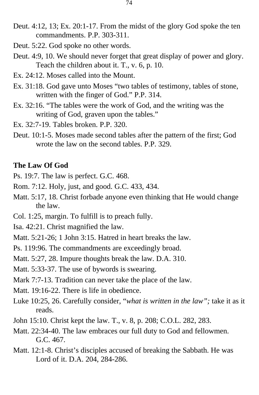- Deut. 4:12, 13; Ex. 20:1-17. From the midst of the glory God spoke the ten commandments. P.P. 303-311.
- Deut. 5:22. God spoke no other words.
- Deut. 4:9, 10. We should never forget that great display of power and glory. Teach the children about it. T., v. 6, p. 10.
- Ex. 24:12. Moses called into the Mount.
- Ex. 31:18. God gave unto Moses "two tables of testimony, tables of stone, written with the finger of God." P.P. 314.
- Ex. 32:16. "The tables were the work of God, and the writing was the writing of God, graven upon the tables."
- Ex. 32:7-19. Tables broken. P.P. 320.
- Deut. 10:1-5. Moses made second tables after the pattern of the first; God wrote the law on the second tables. P.P. 329.

#### **The Law Of God**

Ps. 19:7. The law is perfect. G.C. 468.

Rom. 7:12. Holy, just, and good. G.C. 433, 434.

- Matt. 5:17, 18. Christ forbade anyone even thinking that He would change the law.
- Col. 1:25, margin. To fulfill is to preach fully.
- Isa. 42:21. Christ magnified the law.
- Matt. 5:21-26; 1 John 3:15. Hatred in heart breaks the law.

Ps. 119:96. The commandments are exceedingly broad.

Matt. 5:27, 28. Impure thoughts break the law. D.A. 310.

- Matt. 5:33-37. The use of bywords is swearing.
- Mark 7:7-13. Tradition can never take the place of the law.
- Matt. 19:16-22. There is life in obedience.
- Luke 10:25, 26. Carefully consider, "*what is written in the law";* take it as it reads.
- John 15:10. Christ kept the law. T., v. 8, p. 208; C.O.L. 282, 283.
- Matt. 22:34-40. The law embraces our full duty to God and fellowmen. G.C. 467.
- Matt. 12:1-8. Christ's disciples accused of breaking the Sabbath. He was Lord of it. D.A. 204, 284-286.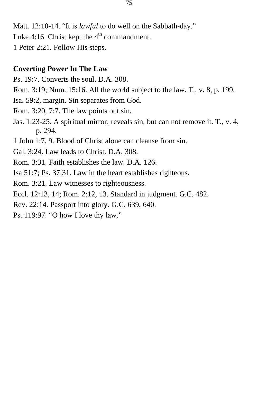Matt. 12:10-14. "It is *lawful* to do well on the Sabbath-day." Luke 4:16. Christ kept the  $4<sup>th</sup>$  commandment.

1 Peter 2:21. Follow His steps.

### **Coverting Power In The Law**

- Ps. 19:7. Converts the soul. D.A. 308.
- Rom. 3:19; Num. 15:16. All the world subject to the law. T., v. 8, p. 199.
- Isa. 59:2, margin. Sin separates from God.
- Rom. 3:20, 7:7. The law points out sin.
- Jas. 1:23-25. A spiritual mirror; reveals sin, but can not remove it. T., v. 4, p. 294.
- 1 John 1:7, 9. Blood of Christ alone can cleanse from sin.
- Gal. 3:24. Law leads to Christ. D.A. 308.
- Rom. 3:31. Faith establishes the law. D.A. 126.
- Isa 51:7; Ps. 37:31. Law in the heart establishes righteous.
- Rom. 3:21. Law witnesses to righteousness.
- Eccl. 12:13, 14; Rom. 2:12, 13. Standard in judgment. G.C. 482.
- Rev. 22:14. Passport into glory. G.C. 639, 640.
- Ps. 119:97. "O how I love thy law."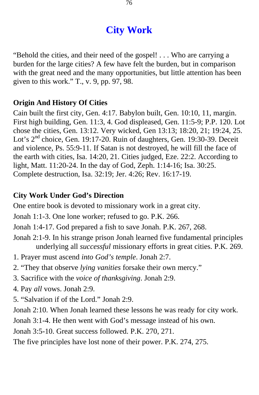# **City Work**

"Behold the cities, and their need of the gospel! . . . Who are carrying a burden for the large cities? A few have felt the burden, but in comparison with the great need and the many opportunities, but little attention has been given to this work." T., v. 9, pp. 97, 98.

### **Origin And History Of Cities**

Cain built the first city, Gen. 4:17. Babylon built, Gen. 10:10, 11, margin. First high building, Gen. 11:3, 4. God displeased, Gen. 11:5-9; P.P. 120. Lot chose the cities, Gen. 13:12. Very wicked, Gen 13:13; 18:20, 21; 19:24, 25. Lot's 2<sup>nd</sup> choice, Gen. 19:17-20. Ruin of daughters, Gen. 19:30-39. Deceit and violence, Ps. 55:9-11. If Satan is not destroyed, he will fill the face of the earth with cities, Isa. 14:20, 21. Cities judged, Eze. 22:2. According to light, Matt. 11:20-24. In the day of God, Zeph. 1:14-16; Isa. 30:25. Complete destruction, Isa. 32:19; Jer. 4:26; Rev. 16:17-19.

#### **City Work Under God's Direction**

One entire book is devoted to missionary work in a great city.

Jonah 1:1-3. One lone worker; refused to go. P.K. 266.

Jonah 1:4-17. God prepared a fish to save Jonah. P.K. 267, 268.

- Jonah 2:1-9. In his strange prison Jonah learned five fundamental principles underlying all *successful* missionary efforts in great cities. P.K. 269.
- 1. Prayer must ascend *into God's temple*. Jonah 2:7.
- 2. "They that observe *lying vanities* forsake their own mercy."
- 3. Sacrifice with the *voice of thanksgiving*. Jonah 2:9.
- 4. Pay *all* vows. Jonah 2:9.
- 5. "Salvation if of the Lord." Jonah 2:9.

Jonah 2:10. When Jonah learned these lessons he was ready for city work.

Jonah 3:1-4. He then went with God's message instead of his own.

Jonah 3:5-10. Great success followed. P.K. 270, 271.

The five principles have lost none of their power. P.K. 274, 275.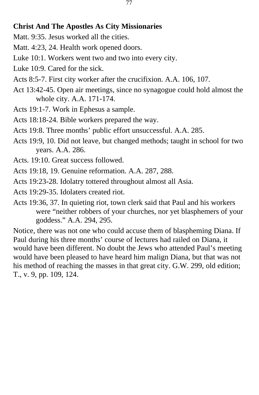## **Christ And The Apostles As City Missionaries**

- Matt. 9:35. Jesus worked all the cities.
- Matt. 4:23, 24. Health work opened doors.
- Luke 10:1. Workers went two and two into every city.
- Luke 10:9. Cared for the sick.
- Acts 8:5-7. First city worker after the crucifixion. A.A. 106, 107.
- Act 13:42-45. Open air meetings, since no synagogue could hold almost the whole city. A.A. 171-174.
- Acts 19:1-7. Work in Ephesus a sample.
- Acts 18:18-24. Bible workers prepared the way.
- Acts 19:8. Three months' public effort unsuccessful. A.A. 285.
- Acts 19:9, 10. Did not leave, but changed methods; taught in school for two years. A.A. 286.
- Acts. 19:10. Great success followed.
- Acts 19:18, 19. Genuine reformation. A.A. 287, 288.
- Acts 19:23-28. Idolatry tottered throughout almost all Asia.
- Acts 19:29-35. Idolaters created riot.
- Acts 19:36, 37. In quieting riot, town clerk said that Paul and his workers were "neither robbers of your churches, nor yet blasphemers of your goddess." A.A. 294, 295.

Notice, there was not one who could accuse them of blaspheming Diana. If Paul during his three months' course of lectures had railed on Diana, it would have been different. No doubt the Jews who attended Paul's meeting would have been pleased to have heard him malign Diana, but that was not his method of reaching the masses in that great city. G.W. 299, old edition; T., v. 9, pp. 109, 124.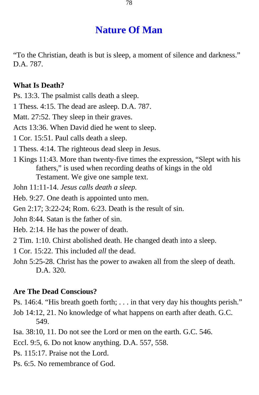# **Nature Of Man**

"To the Christian, death is but is sleep, a moment of silence and darkness." D.A. 787.

#### **What Is Death?**

Ps. 13:3. The psalmist calls death a sleep.

1 Thess. 4:15. The dead are asleep. D.A. 787.

Matt. 27:52. They sleep in their graves.

Acts 13:36. When David died he went to sleep.

1 Cor. 15:51. Paul calls death a sleep.

1 Thess. 4:14. The righteous dead sleep in Jesus.

1 Kings 11:43. More than twenty-five times the expression, "Slept with his fathers," is used when recording deaths of kings in the old Testament. We give one sample text.

John 11:11-14. *Jesus calls death a sleep.* 

Heb. 9:27. One death is appointed unto men.

Gen 2:17; 3:22-24; Rom. 6:23. Death is the result of sin.

John 8:44. Satan is the father of sin.

Heb. 2:14. He has the power of death.

2 Tim. 1:10. Chirst abolished death. He changed death into a sleep.

1 Cor. 15:22. This included *all* the dead.

John 5:25-28. Christ has the power to awaken all from the sleep of death. D.A. 320.

#### **Are The Dead Conscious?**

Ps. 146:4. "His breath goeth forth; . . . in that very day his thoughts perish."

Job 14:12, 21. No knowledge of what happens on earth after death. G.C. 549.

Isa. 38:10, 11. Do not see the Lord or men on the earth. G.C. 546.

Eccl. 9:5, 6. Do not know anything. D.A. 557, 558.

- Ps. 115:17. Praise not the Lord.
- Ps. 6:5. No remembrance of God.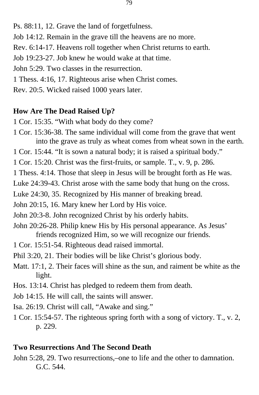- Job 14:12. Remain in the grave till the heavens are no more.
- Rev. 6:14-17. Heavens roll together when Christ returns to earth.
- Job 19:23-27. Job knew he would wake at that time.
- John 5:29. Two classes in the resurrection.
- 1 Thess. 4:16, 17. Righteous arise when Christ comes.
- Rev. 20:5. Wicked raised 1000 years later.

## **How Are The Dead Raised Up?**

- 1 Cor. 15:35. "With what body do they come?
- 1 Cor. 15:36-38. The same individual will come from the grave that went into the grave as truly as wheat comes from wheat sown in the earth.
- 1 Cor. 15:44. "It is sown a natural body; it is raised a spiritual body."
- 1 Cor. 15:20. Christ was the first-fruits, or sample. T., v. 9, p. 286.
- 1 Thess. 4:14. Those that sleep in Jesus will be brought forth as He was.
- Luke 24:39-43. Christ arose with the same body that hung on the cross.
- Luke 24:30, 35. Recognized by His manner of breaking bread.
- John 20:15, 16. Mary knew her Lord by His voice.
- John 20:3-8. John recognized Christ by his orderly habits.
- John 20:26-28. Philip knew His by His personal appearance. As Jesus' friends recognized Him, so we will recognize our friends.
- 1 Cor. 15:51-54. Righteous dead raised immortal.
- Phil 3:20, 21. Their bodies will be like Christ's glorious body.
- Matt. 17:1, 2. Their faces will shine as the sun, and raiment be white as the light.
- Hos. 13:14. Christ has pledged to redeem them from death.
- Job 14:15. He will call, the saints will answer.
- Isa. 26:19. Christ will call, "Awake and sing."
- 1 Cor. 15:54-57. The righteous spring forth with a song of victory. T., v. 2, p. 229.

## **Two Resurrections And The Second Death**

John 5:28, 29. Two resurrections,–one to life and the other to damnation. G.C. 544.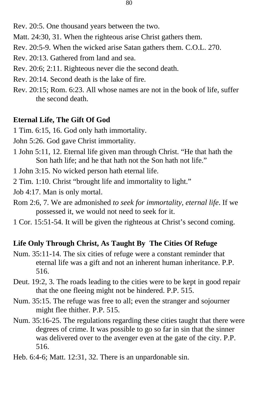- Rev. 20:5. One thousand years between the two.
- Matt. 24:30, 31. When the righteous arise Christ gathers them.
- Rev. 20:5-9. When the wicked arise Satan gathers them. C.O.L. 270.
- Rev. 20:13. Gathered from land and sea.
- Rev. 20:6; 2:11. Righteous never die the second death.
- Rev. 20:14. Second death is the lake of fire.
- Rev. 20:15; Rom. 6:23. All whose names are not in the book of life, suffer the second death.

## **Eternal Life, The Gift Of God**

- 1 Tim. 6:15, 16. God only hath immortality.
- John 5:26. God gave Christ immortality.
- 1 John 5:11, 12. Eternal life given man through Christ. "He that hath the Son hath life; and he that hath not the Son hath not life."
- 1 John 3:15. No wicked person hath eternal life.
- 2 Tim. 1:10. Christ "brought life and immortality to light."
- Job 4:17. Man is only mortal.
- Rom 2:6, 7. We are admonished *to seek for immortality, eternal life*. If we possessed it, we would not need to seek for it.
- 1 Cor. 15:51-54. It will be given the righteous at Christ's second coming.

## **Life Only Through Christ, As Taught By The Cities Of Refuge**

- Num. 35:11-14. The six cities of refuge were a constant reminder that eternal life was a gift and not an inherent human inheritance. P.P. 516.
- Deut. 19:2, 3. The roads leading to the cities were to be kept in good repair that the one fleeing might not be hindered. P.P. 515.
- Num. 35:15. The refuge was free to all; even the stranger and sojourner might flee thither. P.P. 515.
- Num. 35:16-25. The regulations regarding these cities taught that there were degrees of crime. It was possible to go so far in sin that the sinner was delivered over to the avenger even at the gate of the city. P.P. 516.
- Heb. 6:4-6; Matt. 12:31, 32. There is an unpardonable sin.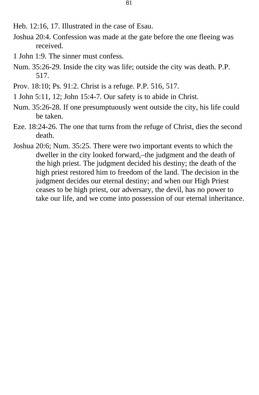- Heb. 12:16, 17. Illustrated in the case of Esau.
- Joshua 20:4. Confession was made at the gate before the one fleeing was received.
- 1 John 1:9. The sinner must confess.
- Num. 35:26-29. Inside the city was life; outside the city was death. P.P. 517.
- Prov. 18:10; Ps. 91:2. Christ is a refuge. P.P. 516, 517.
- 1 John 5:11, 12; John 15:4-7. Our safety is to abide in Christ.
- Num. 35:26-28. If one presumptuously went outside the city, his life could be taken.
- Eze. 18:24-26. The one that turns from the refuge of Christ, dies the second death.
- Joshua 20:6; Num. 35:25. There were two important events to which the dweller in the city looked forward,–the judgment and the death of the high priest. The judgment decided his destiny; the death of the high priest restored him to freedom of the land. The decision in the judgment decides our eternal destiny; and when our High Priest ceases to be high priest, our adversary, the devil, has no power to take our life, and we come into possession of our eternal inheritance.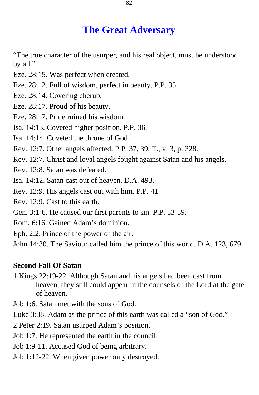## **The Great Adversary**

"The true character of the usurper, and his real object, must be understood by all."

- Eze. 28:15. Was perfect when created.
- Eze. 28:12. Full of wisdom, perfect in beauty. P.P. 35.
- Eze. 28:14. Covering cherub.
- Eze. 28:17. Proud of his beauty.
- Eze. 28:17. Pride ruined his wisdom.
- Isa. 14:13. Coveted higher position. P.P. 36.
- Isa. 14:14. Coveted the throne of God.
- Rev. 12:7. Other angels affected. P.P. 37, 39, T., v. 3, p. 328.
- Rev. 12:7. Christ and loyal angels fought against Satan and his angels.
- Rev. 12:8. Satan was defeated.
- Isa. 14:12. Satan cast out of heaven. D.A. 493.
- Rev. 12:9. His angels cast out with him. P.P. 41.
- Rev. 12:9. Cast to this earth.
- Gen. 3:1-6. He caused our first parents to sin. P.P. 53-59.
- Rom. 6:16. Gained Adam's dominion.
- Eph. 2:2. Prince of the power of the air.

John 14:30. The Saviour called him the prince of this world. D.A. 123, 679.

#### **Second Fall Of Satan**

- 1 Kings 22:19-22. Although Satan and his angels had been cast from heaven, they still could appear in the counsels of the Lord at the gate of heaven.
- Job 1:6. Satan met with the sons of God.

Luke 3:38. Adam as the prince of this earth was called a "son of God."

2 Peter 2:19. Satan usurped Adam's position.

- Job 1:7. He represented the earth in the council.
- Job 1:9-11. Accused God of being arbitrary.
- Job 1:12-22. When given power only destroyed.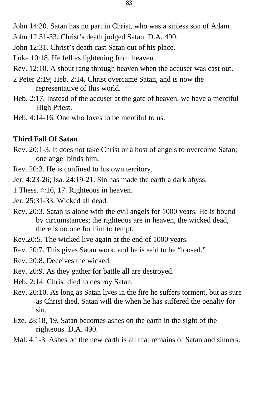John 14:30. Satan has no part in Christ, who was a sinless son of Adam.

John 12:31-33. Christ's death judged Satan. D.A. 490.

John 12:31. Christ's death cast Satan out of his place.

Luke 10:18. He fell as lightening from heaven.

- Rev. 12:10. A shout rang through heaven when the accuser was cast out.
- 2 Peter 2:19; Heb. 2:14. Christ overcame Satan, and is now the representative of this world.
- Heb. 2:17. Instead of the accuser at the gate of heaven, we have a merciful High Priest.
- Heb. 4:14-16. One who loves to be merciful to us.

#### **Third Fall Of Satan**

Rev. 20:1-3. It does not take Christ or a host of angels to overcome Satan; one angel binds him.

Rev. 20:3. He is confined to his own territory.

Jer. 4:23-26; Isa. 24:19-21. Sin has made the earth a dark abyss.

1 Thess. 4:16, 17. Righteous in heaven.

Jer. 25:31-33. Wicked all dead.

- Rev. 20:3. Satan is alone with the evil angels for 1000 years. He is bound by circumstances; the righteous are in heaven, the wicked dead, there is no one for him to tempt.
- Rev.20:5. The wicked live again at the end of 1000 years.
- Rev. 20:7. This gives Satan work, and he is said to be "loosed."

Rev. 20:8. Deceives the wicked.

- Rev. 20:9. As they gather for battle all are destroyed.
- Heb. 2:14. Christ died to destroy Satan.
- Rev. 20:10. As long as Satan lives in the fire he suffers torment, but as sure as Christ died, Satan will die when he has suffered the penalty for sin.
- Eze. 28:18, 19. Satan becomes ashes on the earth in the sight of the righteous. D.A. 490.
- Mal. 4:1-3. Ashes on the new earth is all that remains of Satan and sinners.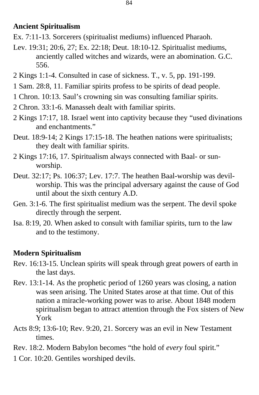### **Ancient Spiritualism**

Ex. 7:11-13. Sorcerers (spiritualist mediums) influenced Pharaoh.

- Lev. 19:31; 20:6, 27; Ex. 22:18; Deut. 18:10-12. Spiritualist mediums, anciently called witches and wizards, were an abomination. G.C. 556.
- 2 Kings 1:1-4. Consulted in case of sickness. T., v. 5, pp. 191-199.
- 1 Sam. 28:8, 11. Familiar spirits profess to be spirits of dead people.
- 1 Chron. 10:13. Saul's crowning sin was consulting familiar spirits.
- 2 Chron. 33:1-6. Manasseh dealt with familiar spirits.
- 2 Kings 17:17, 18. Israel went into captivity because they "used divinations and enchantments."
- Deut. 18:9-14; 2 Kings 17:15-18. The heathen nations were spiritualists; they dealt with familiar spirits.
- 2 Kings 17:16, 17. Spiritualism always connected with Baal- or sunworship.
- Deut. 32:17; Ps. 106:37; Lev. 17:7. The heathen Baal-worship was devilworship. This was the principal adversary against the cause of God until about the sixth century A.D.
- Gen. 3:1-6. The first spiritualist medium was the serpent. The devil spoke directly through the serpent.
- Isa. 8:19, 20. When asked to consult with familiar spirits, turn to the law and to the testimony.

## **Modern Spiritualism**

- Rev. 16:13-15. Unclean spirits will speak through great powers of earth in the last days.
- Rev. 13:1-14. As the prophetic period of 1260 years was closing, a nation was seen arising. The United States arose at that time. Out of this nation a miracle-working power was to arise. About 1848 modern spiritualism began to attract attention through the Fox sisters of New York
- Acts 8:9; 13:6-10; Rev. 9:20, 21. Sorcery was an evil in New Testament times.
- Rev. 18:2. Modern Babylon becomes "the hold of *every* foul spirit."
- 1 Cor. 10:20. Gentiles worshiped devils.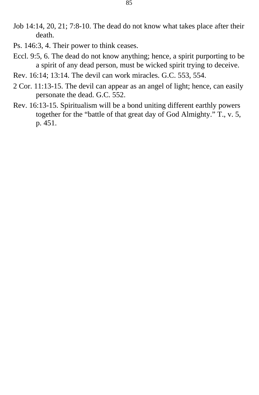- Job 14:14, 20, 21; 7:8-10. The dead do not know what takes place after their death.
- Ps. 146:3, 4. Their power to think ceases.
- Eccl. 9:5, 6. The dead do not know anything; hence, a spirit purporting to be a spirit of any dead person, must be wicked spirit trying to deceive.
- Rev. 16:14; 13:14. The devil can work miracles. G.C. 553, 554.
- 2 Cor. 11:13-15. The devil can appear as an angel of light; hence, can easily personate the dead. G.C. 552.
- Rev. 16:13-15. Spiritualism will be a bond uniting different earthly powers together for the "battle of that great day of God Almighty." T., v. 5, p. 451.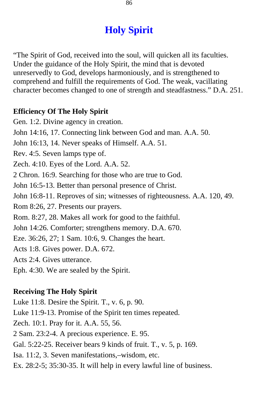# **Holy Spirit**

"The Spirit of God, received into the soul, will quicken all its faculties. Under the guidance of the Holy Spirit, the mind that is devoted unreservedly to God, develops harmoniously, and is strengthened to comprehend and fulfill the requirements of God. The weak, vacillating character becomes changed to one of strength and steadfastness." D.A. 251.

### **Efficiency Of The Holy Spirit**

Gen. 1:2. Divine agency in creation. John 14:16, 17. Connecting link between God and man. A.A. 50. John 16:13, 14. Never speaks of Himself. A.A. 51. Rev. 4:5. Seven lamps type of. Zech. 4:10. Eyes of the Lord. A.A. 52. 2 Chron. 16:9. Searching for those who are true to God. John 16:5-13. Better than personal presence of Christ. John 16:8-11. Reproves of sin; witnesses of righteousness. A.A. 120, 49. Rom 8:26, 27. Presents our prayers. Rom. 8:27, 28. Makes all work for good to the faithful. John 14:26. Comforter; strengthens memory. D.A. 670. Eze. 36:26, 27; 1 Sam. 10:6, 9. Changes the heart. Acts 1:8. Gives power. D.A. 672. Acts 2:4. Gives utterance. Eph. 4:30. We are sealed by the Spirit.

## **Receiving The Holy Spirit**

Luke 11:8. Desire the Spirit. T., v. 6, p. 90.

Luke 11:9-13. Promise of the Spirit ten times repeated.

Zech. 10:1. Pray for it. A.A. 55, 56.

2 Sam. 23:2-4. A precious experience. E. 95.

Gal. 5:22-25. Receiver bears 9 kinds of fruit. T., v. 5, p. 169.

Isa. 11:2, 3. Seven manifestations,–wisdom, etc.

Ex. 28:2-5; 35:30-35. It will help in every lawful line of business.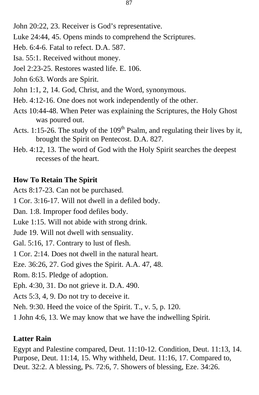Luke 24:44, 45. Opens minds to comprehend the Scriptures.

Heb. 6:4-6. Fatal to refect. D.A. 587.

Isa. 55:1. Received without money.

Joel 2:23-25. Restores wasted life. E. 106.

John 6:63. Words are Spirit.

John 1:1, 2, 14. God, Christ, and the Word, synonymous.

Heb. 4:12-16. One does not work independently of the other.

- Acts 10:44-48. When Peter was explaining the Scriptures, the Holy Ghost was poured out.
- Acts. 1:15-26. The study of the  $109<sup>th</sup>$  Psalm, and regulating their lives by it, brought the Spirit on Pentecost. D.A. 827.
- Heb. 4:12, 13. The word of God with the Holy Spirit searches the deepest recesses of the heart.

## **How To Retain The Spirit**

Acts 8:17-23. Can not be purchased.

1 Cor. 3:16-17. Will not dwell in a defiled body.

Dan. 1:8. Improper food defiles body.

Luke 1:15. Will not abide with strong drink.

Jude 19. Will not dwell with sensuality.

Gal. 5:16, 17. Contrary to lust of flesh.

1 Cor. 2:14. Does not dwell in the natural heart.

Eze. 36:26, 27. God gives the Spirit. A.A. 47, 48.

Rom. 8:15. Pledge of adoption.

Eph. 4:30, 31. Do not grieve it. D.A. 490.

Acts 5:3, 4, 9. Do not try to deceive it.

Neh. 9:30. Heed the voice of the Spirit. T., v. 5, p. 120.

1 John 4:6, 13. We may know that we have the indwelling Spirit.

# **Latter Rain**

Egypt and Palestine compared, Deut. 11:10-12. Condition, Deut. 11:13, 14. Purpose, Deut. 11:14, 15. Why withheld, Deut. 11:16, 17. Compared to, Deut. 32:2. A blessing, Ps. 72:6, 7. Showers of blessing, Eze. 34:26.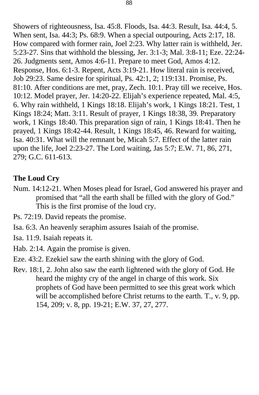Showers of righteousness, Isa. 45:8. Floods, Isa. 44:3. Result, Isa. 44:4, 5. When sent, Isa. 44:3; Ps. 68:9. When a special outpouring, Acts 2:17, 18. How compared with former rain, Joel 2:23. Why latter rain is withheld, Jer. 5:23-27. Sins that withhold the blessing, Jer. 3:1-3; Mal. 3:8-11; Eze. 22:24- 26. Judgments sent, Amos 4:6-11. Prepare to meet God, Amos 4:12. Response, Hos. 6:1-3. Repent, Acts 3:19-21. How literal rain is received, Job 29:23. Same desire for spiritual, Ps. 42:1, 2; 119:131. Promise, Ps. 81:10. After conditions are met, pray, Zech. 10:1. Pray till we receive, Hos. 10:12. Model prayer, Jer. 14:20-22. Elijah's experience repeated, Mal. 4:5, 6. Why rain withheld, 1 Kings 18:18. Elijah's work, 1 Kings 18:21. Test, 1 Kings 18:24; Matt. 3:11. Result of prayer, 1 Kings 18:38, 39. Preparatory work, 1 Kings 18:40. This preparation sign of rain, 1 Kings 18:41. Then he prayed, 1 Kings 18:42-44. Result, 1 Kings 18:45, 46. Reward for waiting, Isa. 40:31. What will the remnant be, Micah 5:7. Effect of the latter rain upon the life, Joel 2:23-27. The Lord waiting, Jas 5:7; E.W. 71, 86, 271, 279; G.C. 611-613.

#### **The Loud Cry**

- Num. 14:12-21. When Moses plead for Israel, God answered his prayer and promised that "all the earth shall be filled with the glory of God." This is the first promise of the loud cry.
- Ps. 72:19. David repeats the promise.
- Isa. 6:3. An heavenly seraphim assures Isaiah of the promise.
- Isa. 11:9. Isaiah repeats it.
- Hab. 2:14. Again the promise is given.
- Eze. 43:2. Ezekiel saw the earth shining with the glory of God.
- Rev. 18:1, 2. John also saw the earth lightened with the glory of God. He heard the mighty cry of the angel in charge of this work. Six prophets of God have been permitted to see this great work which will be accomplished before Christ returns to the earth. T., v. 9, pp. 154, 209; v. 8, pp. 19-21; E.W. 37, 27, 277.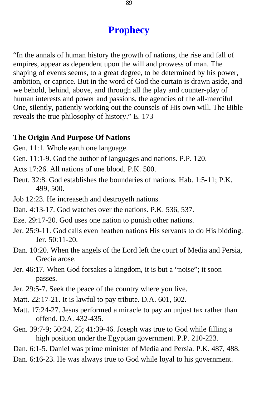## **Prophecy**

"In the annals of human history the growth of nations, the rise and fall of empires, appear as dependent upon the will and prowess of man. The shaping of events seems, to a great degree, to be determined by his power, ambition, or caprice. But in the word of God the curtain is drawn aside, and we behold, behind, above, and through all the play and counter-play of human interests and power and passions, the agencies of the all-merciful One, silently, patiently working out the counsels of His own will. The Bible reveals the true philosophy of history." E. 173

#### **The Origin And Purpose Of Nations**

- Gen. 11:1. Whole earth one language.
- Gen. 11:1-9. God the author of languages and nations. P.P. 120.
- Acts 17:26. All nations of one blood. P.K. 500.
- Deut. 32:8. God establishes the boundaries of nations. Hab. 1:5-11; P.K. 499, 500.
- Job 12:23. He increaseth and destroyeth nations.
- Dan. 4:13-17. God watches over the nations. P.K. 536, 537.
- Eze. 29:17-20. God uses one nation to punish other nations.
- Jer. 25:9-11. God calls even heathen nations His servants to do His bidding. Jer. 50:11-20.
- Dan. 10:20. When the angels of the Lord left the court of Media and Persia, Grecia arose.
- Jer. 46:17. When God forsakes a kingdom, it is but a "noise"; it soon passes.
- Jer. 29:5-7. Seek the peace of the country where you live.
- Matt. 22:17-21. It is lawful to pay tribute. D.A. 601, 602.
- Matt. 17:24-27. Jesus performed a miracle to pay an unjust tax rather than offend. D.A. 432-435.
- Gen. 39:7-9; 50:24, 25; 41:39-46. Joseph was true to God while filling a high position under the Egyptian government. P.P. 210-223.
- Dan. 6:1-5. Daniel was prime minister of Media and Persia. P.K. 487, 488.
- Dan. 6:16-23. He was always true to God while loyal to his government.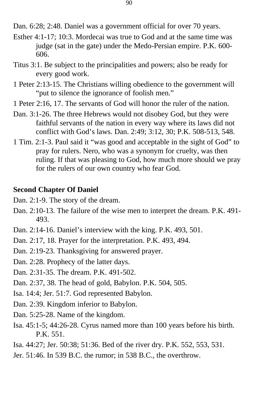Dan. 6:28; 2:48. Daniel was a government official for over 70 years.

- Esther 4:1-17; 10:3. Mordecai was true to God and at the same time was judge (sat in the gate) under the Medo-Persian empire. P.K. 600-606.
- Titus 3:1. Be subject to the principalities and powers; also be ready for every good work.
- 1 Peter 2:13-15. The Christians willing obedience to the government will "put to silence the ignorance of foolish men."
- 1 Peter 2:16, 17. The servants of God will honor the ruler of the nation.
- Dan. 3:1-26. The three Hebrews would not disobey God, but they were faithful servants of the nation in every way where its laws did not conflict with God's laws. Dan. 2:49; 3:12, 30; P.K. 508-513, 548.
- 1 Tim. 2:1-3. Paul said it "was good and acceptable in the sight of God" to pray for rulers. Nero, who was a synonym for cruelty, was then ruling. If that was pleasing to God, how much more should we pray for the rulers of our own country who fear God.

#### **Second Chapter Of Daniel**

- Dan. 2:1-9. The story of the dream.
- Dan. 2:10-13. The failure of the wise men to interpret the dream. P.K. 491 493.
- Dan. 2:14-16. Daniel's interview with the king. P.K. 493, 501.
- Dan. 2:17, 18. Prayer for the interpretation. P.K. 493, 494.
- Dan. 2:19-23. Thanksgiving for answered prayer.
- Dan. 2:28. Prophecy of the latter days.
- Dan. 2:31-35. The dream. P.K. 491-502.
- Dan. 2:37, 38. The head of gold, Babylon. P.K. 504, 505.
- Isa. 14:4; Jer. 51:7. God represented Babylon.
- Dan. 2:39. Kingdom inferior to Babylon.
- Dan. 5:25-28. Name of the kingdom.
- Isa. 45:1-5; 44:26-28. Cyrus named more than 100 years before his birth. P.K. 551.
- Isa. 44:27; Jer. 50:38; 51:36. Bed of the river dry. P.K. 552, 553, 531.
- Jer. 51:46. In 539 B.C. the rumor; in 538 B.C., the overthrow.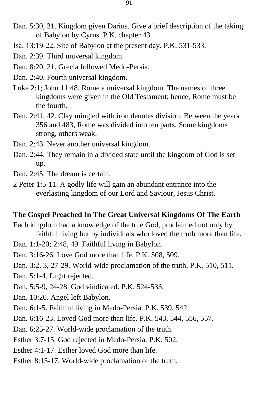- Dan. 5:30, 31. Kingdom given Darius. Give a brief description of the taking of Babylon by Cyrus. P.K. chapter 43.
- Isa. 13:19-22. Site of Babylon at the present day. P.K. 531-533.
- Dan. 2:39. Third universal kingdom.
- Dan. 8:20, 21. Grecia followed Medo-Persia.
- Dan. 2:40. Fourth universal kingdom.
- Luke 2:1; John 11:48. Rome a universal kingdom. The names of three kingdoms were given in the Old Testament; hence, Rome must be the fourth.
- Dan. 2:41, 42. Clay mingled with iron denotes division. Between the years 356 and 483, Rome was divided into ten parts. Some kingdoms strong, others weak.
- Dan. 2:43. Never another universal kingdom.
- Dan. 2:44. They remain in a divided state until the kingdom of God is set up.
- Dan. 2:45. The dream is certain.
- 2 Peter 1:5-11. A godly life will gain an abundant entrance into the everlasting kingdom of our Lord and Saviour, Jesus Christ.

#### **The Gospel Preached In The Great Universal Kingdoms Of The Earth**

Each kingdom had a knowledge of the true God, proclaimed not only by faithful living but by individuals who loved the truth more than life.

- Dan. 1:1-20; 2:48, 49. Faithful living in Babylon.
- Dan. 3:16-26. Love God more than life. P.K. 508, 509.
- Dan. 3:2, 3, 27-29. World-wide proclamation of the truth. P.K. 510, 511.
- Dan. 5:1-4. Light rejected.
- Dan. 5:5-9, 24-28. God vindicated. P.K. 524-533.
- Dan. 10:20. Angel left Babylon.
- Dan. 6:1-5. Faithful living in Medo-Persia. P.K. 539, 542.
- Dan. 6:16-23. Loved God more than life. P.K. 543, 544, 556, 557.
- Dan. 6:25-27. World-wide proclamation of the truth.
- Esther 3:7-15. God rejected in Medo-Persia. P.K. 502.
- Esther 4:1-17. Esther loved God more than life.
- Esther 8:15-17. World-wide proclamation of the truth.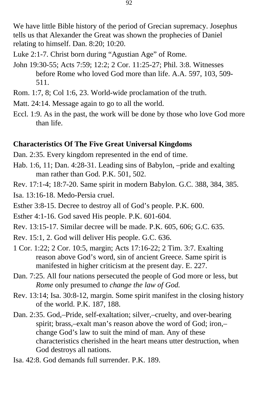We have little Bible history of the period of Grecian supremacy. Josephus tells us that Alexander the Great was shown the prophecies of Daniel relating to himself. Dan. 8:20; 10:20.

- Luke 2:1-7. Christ born during "Agustian Age" of Rome.
- John 19:30-55; Acts 7:59; 12:2; 2 Cor. 11:25-27; Phil. 3:8. Witnesses before Rome who loved God more than life. A.A. 597, 103, 509 511.
- Rom. 1:7, 8; Col 1:6, 23. World-wide proclamation of the truth.
- Matt. 24:14. Message again to go to all the world.
- Eccl. 1:9. As in the past, the work will be done by those who love God more than life.

#### **Characteristics Of The Five Great Universal Kingdoms**

- Dan. 2:35. Every kingdom represented in the end of time.
- Hab. 1:6, 11; Dan. 4:28-31. Leading sins of Babylon, –pride and exalting man rather than God. P.K. 501, 502.
- Rev. 17:1-4; 18:7-20. Same spirit in modern Babylon. G.C. 388, 384, 385.

Isa. 13:16-18. Medo-Persia cruel.

- Esther 3:8-15. Decree to destroy all of God's people. P.K. 600.
- Esther 4:1-16. God saved His people. P.K. 601-604.
- Rev. 13:15-17. Similar decree will be made. P.K. 605, 606; G.C. 635.
- Rev. 15:1, 2. God will deliver His people. G.C. 636.
- 1 Cor. 1:22; 2 Cor. 10:5, margin; Acts 17:16-22; 2 Tim. 3:7. Exalting reason above God's word, sin of ancient Greece. Same spirit is manifested in higher criticism at the present day. E. 227.
- Dan. 7:25. All four nations persecuted the people of God more or less, but *Rome* only presumed to *change the law of God.*
- Rev. 13:14; Isa. 30:8-12, margin. Some spirit manifest in the closing history of the world. P.K. 187, 188.
- Dan. 2:35. God,–Pride, self-exaltation; silver,–cruelty, and over-bearing spirit; brass,–exalt man's reason above the word of God; iron,– change God's law to suit the mind of man. Any of these characteristics cherished in the heart means utter destruction, when God destroys all nations.
- Isa. 42:8. God demands full surrender. P.K. 189.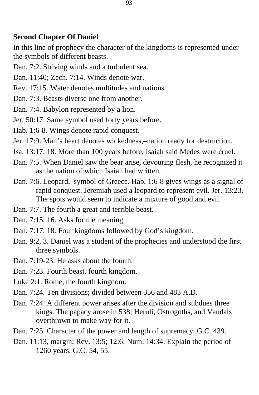#### **Second Chapter Of Daniel**

In this line of prophecy the character of the kingdoms is represented under the symbols of different beasts.

- Dan. 7:2. Striving winds and a turbulent sea.
- Dan. 11:40; Zech. 7:14. Winds denote war.
- Rev. 17:15. Water denotes multitudes and nations.
- Dan. 7:3. Beasts diverse one from another.
- Dan. 7:4. Babylon represented by a lion.
- Jer. 50:17. Same symbol used forty years before.
- Hab. 1:6-8. Wings denote rapid conquest.
- Jer. 17:9. Man's heart denotes wickedness,–nation ready for destruction.
- Isa. 13:17, 18. More than 100 years before, Isaiah said Medes were cruel.
- Dan. 7:5. When Daniel saw the bear arise, devouring flesh, he recognized it as the nation of which Isaiah had written.
- Dan. 7:6. Leopard,–symbol of Greece. Hab. 1:6-8 gives wings as a signal of rapid conquest. Jeremiah used a leopard to represent evil. Jer. 13:23. The spots would seem to indicate a mixture of good and evil.
- Dan. 7:7. The fourth a great and terrible beast.
- Dan. 7:15, 16. Asks for the meaning.
- Dan. 7:17, 18. Four kingdoms followed by God's kingdom.
- Dan. 9:2, 3. Daniel was a student of the prophecies and understood the first three symbols.
- Dan. 7:19-23. He asks about the fourth.
- Dan. 7:23. Fourth beast, fourth kingdom.
- Luke 2:1. Rome, the fourth kingdom.
- Dan. 7:24. Ten divisions; divided between 356 and 483 A.D.
- Dan. 7:24. A different power arises after the division and subdues three kings. The papacy arose in 538; Heruli, Ostrogoths, and Vandals overthrown to make way for it.
- Dan. 7:25. Character of the power and length of supremacy. G.C. 439.
- Dan. 11:13, margin; Rev. 13:5; 12:6; Num. 14:34. Explain the period of 1260 years. G.C. 54, 55.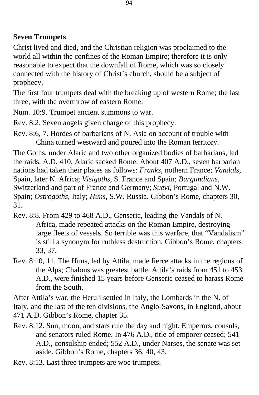### **Seven Trumpets**

Christ lived and died, and the Christian religion was proclaimed to the world all within the confines of the Roman Empire; therefore it is only reasonable to expect that the downfall of Rome, which was so closely connected with the history of Christ's church, should be a subject of prophecy.

The first four trumpets deal with the breaking up of western Rome; the last three, with the overthrow of eastern Rome.

Num. 10:9. Trumpet ancient summons to war.

Rev. 8:2. Seven angels given charge of this prophecy.

Rev. 8:6, 7. Hordes of barbarians of N. Asia on account of trouble with China turned westward and poured into the Roman territory.

The Goths, under Alaric and two other organized bodies of barbarians, led the raids. A.D. 410, Alaric sacked Rome. About 407 A.D., seven barbarian nations had taken their places as follows: *Franks*, nothern France; *Vandals,*  Spain, later N. Africa; *Visigoths*, S. France and Spain; *Burgundians*, Switzerland and part of France and Germany; *Suevi,* Portugal and N.W. Spain; *Ostrogoths,* Italy; *Huns,* S.W. Russia. Gibbon's Rome, chapters 30, 31.

Rev. 8:8. From 429 to 468 A.D., Genseric, leading the Vandals of N. Africa, made repeated attacks on the Roman Empire, destroying large fleets of vessels. So terrible was this warfare, that "Vandalism" is still a synonym for ruthless destruction. Gibbon's Rome, chapters 33, 37.

Rev. 8:10, 11. The Huns, led by Attila, made fierce attacks in the regions of the Alps; Chalons was greatest battle. Attila's raids from 451 to 453 A.D., were finished 15 years before Genseric ceased to harass Rome from the South.

After Attila's war, the Heruli settled in Italy, the Lombards in the N. of Italy, and the last of the ten divisions, the Anglo-Saxons, in England, about 471 A.D. Gibbon's Rome, chapter 35.

Rev. 8:12. Sun, moon, and stars rule the day and night. Emperors, consuls, and senators ruled Rome. In 476 A.D., title of emporer ceased; 541 A.D., consulship ended; 552 A.D., under Narses, the senate was set aside. Gibbon's Rome, chapters 36, 40, 43.

Rev. 8:13. Last three trumpets are woe trumpets.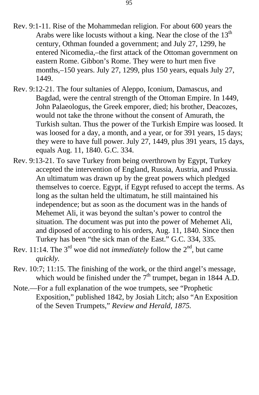- Rev. 9:1-11. Rise of the Mohammedan religion. For about 600 years the Arabs were like locusts without a king. Near the close of the  $13<sup>th</sup>$ century, Othman founded a government; and July 27, 1299, he entered Nicomedia,–the first attack of the Ottoman government on eastern Rome. Gibbon's Rome. They were to hurt men five months,–150 years. July 27, 1299, plus 150 years, equals July 27, 1449.
- Rev. 9:12-21. The four sultanies of Aleppo, Iconium, Damascus, and Bagdad, were the central strength of the Ottoman Empire. In 1449, John Palaeologus, the Greek emporer, died; his brother, Deacozes, would not take the throne without the consent of Amurath, the Turkish sultan. Thus the power of the Turkish Empire was loosed. It was loosed for a day, a month, and a year, or for 391 years, 15 days; they were to have full power. July 27, 1449, plus 391 years, 15 days, equals Aug. 11, 1840. G.C. 334.
- Rev. 9:13-21. To save Turkey from being overthrown by Egypt, Turkey accepted the intervention of England, Russia, Austria, and Prussia. An ultimatum was drawn up by the great powers which pledged themselves to coerce. Egypt, if Egypt refused to accept the terms. As long as the sultan held the ultimatum, he still maintained his independence; but as soon as the document was in the hands of Mehemet Ali, it was beyond the sultan's power to control the situation. The document was put into the power of Mehemet Ali, and diposed of according to his orders, Aug. 11, 1840. Since then Turkey has been "the sick man of the East." G.C. 334, 335.
- Rev. 11:14. The  $3<sup>rd</sup>$  woe did not *immediately* follow the  $2<sup>nd</sup>$ , but came *quickly.*
- Rev. 10:7; 11:15. The finishing of the work, or the third angel's message, which would be finished under the  $7<sup>th</sup>$  trumpet, began in 1844 A.D.
- Note.—For a full explanation of the woe trumpets, see "Prophetic Exposition," published 1842, by Josiah Litch; also "An Exposition of the Seven Trumpets," *Review and Herald, 1875.*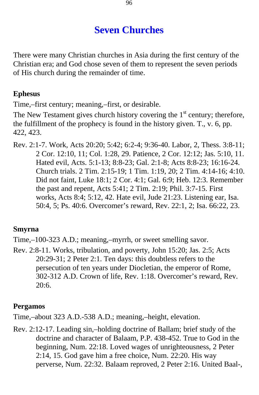# **Seven Churches**

There were many Christian churches in Asia during the first century of the Christian era; and God chose seven of them to represent the seven periods of His church during the remainder of time.

## **Ephesus**

Time,–first century; meaning,–first, or desirable.

The New Testament gives church history covering the  $1<sup>st</sup>$  century; therefore, the fulfillment of the prophecy is found in the history given. T., v. 6, pp. 422, 423.

Rev. 2:1-7. Work, Acts 20:20; 5:42; 6:2-4; 9:36-40. Labor, 2, Thess. 3:8-11; 2 Cor. 12:10, 11; Col. 1:28, 29. Patience, 2 Cor. 12:12; Jas. 5:10, 11. Hated evil, Acts. 5:1-13; 8:8-23; Gal. 2:1-8; Acts 8:8-23; 16:16-24. Church trials. 2 Tim. 2:15-19; 1 Tim. 1:19, 20; 2 Tim. 4:14-16; 4:10. Did not faint, Luke 18:1; 2 Cor. 4:1; Gal. 6:9; Heb. 12:3. Remember the past and repent, Acts 5:41; 2 Tim. 2:19; Phil. 3:7-15. First works, Acts 8:4; 5:12, 42. Hate evil, Jude 21:23. Listening ear, Isa. 50:4, 5; Ps. 40:6. Overcomer's reward, Rev. 22:1, 2; Isa. 66:22, 23.

## **Smyrna**

Time,–100-323 A.D.; meaning,–myrrh, or sweet smelling savor.

Rev. 2:8-11. Works, tribulation, and poverty, John 15:20; Jas. 2:5; Acts 20:29-31; 2 Peter 2:1. Ten days: this doubtless refers to the persecution of ten years under Diocletian, the emperor of Rome, 302-312 A.D. Crown of life, Rev. 1:18. Overcomer's reward, Rev. 20:6.

## **Pergamos**

Time,–about 323 A.D.-538 A.D.; meaning,–height, elevation.

Rev. 2:12-17. Leading sin,–holding doctrine of Ballam; brief study of the doctrine and character of Balaam, P.P. 438-452. True to God in the beginning, Num. 22:18. Loved wages of unrighteousness, 2 Peter 2:14, 15. God gave him a free choice, Num. 22:20. His way perverse, Num. 22:32. Balaam reproved, 2 Peter 2:16. United Baal-,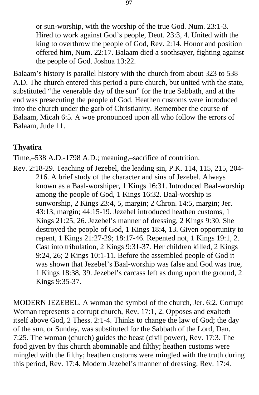or sun-worship, with the worship of the true God. Num. 23:1-3. Hired to work against God's people, Deut. 23:3, 4. United with the king to overthrow the people of God, Rev. 2:14. Honor and position offered him, Num. 22:17. Balaam died a soothsayer, fighting against the people of God. Joshua 13:22.

Balaam's history is parallel history with the church from about 323 to 538 A.D. The church entered this period a pure church, but united with the state, substituted "the venerable day of the sun" for the true Sabbath, and at the end was presecuting the people of God. Heathen customs were introduced into the church under the garb of Christianity. Remember the course of Balaam, Micah 6:5. A woe pronounced upon all who follow the errors of Balaam, Jude 11.

## **Thyatira**

Time,–538 A.D.-1798 A.D.; meaning,–sacrifice of contrition.

Rev. 2:18-29. Teaching of Jezebel, the leading sin, P.K. 114, 115, 215, 204 216. A brief study of the character and sins of Jezebel. Always known as a Baal-worshiper, 1 Kings 16:31. Introduced Baal-worship among the people of God, 1 Kings 16:32. Baal-worship is sunworship, 2 Kings 23:4, 5, margin; 2 Chron. 14:5, margin; Jer. 43:13, margin; 44:15-19. Jezebel introduced heathen customs, 1 Kings 21:25, 26. Jezebel's manner of dressing, 2 Kings 9:30. She destroyed the people of God, 1 Kings 18:4, 13. Given opportunity to repent, 1 Kings 21:27-29; 18:17-46. Repented not, 1 Kings 19:1, 2. Cast into tribulation, 2 Kings 9:31-37. Her children killed, 2 Kings 9:24, 26; 2 Kings 10:1-11. Before the assembled people of God it was shown that Jezebel's Baal-worship was false and God was true, 1 Kings 18:38, 39. Jezebel's carcass left as dung upon the ground, 2 Kings 9:35-37.

MODERN JEZEBEL. A woman the symbol of the church, Jer. 6:2. Corrupt Woman represents a corrupt church, Rev. 17:1, 2. Opposes and exalteth itself above God, 2 Thess. 2:1-4. Thinks to change the law of God; the day of the sun, or Sunday, was substituted for the Sabbath of the Lord, Dan. 7:25. The woman (church) guides the beast (civil power), Rev. 17:3. The food given by this church abominable and filthy; heathen customs were mingled with the filthy; heathen customs were mingled with the truth during this period, Rev. 17:4. Modern Jezebel's manner of dressing, Rev. 17:4.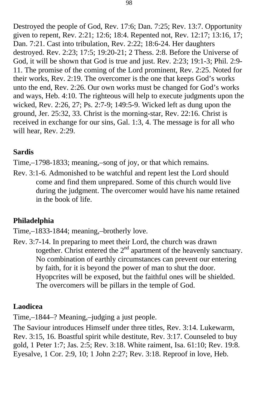Destroyed the people of God, Rev. 17:6; Dan. 7:25; Rev. 13:7. Opportunity given to repent, Rev. 2:21; 12:6; 18:4. Repented not, Rev. 12:17; 13:16, 17; Dan. 7:21. Cast into tribulation, Rev. 2:22; 18:6-24. Her daughters destroyed. Rev. 2:23; 17:5; 19:20-21; 2 Thess. 2:8. Before the Universe of God, it will be shown that God is true and just. Rev. 2:23; 19:1-3; Phil. 2:9- 11. The promise of the coming of the Lord prominent, Rev. 2:25. Noted for their works, Rev. 2:19. The overcomer is the one that keeps God's works unto the end, Rev. 2:26. Our own works must be changed for God's works and ways, Heb. 4:10. The righteous will help to execute judgments upon the wicked, Rev. 2:26, 27; Ps. 2:7-9; 149:5-9. Wicked left as dung upon the ground, Jer. 25:32, 33. Christ is the morning-star, Rev. 22:16. Christ is received in exchange for our sins, Gal. 1:3, 4. The message is for all who will hear, Rev. 2:29.

## **Sardis**

Time,–1798-1833; meaning,–song of joy, or that which remains.

Rev. 3:1-6. Admonished to be watchful and repent lest the Lord should come and find them unprepared. Some of this church would live during the judgment. The overcomer would have his name retained in the book of life.

## **Philadelphia**

Time,–1833-1844; meaning,–brotherly love.

Rev. 3:7-14. In preparing to meet their Lord, the church was drawn together. Christ entered the  $2<sup>nd</sup>$  apartment of the heavenly sanctuary. No combination of earthly circumstances can prevent our entering by faith, for it is beyond the power of man to shut the door. Hyopcrites will be exposed, but the faithful ones will be shielded. The overcomers will be pillars in the temple of God.

## **Laodicea**

Time,–1844–? Meaning,–judging a just people.

The Saviour introduces Himself under three titles, Rev. 3:14. Lukewarm, Rev. 3:15, 16. Boastful spirit while destitute, Rev. 3:17. Counseled to buy gold, 1 Peter 1:7; Jas. 2:5; Rev. 3:18. White raiment, Isa. 61:10; Rev. 19:8. Eyesalve, 1 Cor. 2:9, 10; 1 John 2:27; Rev. 3:18. Reproof in love, Heb.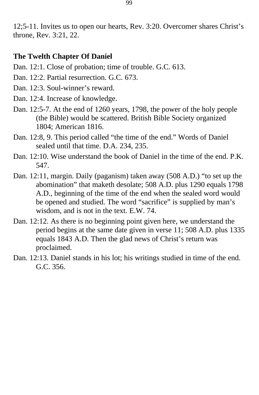12;5-11. Invites us to open our hearts, Rev. 3:20. Overcomer shares Christ's throne, Rev. 3:21, 22.

#### **The Twelth Chapter Of Daniel**

- Dan. 12:1. Close of probation; time of trouble. G.C. 613.
- Dan. 12:2. Partial resurrection. G.C. 673.
- Dan. 12:3. Soul-winner's reward.
- Dan. 12:4. Increase of knowledge.
- Dan. 12:5-7. At the end of 1260 years, 1798, the power of the holy people (the Bible) would be scattered. British Bible Society organized 1804; American 1816.
- Dan. 12:8, 9. This period called "the time of the end." Words of Daniel sealed until that time. D.A. 234, 235.
- Dan. 12:10. Wise understand the book of Daniel in the time of the end. P.K. 547.
- Dan. 12:11, margin. Daily (paganism) taken away (508 A.D.) "to set up the abomination" that maketh desolate; 508 A.D. plus 1290 equals 1798 A.D., beginning of the time of the end when the sealed word would be opened and studied. The word "sacrifice" is supplied by man's wisdom, and is not in the text. E.W. 74.
- Dan. 12:12. As there is no beginning point given here, we understand the period begins at the same date given in verse 11; 508 A.D. plus 1335 equals 1843 A.D. Then the glad news of Christ's return was proclaimed.
- Dan. 12:13. Daniel stands in his lot; his writings studied in time of the end. G.C. 356.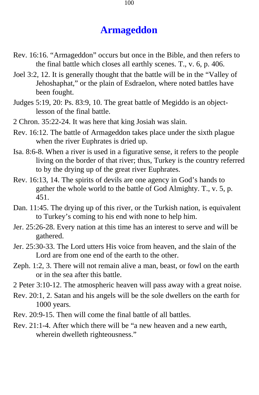## **Armageddon**

- Rev. 16:16. "Armageddon" occurs but once in the Bible, and then refers to the final battle which closes all earthly scenes. T., v. 6, p. 406.
- Joel 3:2, 12. It is generally thought that the battle will be in the "Valley of Jehoshaphat," or the plain of Esdraelon, where noted battles have been fought.
- Judges 5:19, 20: Ps. 83:9, 10. The great battle of Megiddo is an objectlesson of the final battle.
- 2 Chron. 35:22-24. It was here that king Josiah was slain.
- Rev. 16:12. The battle of Armageddon takes place under the sixth plague when the river Euphrates is dried up.
- Isa. 8:6-8. When a river is used in a figurative sense, it refers to the people living on the border of that river; thus, Turkey is the country referred to by the drying up of the great river Euphrates.
- Rev. 16:13, 14. The spirits of devils are one agency in God's hands to gather the whole world to the battle of God Almighty. T., v. 5, p. 451.
- Dan. 11:45. The drying up of this river, or the Turkish nation, is equivalent to Turkey's coming to his end with none to help him.
- Jer. 25:26-28. Every nation at this time has an interest to serve and will be gathered.
- Jer. 25:30-33. The Lord utters His voice from heaven, and the slain of the Lord are from one end of the earth to the other.
- Zeph. 1:2, 3. There will not remain alive a man, beast, or fowl on the earth or in the sea after this battle.
- 2 Peter 3:10-12. The atmospheric heaven will pass away with a great noise.
- Rev. 20:1, 2. Satan and his angels will be the sole dwellers on the earth for 1000 years.
- Rev. 20:9-15. Then will come the final battle of all battles.
- Rev. 21:1-4. After which there will be "a new heaven and a new earth, wherein dwelleth righteousness."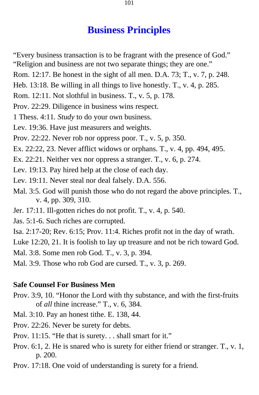## **Business Principles**

- "Every business transaction is to be fragrant with the presence of God." "Religion and business are not two separate things; they are one."
- Rom. 12:17. Be honest in the sight of all men. D.A. 73; T., v. 7, p. 248.
- Heb. 13:18. Be willing in all things to live honestly. T., v. 4, p. 285.
- Rom. 12:11. Not slothful in business. T., v. 5, p. 178.
- Prov. 22:29. Diligence in business wins respect.
- 1 Thess. 4:11*. Study* to do your own business.
- Lev. 19:36. Have just measurers and weights.
- Prov. 22:22. Never rob nor oppress poor. T., v. 5, p. 350.
- Ex. 22:22, 23. Never afflict widows or orphans. T., v. 4, pp. 494, 495.
- Ex. 22:21. Neither vex nor oppress a stranger. T., v. 6, p. 274.
- Lev. 19:13. Pay hired help at the close of each day.
- Lev. 19:11. Never steal nor deal falsely. D.A. 556.
- Mal. 3:5. God will punish those who do not regard the above principles. T., v. 4, pp. 309, 310.
- Jer. 17:11. Ill-gotten riches do not profit. T., v. 4, p. 540.
- Jas. 5:1-6. Such riches are corrupted.
- Isa. 2:17-20; Rev. 6:15; Prov. 11:4. Riches profit not in the day of wrath.
- Luke 12:20, 21. It is foolish to lay up treasure and not be rich toward God.
- Mal. 3:8. Some men rob God. T., v. 3, p. 394.
- Mal. 3:9. Those who rob God are cursed. T., v. 3, p. 269.

#### **Safe Counsel For Business Men**

- Prov. 3:9, 10. "Honor the Lord with thy substance, and with the first-fruits of *all* thine increase." T., v. 6, 384.
- Mal. 3:10. Pay an honest tithe. E. 138, 44.
- Prov. 22:26. Never be surety for debts.
- Prov. 11:15. "He that is surety. . . shall smart for it."
- Prov. 6:1, 2. He is snared who is surety for either friend or stranger. T., v. 1, p. 200.
- Prov. 17:18. One void of understanding is surety for a friend.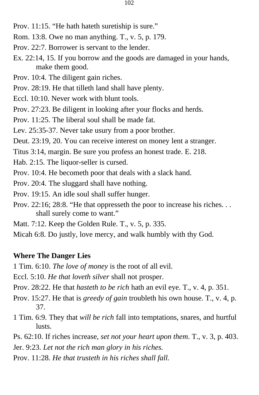- Rom. 13:8. Owe no man anything. T., v. 5, p. 179.
- Prov. 22:7. Borrower is servant to the lender.
- Ex. 22:14, 15. If you borrow and the goods are damaged in your hands, make them good.
- Prov. 10:4. The diligent gain riches.
- Prov. 28:19. He that tilleth land shall have plenty.
- Eccl. 10:10. Never work with blunt tools.
- Prov. 27:23. Be diligent in looking after your flocks and herds.
- Prov. 11:25. The liberal soul shall be made fat.
- Lev. 25:35-37. Never take usury from a poor brother.
- Deut. 23:19, 20. You can receive interest on money lent a stranger.
- Titus 3:14, margin. Be sure you profess an honest trade. E. 218.
- Hab. 2:15. The liquor-seller is cursed.
- Prov. 10:4. He becometh poor that deals with a slack hand.
- Prov. 20:4. The sluggard shall have nothing.
- Prov. 19:15. An idle soul shall suffer hunger.
- Prov. 22:16; 28:8. "He that oppresseth the poor to increase his riches. . . shall surely come to want."
- Matt. 7:12. Keep the Golden Rule. T., v. 5, p. 335.
- Micah 6:8. Do justly, love mercy, and walk humbly with thy God.

#### **Where The Danger Lies**

- 1 Tim. 6:10. *The love of money* is the root of all evil.
- Eccl. 5:10. *He that loveth silver* shall not prosper.
- Prov. 28:22. He that *hasteth to be rich* hath an evil eye. T., v. 4, p. 351.
- Prov. 15:27. He that is *greedy of gain* troubleth his own house. T., v. 4, p. 37.
- 1 Tim. 6:9. They that *will be rich* fall into temptations, snares, and hurtful lusts.
- Ps. 62:10. If riches increase, *set not your heart upon them*. T., v. 3, p. 403.
- Jer. 9:23. *Let not the rich man glory in his riches.*
- Prov. 11:28*. He that trusteth in his riches shall fall.*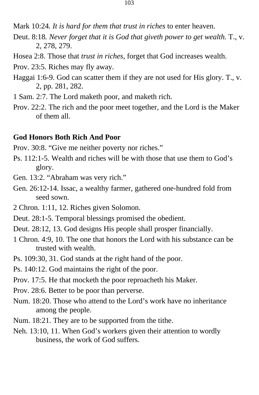Mark 10:24*. It is hard for them that trust in riches* to enter heaven.

- Deut. 8:18*. Never forget that it is God that giveth power to get wealth.* T., v. 2, 278, 279.
- Hosea 2:8. Those that *trust in riches*, forget that God increases wealth.
- Prov. 23:5. Riches may fly away.
- Haggai 1:6-9. God can scatter them if they are not used for His glory. T., v. 2, pp. 281, 282.
- 1 Sam. 2:7. The Lord maketh poor, and maketh rich.
- Prov. 22:2. The rich and the poor meet together, and the Lord is the Maker of them all.

#### **God Honors Both Rich And Poor**

Prov. 30:8. "Give me neither poverty nor riches."

- Ps. 112:1-5. Wealth and riches will be with those that use them to God's glory.
- Gen. 13:2. "Abraham was very rich."
- Gen. 26:12-14. Issac, a wealthy farmer, gathered one-hundred fold from seed sown.
- 2 Chron. 1:11, 12. Riches given Solomon.
- Deut. 28:1-5. Temporal blessings promised the obedient.
- Deut. 28:12, 13. God designs His people shall prosper financially.
- 1 Chron. 4:9, 10. The one that honors the Lord with his substance can be trusted with wealth.
- Ps. 109:30, 31. God stands at the right hand of the poor.
- Ps. 140:12. God maintains the right of the poor.
- Prov. 17:5. He that mocketh the poor reproacheth his Maker.
- Prov. 28:6. Better to be poor than perverse.
- Num. 18:20. Those who attend to the Lord's work have no inheritance among the people.
- Num. 18:21. They are to be supported from the tithe.
- Neh. 13:10, 11. When God's workers given their attention to wordly business, the work of God suffers.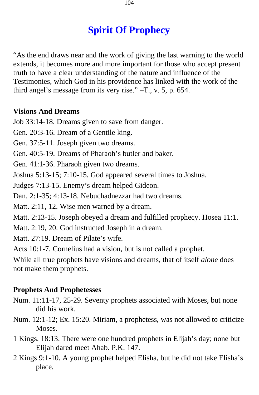# **Spirit Of Prophecy**

"As the end draws near and the work of giving the last warning to the world extends, it becomes more and more important for those who accept present truth to have a clear understanding of the nature and influence of the Testimonies, which God in his providence has linked with the work of the third angel's message from its very rise." –T., v. 5, p. 654.

## **Visions And Dreams**

Job 33:14-18. Dreams given to save from danger.

Gen. 20:3-16. Dream of a Gentile king.

Gen. 37:5-11. Joseph given two dreams.

Gen. 40:5-19. Dreams of Pharaoh's butler and baker.

Gen. 41:1-36. Pharaoh given two dreams.

Joshua 5:13-15; 7:10-15. God appeared several times to Joshua.

Judges 7:13-15. Enemy's dream helped Gideon.

Dan. 2:1-35; 4:13-18. Nebuchadnezzar had two dreams.

Matt. 2:11, 12. Wise men warned by a dream.

Matt. 2:13-15. Joseph obeyed a dream and fulfilled prophecy. Hosea 11:1.

Matt. 2:19, 20. God instructed Joseph in a dream.

Matt. 27:19. Dream of Pilate's wife.

Acts 10:1-7. Cornelius had a vision, but is not called a prophet.

While all true prophets have visions and dreams, that of itself *alone* does not make them prophets.

## **Prophets And Prophetesses**

- Num. 11:11-17, 25-29. Seventy prophets associated with Moses, but none did his work.
- Num. 12:1-12; Ex. 15:20. Miriam, a prophetess, was not allowed to criticize Moses.
- 1 Kings. 18:13. There were one hundred prophets in Elijah's day; none but Elijah dared meet Ahab. P.K. 147.
- 2 Kings 9:1-10. A young prophet helped Elisha, but he did not take Elisha's place.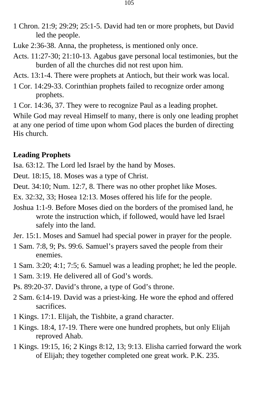- 1 Chron. 21:9; 29:29; 25:1-5. David had ten or more prophets, but David led the people.
- Luke 2:36-38. Anna, the prophetess, is mentioned only once.
- Acts. 11:27-30; 21:10-13. Agabus gave personal local testimonies, but the burden of all the churches did not rest upon him.
- Acts. 13:1-4. There were prophets at Antioch, but their work was local.
- 1 Cor. 14:29-33. Corinthian prophets failed to recognize order among prophets.
- 1 Cor. 14:36, 37. They were to recognize Paul as a leading prophet.

While God may reveal Himself to many, there is only one leading prophet at any one period of time upon whom God places the burden of directing His church.

### **Leading Prophets**

Isa. 63:12. The Lord led Israel by the hand by Moses.

Deut. 18:15, 18. Moses was a type of Christ.

- Deut. 34:10; Num. 12:7, 8. There was no other prophet like Moses.
- Ex. 32:32, 33; Hosea 12:13. Moses offered his life for the people.
- Joshua 1:1-9. Before Moses died on the borders of the promised land, he wrote the instruction which, if followed, would have led Israel safely into the land.
- Jer. 15:1. Moses and Samuel had special power in prayer for the people.
- 1 Sam. 7:8, 9; Ps. 99:6. Samuel's prayers saved the people from their enemies.
- 1 Sam. 3:20; 4:1; 7:5; 6. Samuel was a leading prophet; he led the people.
- 1 Sam. 3:19. He delivered all of God's words.
- Ps. 89:20-37. David's throne, a type of God's throne.
- 2 Sam. 6:14-19. David was a priest-king. He wore the ephod and offered sacrifices.
- 1 Kings. 17:1. Elijah, the Tishbite, a grand character.
- 1 Kings. 18:4, 17-19. There were one hundred prophets, but only Elijah reproved Ahab.
- 1 Kings. 19:15, 16; 2 Kings 8:12, 13; 9:13. Elisha carried forward the work of Elijah; they together completed one great work. P.K. 235.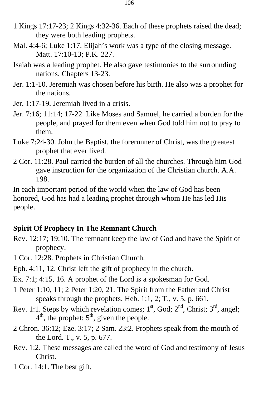- 1 Kings 17:17-23; 2 Kings 4:32-36. Each of these prophets raised the dead; they were both leading prophets.
- Mal. 4:4-6; Luke 1:17. Elijah's work was a type of the closing message. Matt. 17:10-13; P.K. 227.
- Isaiah was a leading prophet. He also gave testimonies to the surrounding nations. Chapters 13-23.
- Jer. 1:1-10. Jeremiah was chosen before his birth. He also was a prophet for the nations.
- Jer. 1:17-19. Jeremiah lived in a crisis.
- Jer. 7:16; 11:14; 17-22. Like Moses and Samuel, he carried a burden for the people, and prayed for them even when God told him not to pray to them.
- Luke 7:24-30. John the Baptist, the forerunner of Christ, was the greatest prophet that ever lived.
- 2 Cor. 11:28. Paul carried the burden of all the churches. Through him God gave instruction for the organization of the Christian church. A.A. 198.

In each important period of the world when the law of God has been honored, God has had a leading prophet through whom He has led His people.

#### **Spirit Of Prophecy In The Remnant Church**

- Rev. 12:17; 19:10. The remnant keep the law of God and have the Spirit of prophecy.
- 1 Cor. 12:28. Prophets in Christian Church.
- Eph. 4:11, 12. Christ left the gift of prophecy in the church.
- Ex. 7:1; 4:15, 16. A prophet of the Lord is a spokesman for God.
- 1 Peter 1:10, 11; 2 Peter 1:20, 21. The Spirit from the Father and Christ speaks through the prophets. Heb. 1:1, 2; T., v. 5, p. 661.
- $4<sup>th</sup>$ , the prophet;  $5<sup>th</sup>$ , given the people. Rev. 1:1. Steps by which revelation comes;  $1<sup>st</sup>$ , God;  $2<sup>nd</sup>$ , Christ;  $3<sup>rd</sup>$ , angel;
- 2 Chron. 36:12; Eze. 3:17; 2 Sam. 23:2. Prophets speak from the mouth of the Lord. T., v. 5, p. 677.
- Rev. 1:2. These messages are called the word of God and testimony of Jesus Christ.
- 1 Cor. 14:1. The best gift.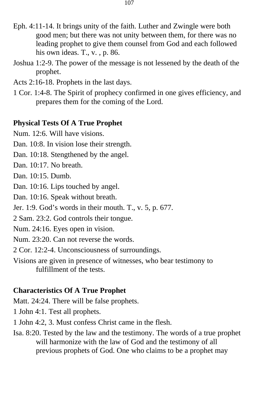- Eph. 4:11-14. It brings unity of the faith. Luther and Zwingle were both good men; but there was not unity between them, for there was no leading prophet to give them counsel from God and each followed his own ideas. T., v., p. 86.
- Joshua 1:2-9. The power of the message is not lessened by the death of the prophet.
- Acts 2:16-18. Prophets in the last days.
- 1 Cor. 1:4-8. The Spirit of prophecy confirmed in one gives efficiency, and prepares them for the coming of the Lord.

#### **Physical Tests Of A True Prophet**

Num. 12:6. Will have visions.

Dan. 10:8. In vision lose their strength.

Dan. 10:18. Stengthened by the angel.

Dan. 10:17. No breath.

Dan. 10:15. Dumb.

Dan. 10:16. Lips touched by angel.

Dan. 10:16. Speak without breath.

Jer. 1:9. God's words in their mouth. T., v. 5, p. 677.

2 Sam. 23:2. God controls their tongue.

Num. 24:16. Eyes open in vision.

Num. 23:20. Can not reverse the words.

2 Cor. 12:2-4. Unconsciousness of surroundings.

Visions are given in presence of witnesses, who bear testimony to fulfillment of the tests.

### **Characteristics Of A True Prophet**

Matt. 24:24. There will be false prophets.

1 John 4:1. Test all prophets.

1 John 4:2, 3. Must confess Christ came in the flesh.

Isa. 8:20. Tested by the law and the testimony. The words of a true prophet will harmonize with the law of God and the testimony of all previous prophets of God. One who claims to be a prophet may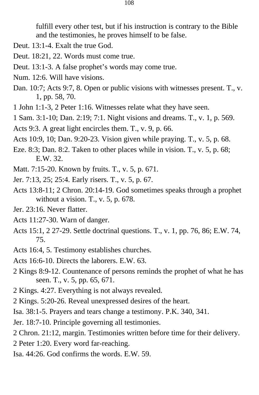fulfill every other test, but if his instruction is contrary to the Bible and the testimonies, he proves himself to be false.

- Deut. 13:1-4. Exalt the true God.
- Deut. 18:21, 22. Words must come true.
- Deut. 13:1-3. A false prophet's words may come true.
- Num. 12:6. Will have visions.
- Dan. 10:7; Acts 9:7, 8. Open or public visions with witnesses present. T., v. 1, pp. 58, 70.
- 1 John 1:1-3, 2 Peter 1:16. Witnesses relate what they have seen.
- 1 Sam. 3:1-10; Dan. 2:19; 7:1. Night visions and dreams. T., v. 1, p. 569.
- Acts 9:3. A great light encircles them. T., v. 9, p. 66.
- Acts 10:9, 10; Dan. 9:20-23. Vision given while praying. T., v. 5, p. 68.
- Eze. 8:3; Dan. 8:2. Taken to other places while in vision. T., v. 5, p. 68; E.W. 32.
- Matt. 7:15-20. Known by fruits. T., v. 5, p. 671.
- Jer. 7:13, 25; 25:4. Early risers. T., v. 5, p. 67.
- Acts 13:8-11; 2 Chron. 20:14-19. God sometimes speaks through a prophet without a vision. T., v. 5, p. 678.
- Jer. 23:16. Never flatter.
- Acts 11:27-30. Warn of danger.
- Acts 15:1, 2 27-29. Settle doctrinal questions. T., v. 1, pp. 76, 86; E.W. 74, 75.
- Acts 16:4, 5. Testimony establishes churches.
- Acts 16:6-10. Directs the laborers. E.W. 63.
- 2 Kings 8:9-12. Countenance of persons reminds the prophet of what he has seen. T., v. 5, pp. 65, 671.
- 2 Kings. 4:27. Everything is not always revealed.
- 2 Kings. 5:20-26. Reveal unexpressed desires of the heart.
- Isa. 38:1-5. Prayers and tears change a testimony. P.K. 340, 341.
- Jer. 18:7-10. Principle governing all testimonies.
- 2 Chron. 21:12, margin. Testimonies written before time for their delivery.
- 2 Peter 1:20. Every word far-reaching.
- Isa. 44:26. God confirms the words. E.W. 59.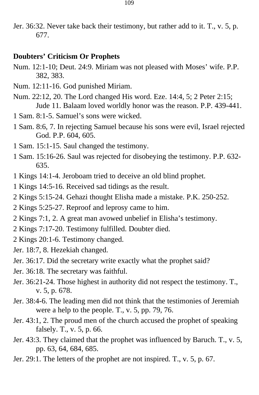Jer. 36:32. Never take back their testimony, but rather add to it. T., v. 5, p. 677.

### **Doubters' Criticism Or Prophets**

- Num. 12:1-10; Deut. 24:9. Miriam was not pleased with Moses' wife. P.P. 382, 383.
- Num. 12:11-16. God punished Miriam.
- Num. 22:12, 20. The Lord changed His word. Eze. 14:4, 5; 2 Peter 2:15; Jude 11. Balaam loved worldly honor was the reason. P.P. 439-441.
- 1 Sam. 8:1-5. Samuel's sons were wicked.
- 1 Sam. 8:6, 7. In rejecting Samuel because his sons were evil, Israel rejected God. P.P. 604, 605.
- 1 Sam. 15:1-15. Saul changed the testimony.
- 1 Sam. 15:16-26. Saul was rejected for disobeying the testimony. P.P. 632 635.
- 1 Kings 14:1-4. Jeroboam tried to deceive an old blind prophet.
- 1 Kings 14:5-16. Received sad tidings as the result.
- 2 Kings 5:15-24. Gehazi thought Elisha made a mistake. P.K. 250-252.
- 2 Kings 5:25-27. Reproof and leprosy came to him.
- 2 Kings 7:1, 2. A great man avowed unbelief in Elisha's testimony.
- 2 Kings 7:17-20. Testimony fulfilled. Doubter died.
- 2 Kings 20:1-6. Testimony changed.
- Jer. 18:7, 8. Hezekiah changed.
- Jer. 36:17. Did the secretary write exactly what the prophet said?
- Jer. 36:18. The secretary was faithful.
- Jer. 36:21-24. Those highest in authority did not respect the testimony. T., v. 5, p. 678.
- Jer. 38:4-6. The leading men did not think that the testimonies of Jeremiah were a help to the people. T., v. 5, pp. 79, 76.
- Jer. 43:1, 2. The proud men of the church accused the prophet of speaking falsely. T., v. 5, p. 66.
- Jer. 43:3. They claimed that the prophet was influenced by Baruch. T., v. 5, pp. 63, 64, 684, 685.
- Jer. 29:1. The letters of the prophet are not inspired. T., v. 5, p. 67.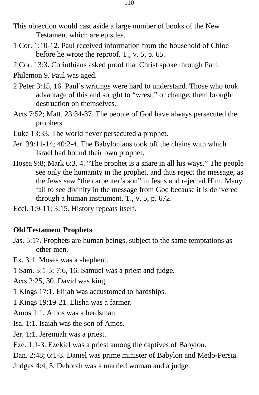- This objection would cast aside a large number of books of the New Testament which are epistles.
- 1 Cor. 1:10-12. Paul received information from the household of Chloe before he wrote the reproof. T., v. 5, p. 65.
- 2 Cor. 13:3. Corinthians asked proof that Christ spoke through Paul.
- Philemon 9. Paul was aged.
- 2 Peter 3:15, 16. Paul's writings were hard to understand. Those who took advantage of this and sought to "wrest," or change, them brought destruction on themselves.
- Acts 7:52; Matt. 23:34-37. The people of God have always persecuted the prophets.
- Luke 13:33. The world never persecuted a prophet.
- Jer. 39:11-14; 40:2-4. The Babylonians took off the chains with which Israel had bound their own prophet.
- Hosea 9:8; Mark 6:3, 4. "The prophet is a snare in all his ways." The people see only the humanity in the prophet, and thus reject the message, as the Jews saw "the carpenter's son" in Jesus and rejected Him. Many fail to see divinity in the message from God because it is delivered through a human instrument. T., v. 5, p. 672.
- Eccl. 1:9-11; 3:15. History repeats itself.

### **Old Testament Prophets**

- Jas. 5:17. Prophets are human beings, subject to the same temptations as other men.
- Ex. 3:1. Moses was a shepherd.
- 1 Sam. 3:1-5; 7:6, 16. Samuel was a priest and judge.
- Acts 2:25, 30. David was king.
- 1 Kings 17:1. Elijah was accustomed to hardships.
- 1 Kings 19:19-21. Elisha was a farmer.
- Amos 1:1. Amos was a herdsman.
- Isa. 1:1. Isaiah was the son of Amos.
- Jer. 1:1. Jeremiah was a priest.
- Eze. 1:1-3. Ezekiel was a priest among the captives of Babylon.
- Dan. 2:48; 6:1-3. Daniel was prime minister of Babylon and Medo-Persia.
- Judges 4:4, 5. Deborah was a married woman and a judge.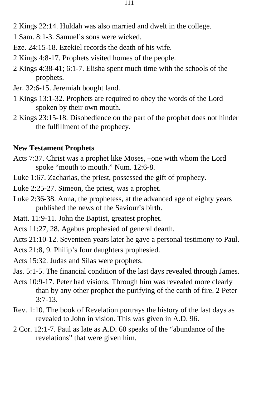- 2 Kings 22:14. Huldah was also married and dwelt in the college.
- 1 Sam. 8:1-3. Samuel's sons were wicked.
- Eze. 24:15-18. Ezekiel records the death of his wife.
- 2 Kings 4:8-17. Prophets visited homes of the people.
- 2 Kings 4:38-41; 6:1-7. Elisha spent much time with the schools of the prophets.
- Jer. 32:6-15. Jeremiah bought land.
- 1 Kings 13:1-32. Prophets are required to obey the words of the Lord spoken by their own mouth.
- 2 Kings 23:15-18. Disobedience on the part of the prophet does not hinder the fulfillment of the prophecy.

#### **New Testament Prophets**

- Acts 7:37. Christ was a prophet like Moses, –one with whom the Lord spoke "mouth to mouth." Num. 12:6-8.
- Luke 1:67. Zacharias, the priest, possessed the gift of prophecy.
- Luke 2:25-27. Simeon, the priest, was a prophet.
- Luke 2:36-38. Anna, the prophetess, at the advanced age of eighty years published the news of the Saviour's birth.
- Matt. 11:9-11. John the Baptist, greatest prophet.
- Acts 11:27, 28. Agabus prophesied of general dearth.
- Acts 21:10-12. Seventeen years later he gave a personal testimony to Paul.
- Acts 21:8, 9. Philip's four daughters prophesied.
- Acts 15:32. Judas and Silas were prophets.
- Jas. 5:1-5. The financial condition of the last days revealed through James.
- Acts 10:9-17. Peter had visions. Through him was revealed more clearly than by any other prophet the purifying of the earth of fire. 2 Peter 3:7-13.
- Rev. 1:10. The book of Revelation portrays the history of the last days as revealed to John in vision. This was given in A.D. 96.
- 2 Cor. 12:1-7. Paul as late as A.D. 60 speaks of the "abundance of the revelations" that were given him.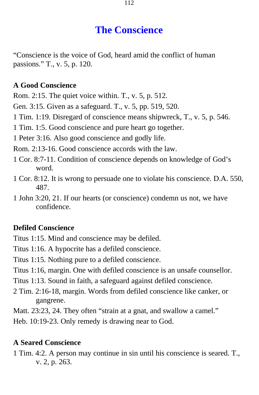# **The Conscience**

"Conscience is the voice of God, heard amid the conflict of human passions." T., v. 5, p. 120.

### **A Good Conscience**

Rom. 2:15. The quiet voice within. T., v. 5, p. 512.

Gen. 3:15. Given as a safeguard. T., v. 5, pp. 519, 520.

1 Tim. 1:19. Disregard of conscience means shipwreck, T., v. 5, p. 546.

1 Tim. 1:5. Good conscience and pure heart go together.

1 Peter 3:16. Also good conscience and godly life.

Rom. 2:13-16. Good conscience accords with the law.

- 1 Cor. 8:7-11. Condition of conscience depends on knowledge of God's word.
- 1 Cor. 8:12. It is wrong to persuade one to violate his conscience. D.A. 550, 487.

1 John 3:20, 21. If our hearts (or conscience) condemn us not, we have confidence.

### **Defiled Conscience**

Titus 1:15. Mind and conscience may be defiled.

Titus 1:16. A hypocrite has a defiled conscience.

Titus 1:15. Nothing pure to a defiled conscience.

- Titus 1:16, margin. One with defiled conscience is an unsafe counsellor.
- Titus 1:13. Sound in faith, a safeguard against defiled conscience.
- 2 Tim. 2:16-18, margin. Words from defiled conscience like canker, or gangrene.

Matt. 23:23, 24. They often "strain at a gnat, and swallow a camel."

Heb. 10:19-23. Only remedy is drawing near to God.

### **A Seared Conscience**

1 Tim. 4:2. A person may continue in sin until his conscience is seared. T., v. 2, p. 263.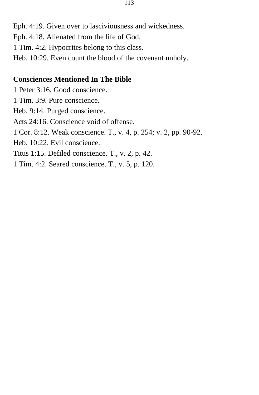Eph. 4:19. Given over to lasciviousness and wickedness. Eph. 4:18. Alienated from the life of God. 1 Tim. 4:2. Hypocrites belong to this class. Heb. 10:29. Even count the blood of the covenant unholy.

#### **Consciences Mentioned In The Bible**

1 Peter 3:16. Good conscience. 1 Tim. 3:9. Pure conscience. Heb. 9:14. Purged conscience. Acts 24:16. Conscience void of offense. 1 Cor. 8:12. Weak conscience. T., v. 4, p. 254; v. 2, pp. 90-92. Heb. 10:22. Evil conscience. Titus 1:15. Defiled conscience. T., v. 2, p. 42. 1 Tim. 4:2. Seared conscience. T., v. 5, p. 120.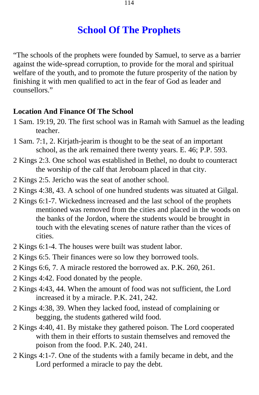# **School Of The Prophets**

"The schools of the prophets were founded by Samuel, to serve as a barrier against the wide-spread corruption, to provide for the moral and spiritual welfare of the youth, and to promote the future prosperity of the nation by finishing it with men qualified to act in the fear of God as leader and counsellors."

### **Location And Finance Of The School**

- 1 Sam. 19:19, 20. The first school was in Ramah with Samuel as the leading teacher.
- 1 Sam. 7:1, 2. Kirjath-jearim is thought to be the seat of an important school, as the ark remained there twenty years. E. 46; P.P. 593.
- 2 Kings 2:3. One school was established in Bethel, no doubt to counteract the worship of the calf that Jeroboam placed in that city.
- 2 Kings 2:5. Jericho was the seat of another school.
- 2 Kings 4:38, 43. A school of one hundred students was situated at Gilgal.
- 2 Kings 6:1-7. Wickedness increased and the last school of the prophets mentioned was removed from the cities and placed in the woods on the banks of the Jordon, where the students would be brought in touch with the elevating scenes of nature rather than the vices of cities.
- 2 Kings 6:1-4. The houses were built was student labor.
- 2 Kings 6:5. Their finances were so low they borrowed tools.
- 2 Kings 6:6, 7. A miracle restored the borrowed ax. P.K. 260, 261.
- 2 Kings 4:42. Food donated by the people.
- 2 Kings 4:43, 44. When the amount of food was not sufficient, the Lord increased it by a miracle. P.K. 241, 242.
- 2 Kings 4:38, 39. When they lacked food, instead of complaining or begging, the students gathered wild food.
- 2 Kings 4:40, 41. By mistake they gathered poison. The Lord cooperated with them in their efforts to sustain themselves and removed the poison from the food. P.K. 240, 241.
- 2 Kings 4:1-7. One of the students with a family became in debt, and the Lord performed a miracle to pay the debt.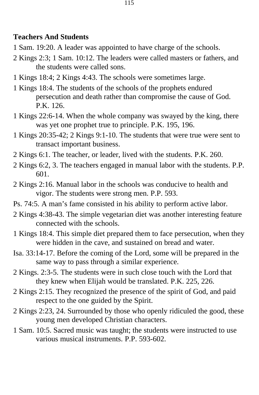#### **Teachers And Students**

- 1 Sam. 19:20. A leader was appointed to have charge of the schools.
- 2 Kings 2:3; 1 Sam. 10:12. The leaders were called masters or fathers, and the students were called sons.
- 1 Kings 18:4; 2 Kings 4:43. The schools were sometimes large.
- 1 Kings 18:4. The students of the schools of the prophets endured persecution and death rather than compromise the cause of God. P.K. 126.
- 1 Kings 22:6-14. When the whole company was swayed by the king, there was yet one prophet true to principle. P.K. 195, 196.
- 1 Kings 20:35-42; 2 Kings 9:1-10. The students that were true were sent to transact important business.
- 2 Kings 6:1. The teacher, or leader, lived with the students. P.K. 260.
- 2 Kings 6:2, 3. The teachers engaged in manual labor with the students. P.P. 601.
- 2 Kings 2:16. Manual labor in the schools was conducive to health and vigor. The students were strong men. P.P. 593.
- Ps. 74:5. A man's fame consisted in his ability to perform active labor.
- 2 Kings 4:38-43. The simple vegetarian diet was another interesting feature connected with the schools.
- 1 Kings 18:4. This simple diet prepared them to face persecution, when they were hidden in the cave, and sustained on bread and water.
- Isa. 33:14-17. Before the coming of the Lord, some will be prepared in the same way to pass through a similar experience.
- 2 Kings. 2:3-5. The students were in such close touch with the Lord that they knew when Elijah would be translated. P.K. 225, 226.
- 2 Kings 2:15. They recognized the presence of the spirit of God, and paid respect to the one guided by the Spirit.
- 2 Kings 2:23, 24. Surrounded by those who openly ridiculed the good, these young men developed Christian characters.
- 1 Sam. 10:5. Sacred music was taught; the students were instructed to use various musical instruments. P.P. 593-602.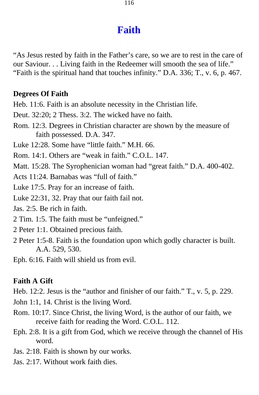# **Faith**

"As Jesus rested by faith in the Father's care, so we are to rest in the care of our Saviour. . . Living faith in the Redeemer will smooth the sea of life." "Faith is the spiritual hand that touches infinity." D.A. 336; T., v. 6, p. 467.

#### **Degrees Of Faith**

Heb. 11:6. Faith is an absolute necessity in the Christian life.

Deut. 32:20; 2 Thess. 3:2. The wicked have no faith.

Rom. 12:3. Degrees in Christian character are shown by the measure of faith possessed. D.A. 347.

Luke 12:28. Some have "little faith." M.H. 66.

Rom. 14:1. Others are "weak in faith." C.O.L. 147.

Matt. 15:28. The Syrophenician woman had "great faith." D.A. 400-402.

Acts 11:24. Barnabas was "full of faith."

Luke 17:5. Pray for an increase of faith.

Luke 22:31, 32. Pray that our faith fail not.

Jas. 2:5. Be rich in faith.

2 Tim. 1:5. The faith must be "unfeigned."

- 2 Peter 1:1. Obtained precious faith.
- 2 Peter 1:5-8. Faith is the foundation upon which godly character is built. A.A. 529, 530.

Eph. 6:16. Faith will shield us from evil.

### **Faith A Gift**

Heb. 12:2. Jesus is the "author and finisher of our faith." T., v. 5, p. 229.

John 1:1, 14. Christ is the living Word.

- Rom. 10:17. Since Christ, the living Word, is the author of our faith, we receive faith for reading the Word. C.O.L. 112.
- Eph. 2:8. It is a gift from God, which we receive through the channel of His word.
- Jas. 2:18. Faith is shown by our works.
- Jas. 2:17. Without work faith dies.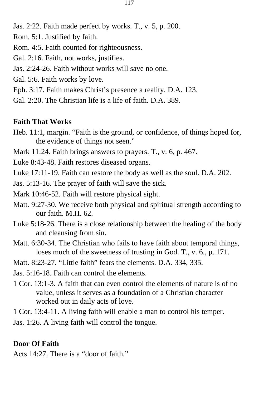117

- Jas. 2:22. Faith made perfect by works. T., v. 5, p. 200.
- Rom. 5:1. Justified by faith.
- Rom. 4:5. Faith counted for righteousness.
- Gal. 2:16. Faith, not works, justifies.
- Jas. 2:24-26. Faith without works will save no one.
- Gal. 5:6. Faith works by love.
- Eph. 3:17. Faith makes Christ's presence a reality. D.A. 123.
- Gal. 2:20. The Christian life is a life of faith. D.A. 389.

## **Faith That Works**

- Heb. 11:1, margin. "Faith is the ground, or confidence, of things hoped for, the evidence of things not seen."
- Mark 11:24. Faith brings answers to prayers. T., v. 6, p. 467.
- Luke 8:43-48. Faith restores diseased organs.
- Luke 17:11-19. Faith can restore the body as well as the soul. D.A. 202.
- Jas. 5:13-16. The prayer of faith will save the sick.
- Mark 10:46-52. Faith will restore physical sight.
- Matt. 9:27-30. We receive both physical and spiritual strength according to our faith. M.H. 62.
- Luke 5:18-26. There is a close relationship between the healing of the body and cleansing from sin.
- Matt. 6:30-34. The Christian who fails to have faith about temporal things, loses much of the sweetness of trusting in God. T., v. 6., p. 171.
- Matt. 8:23-27. "Little faith" fears the elements. D.A. 334, 335.
- Jas. 5:16-18. Faith can control the elements.
- 1 Cor. 13:1-3. A faith that can even control the elements of nature is of no value, unless it serves as a foundation of a Christian character worked out in daily acts of love.
- 1 Cor. 13:4-11. A living faith will enable a man to control his temper.
- Jas. 1:26. A living faith will control the tongue.

## **Door Of Faith**

Acts 14:27. There is a "door of faith."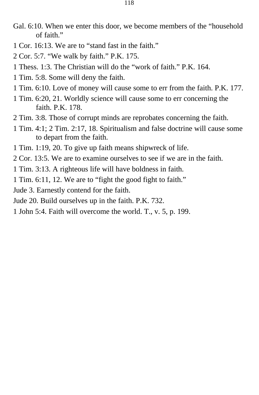- Gal. 6:10. When we enter this door, we become members of the "household of faith."
- 1 Cor. 16:13. We are to "stand fast in the faith."
- 2 Cor. 5:7. "We walk by faith." P.K. 175.
- 1 Thess. 1:3. The Christian will do the "work of faith." P.K. 164.
- 1 Tim. 5:8. Some will deny the faith.
- 1 Tim. 6:10. Love of money will cause some to err from the faith. P.K. 177.
- 1 Tim. 6:20, 21. Worldly science will cause some to err concerning the faith. P.K. 178.
- 2 Tim. 3:8. Those of corrupt minds are reprobates concerning the faith.
- 1 Tim. 4:1; 2 Tim. 2:17, 18. Spiritualism and false doctrine will cause some to depart from the faith.
- 1 Tim. 1:19, 20. To give up faith means shipwreck of life.
- 2 Cor. 13:5. We are to examine ourselves to see if we are in the faith.
- 1 Tim. 3:13. A righteous life will have boldness in faith.
- 1 Tim. 6:11, 12. We are to "fight the good fight to faith."
- Jude 3. Earnestly contend for the faith.
- Jude 20. Build ourselves up in the faith. P.K. 732.
- 1 John 5:4. Faith will overcome the world. T., v. 5, p. 199.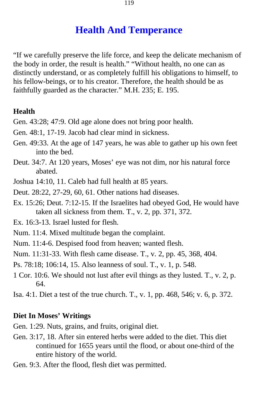## **Health And Temperance**

"If we carefully preserve the life force, and keep the delicate mechanism of the body in order, the result is health." "Without health, no one can as distinctly understand, or as completely fulfill his obligations to himself, to his fellow-beings, or to his creator. Therefore, the health should be as faithfully guarded as the character." M.H. 235; E. 195.

### **Health**

Gen. 43:28; 47:9. Old age alone does not bring poor health.

- Gen. 48:1, 17-19. Jacob had clear mind in sickness.
- Gen. 49:33. At the age of 147 years, he was able to gather up his own feet into the bed.
- Deut. 34:7. At 120 years, Moses' eye was not dim, nor his natural force abated.
- Joshua 14:10, 11. Caleb had full health at 85 years.
- Deut. 28:22, 27-29, 60, 61. Other nations had diseases.
- Ex. 15:26; Deut. 7:12-15. If the Israelites had obeyed God, He would have taken all sickness from them. T., v. 2, pp. 371, 372.
- Ex. 16:3-13. Israel lusted for flesh.
- Num. 11:4. Mixed multitude began the complaint.
- Num. 11:4-6. Despised food from heaven; wanted flesh.

Num. 11:31-33. With flesh came disease. T., v. 2, pp. 45, 368, 404.

Ps. 78:18; 106:14, 15. Also leanness of soul. T., v. 1, p. 548.

- 1 Cor. 10:6. We should not lust after evil things as they lusted. T., v. 2, p. 64.
- Isa. 4:1. Diet a test of the true church. T., v. 1, pp. 468, 546; v. 6, p. 372.

### **Diet In Moses' Writings**

- Gen. 1:29. Nuts, grains, and fruits, original diet.
- Gen. 3:17, 18. After sin entered herbs were added to the diet. This diet continued for 1655 years until the flood, or about one-third of the entire history of the world.
- Gen. 9:3. After the flood, flesh diet was permitted.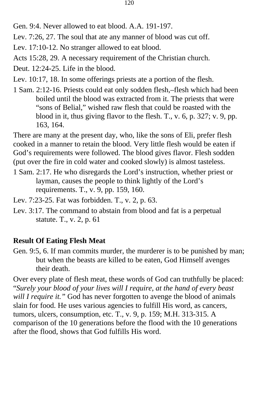Gen. 9:4. Never allowed to eat blood. A.A. 191-197.

Lev. 7:26, 27. The soul that ate any manner of blood was cut off.

Lev. 17:10-12. No stranger allowed to eat blood.

Acts 15:28, 29. A necessary requirement of the Christian church.

Deut. 12:24-25. Life in the blood.

Lev. 10:17, 18. In some offerings priests ate a portion of the flesh.

1 Sam. 2:12-16. Priests could eat only sodden flesh,–flesh which had been boiled until the blood was extracted from it. The priests that were "sons of Belial," wished raw flesh that could be roasted with the blood in it, thus giving flavor to the flesh. T., v. 6, p. 327; v. 9, pp. 163, 164.

There are many at the present day, who, like the sons of Eli, prefer flesh cooked in a manner to retain the blood. Very little flesh would be eaten if God's requirements were followed. The blood gives flavor. Flesh sodden (put over the fire in cold water and cooked slowly) is almost tasteless.

- 1 Sam. 2:17. He who disregards the Lord's instruction, whether priest or layman, causes the people to think lightly of the Lord's requirements. T., v. 9, pp. 159, 160.
- Lev. 7:23-25. Fat was forbidden. T., v. 2, p. 63.
- Lev. 3:17. The command to abstain from blood and fat is a perpetual statute. T., v. 2, p. 61

### **Result Of Eating Flesh Meat**

Gen. 9:5, 6. If man commits murder, the murderer is to be punished by man; but when the beasts are killed to be eaten, God Himself avenges their death.

Over every plate of flesh meat, these words of God can truthfully be placed: "*Surely your blood of your lives will I require, at the hand of every beast will I require it."* God has never forgotten to avenge the blood of animals slain for food. He uses various agencies to fulfill His word, as cancers, tumors, ulcers, consumption, etc. T., v. 9, p. 159; M.H. 313-315. A comparison of the 10 generations before the flood with the 10 generations after the flood, shows that God fulfills His word.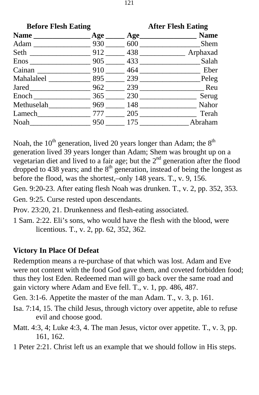| <b>Before Flesh Eating</b> |     | <b>After Flesh Eating</b> |         |
|----------------------------|-----|---------------------------|---------|
|                            |     |                           |         |
|                            | 930 | 600                       | Shem    |
|                            |     |                           |         |
| $E$ nos $\frac{1}{2}$      |     | $905$ 433                 | Salah   |
| Cainan                     |     | 910 464                   | Eber    |
| Mahalaleel 895 239         |     |                           | Peleg   |
|                            |     | 962 239                   | Reu     |
| Enoch                      |     | 365 230                   | Serug   |
| Methuselah                 |     | 969 148                   | Nahor   |
| Lamech                     |     | 777 205                   | Terah   |
| Noah                       |     | 950 175                   | Abraham |

Noah, the  $10^{th}$  generation, lived 20 years longer than Adam; the  $8^{th}$ generation lived 39 years longer than Adam; Shem was brought up on a vegetarian diet and lived to a fair age; but the 2nd generation after the flood dropped to 438 years; and the  $8<sup>th</sup>$  generation, instead of being the longest as before the flood, was the shortest,–only 148 years. T., v. 9, 156.

Gen. 9:20-23. After eating flesh Noah was drunken. T., v. 2, pp. 352, 353. Gen. 9:25. Curse rested upon descendants.

Prov. 23:20, 21. Drunkenness and flesh-eating associated.

1 Sam. 2:22. Eli's sons, who would have the flesh with the blood, were licentious. T., v. 2, pp. 62, 352, 362.

### **Victory In Place Of Defeat**

Redemption means a re-purchase of that which was lost. Adam and Eve were not content with the food God gave them, and coveted forbidden food; thus they lost Eden. Redeemed man will go back over the same road and gain victory where Adam and Eve fell. T., v. 1, pp. 486, 487.

Gen. 3:1-6. Appetite the master of the man Adam. T., v. 3, p. 161.

- Isa. 7:14, 15. The child Jesus, through victory over appetite, able to refuse evil and choose good.
- Matt. 4:3, 4; Luke 4:3, 4. The man Jesus, victor over appetite. T., v. 3, pp. 161, 162.
- 1 Peter 2:21. Christ left us an example that we should follow in His steps.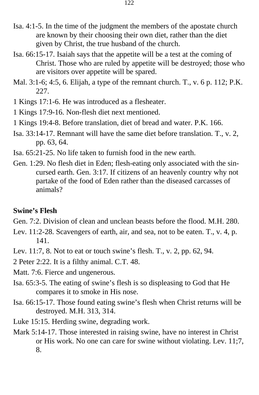- Isa. 4:1-5. In the time of the judgment the members of the apostate church are known by their choosing their own diet, rather than the diet given by Christ, the true husband of the church.
- Isa. 66:15-17. Isaiah says that the appetite will be a test at the coming of Christ. Those who are ruled by appetite will be destroyed; those who are visitors over appetite will be spared.
- Mal. 3:1-6; 4:5, 6. Elijah, a type of the remnant church. T., v. 6 p. 112; P.K. 227.
- 1 Kings 17:1-6. He was introduced as a flesheater.
- 1 Kings 17:9-16. Non-flesh diet next mentioned.
- 1 Kings 19:4-8. Before translation, diet of bread and water. P.K. 166.
- Isa. 33:14-17. Remnant will have the same diet before translation. T., v. 2, pp. 63, 64.
- Isa. 65:21-25. No life taken to furnish food in the new earth.
- Gen. 1:29. No flesh diet in Eden; flesh-eating only associated with the sincursed earth. Gen. 3:17. If citizens of an heavenly country why not partake of the food of Eden rather than the diseased carcasses of animals?

### **Swine's Flesh**

- Gen. 7:2. Division of clean and unclean beasts before the flood. M.H. 280.
- Lev. 11:2-28. Scavengers of earth, air, and sea, not to be eaten. T., v. 4, p. 141.
- Lev. 11:7, 8. Not to eat or touch swine's flesh. T., v. 2, pp. 62, 94.

2 Peter 2:22. It is a filthy animal. C.T. 48.

- Matt. 7:6. Fierce and ungenerous.
- Isa. 65:3-5. The eating of swine's flesh is so displeasing to God that He compares it to smoke in His nose.
- Isa. 66:15-17. Those found eating swine's flesh when Christ returns will be destroyed. M.H. 313, 314.
- Luke 15:15. Herding swine, degrading work.
- Mark 5:14-17. Those interested in raising swine, have no interest in Christ or His work. No one can care for swine without violating. Lev. 11;7, 8.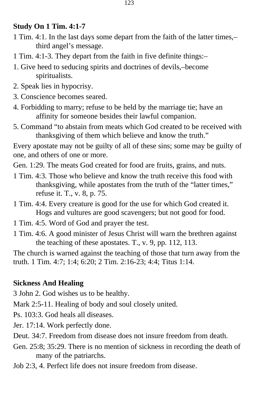### **Study On 1 Tim. 4:1-7**

- 1 Tim. 4:1. In the last days some depart from the faith of the latter times,– third angel's message.
- 1 Tim. 4:1-3. They depart from the faith in five definite things:–
- 1. Give heed to seducing spirits and doctrines of devils,–become spiritualists.
- 2. Speak lies in hypocrisy.
- 3. Conscience becomes seared.
- 4. Forbidding to marry; refuse to be held by the marriage tie; have an affinity for someone besides their lawful companion.
- 5. Command "to abstain from meats which God created to be received with thanksgiving of them which believe and know the truth."

Every apostate may not be guilty of all of these sins; some may be guilty of one, and others of one or more.

Gen. 1:29. The meats God created for food are fruits, grains, and nuts.

- 1 Tim. 4:3. Those who believe and know the truth receive this food with thanksgiving, while apostates from the truth of the "latter times," refuse it. T., v. 8, p. 75.
- 1 Tim. 4:4. Every creature is good for the use for which God created it. Hogs and vultures are good scavengers; but not good for food.
- 1 Tim. 4:5. Word of God and prayer the test.
- 1 Tim. 4:6. A good minister of Jesus Christ will warn the brethren against the teaching of these apostates. T., v. 9, pp. 112, 113.

The church is warned against the teaching of those that turn away from the truth. 1 Tim. 4:7; 1:4; 6:20; 2 Tim. 2:16-23; 4:4; Titus 1:14.

# **Sickness And Healing**

3 John 2. God wishes us to be healthy.

Mark 2:5-11. Healing of body and soul closely united.

Ps. 103:3. God heals all diseases.

Jer. 17:14. Work perfectly done.

- Deut. 34:7. Freedom from disease does not insure freedom from death.
- Gen. 25:8; 35:29. There is no mention of sickness in recording the death of many of the patriarchs.
- Job 2:3, 4. Perfect life does not insure freedom from disease.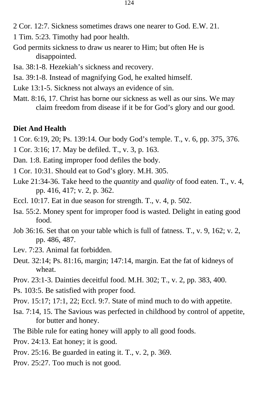- 2 Cor. 12:7. Sickness sometimes draws one nearer to God. E.W. 21.
- 1 Tim. 5:23. Timothy had poor health.
- God permits sickness to draw us nearer to Him; but often He is disappointed.
- Isa. 38:1-8. Hezekiah's sickness and recovery.
- Isa. 39:1-8. Instead of magnifying God, he exalted himself.
- Luke 13:1-5. Sickness not always an evidence of sin.
- Matt. 8:16, 17. Christ has borne our sickness as well as our sins. We may claim freedom from disease if it be for God's glory and our good.

#### **Diet And Health**

- 1 Cor. 6:19, 20; Ps. 139:14. Our body God's temple. T., v. 6, pp. 375, 376.
- 1 Cor. 3:16; 17. May be defiled. T., v. 3, p. 163.
- Dan. 1:8. Eating improper food defiles the body.
- 1 Cor. 10:31. Should eat to God's glory. M.H. 305.
- Luke 21:34-36. Take heed to the *quantity* and *quality* of food eaten. T., v. 4, pp. 416, 417; v. 2, p. 362.
- Eccl. 10:17. Eat in due season for strength. T., v. 4, p. 502.
- Isa. 55:2. Money spent for improper food is wasted. Delight in eating good food.
- Job 36:16. Set that on your table which is full of fatness. T., v. 9, 162; v. 2, pp. 486, 487.
- Lev. 7:23. Animal fat forbidden.
- Deut. 32:14; Ps. 81:16, margin; 147:14, margin. Eat the fat of kidneys of wheat.
- Prov. 23:1-3. Dainties deceitful food. M.H. 302; T., v. 2, pp. 383, 400.
- Ps. 103:5. Be satisfied with proper food.
- Prov. 15:17; 17:1, 22; Eccl. 9:7. State of mind much to do with appetite.
- Isa. 7:14, 15. The Savious was perfected in childhood by control of appetite, for butter and honey.
- The Bible rule for eating honey will apply to all good foods.
- Prov. 24:13. Eat honey; it is good.
- Prov. 25:16. Be guarded in eating it. T., v. 2, p. 369.
- Prov. 25:27. Too much is not good.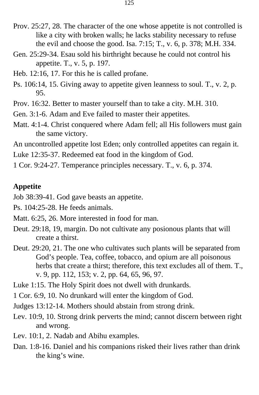- Prov. 25:27, 28. The character of the one whose appetite is not controlled is like a city with broken walls; he lacks stability necessary to refuse the evil and choose the good. Isa. 7:15; T., v. 6, p. 378; M.H. 334.
- Gen. 25:29-34. Esau sold his birthright because he could not control his appetite. T., v. 5, p. 197.
- Heb. 12:16, 17. For this he is called profane.
- Ps. 106:14, 15. Giving away to appetite given leanness to soul. T., v. 2, p. 95.
- Prov. 16:32. Better to master yourself than to take a city. M.H. 310.
- Gen. 3:1-6. Adam and Eve failed to master their appetites.
- Matt. 4:1-4. Christ conquered where Adam fell; all His followers must gain the same victory.

An uncontrolled appetite lost Eden; only controlled appetites can regain it.

Luke 12:35-37. Redeemed eat food in the kingdom of God.

1 Cor. 9:24-27. Temperance principles necessary. T., v. 6, p. 374.

#### **Appetite**

Job 38:39-41. God gave beasts an appetite.

Ps. 104:25-28. He feeds animals.

- Matt. 6:25, 26. More interested in food for man.
- Deut. 29:18, 19, margin. Do not cultivate any posionous plants that will create a thirst.
- Deut. 29:20, 21. The one who cultivates such plants will be separated from God's people. Tea, coffee, tobacco, and opium are all poisonous herbs that create a thirst; therefore, this text excludes all of them. T., v. 9, pp. 112, 153; v. 2, pp. 64, 65, 96, 97.

Luke 1:15. The Holy Spirit does not dwell with drunkards.

1 Cor. 6:9, 10. No drunkard will enter the kingdom of God.

Judges 13:12-14. Mothers should abstain from strong drink.

- Lev. 10:9, 10. Strong drink perverts the mind; cannot discern between right and wrong.
- Lev. 10:1, 2. Nadab and Abihu examples.
- Dan. 1:8-16. Daniel and his companions risked their lives rather than drink the king's wine.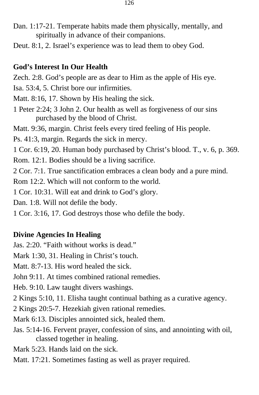- Dan. 1:17-21. Temperate habits made them physically, mentally, and spiritually in advance of their companions.
- Deut. 8:1, 2. Israel's experience was to lead them to obey God.

### **God's Interest In Our Health**

Zech. 2:8. God's people are as dear to Him as the apple of His eye.

- Isa. 53:4, 5. Christ bore our infirmities.
- Matt. 8:16, 17. Shown by His healing the sick.
- 1 Peter 2:24; 3 John 2. Our health as well as forgiveness of our sins purchased by the blood of Christ.
- Matt. 9:36, margin. Christ feels every tired feeling of His people.
- Ps. 41:3, margin. Regards the sick in mercy.
- 1 Cor. 6:19, 20. Human body purchased by Christ's blood. T., v. 6, p. 369.
- Rom. 12:1. Bodies should be a living sacrifice.
- 2 Cor. 7:1. True sanctification embraces a clean body and a pure mind.
- Rom 12:2. Which will not conform to the world.
- 1 Cor. 10:31. Will eat and drink to God's glory.
- Dan. 1:8. Will not defile the body.
- 1 Cor. 3:16, 17. God destroys those who defile the body.

## **Divine Agencies In Healing**

Jas. 2:20. "Faith without works is dead."

Mark 1:30, 31. Healing in Christ's touch.

Matt. 8:7-13. His word healed the sick.

- John 9:11. At times combined rational remedies.
- Heb. 9:10. Law taught divers washings.
- 2 Kings 5:10, 11. Elisha taught continual bathing as a curative agency.
- 2 Kings 20:5-7. Hezekiah given rational remedies.
- Mark 6:13. Disciples annointed sick, healed them.
- Jas. 5:14-16. Fervent prayer, confession of sins, and annointing with oil, classed together in healing.
- Mark 5:23. Hands laid on the sick.
- Matt. 17:21. Sometimes fasting as well as prayer required.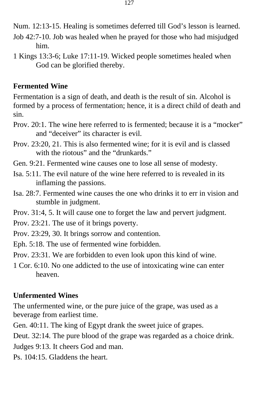Num. 12:13-15. Healing is sometimes deferred till God's lesson is learned.

- Job 42:7-10. Job was healed when he prayed for those who had misjudged him.
- 1 Kings 13:3-6; Luke 17:11-19. Wicked people sometimes healed when God can be glorified thereby.

### **Fermented Wine**

Fermentation is a sign of death, and death is the result of sin. Alcohol is formed by a process of fermentation; hence, it is a direct child of death and sin.

- Prov. 20:1. The wine here referred to is fermented; because it is a "mocker" and "deceiver" its character is evil.
- Prov. 23:20, 21. This is also fermented wine; for it is evil and is classed with the riotous" and the "drunkards."
- Gen. 9:21. Fermented wine causes one to lose all sense of modesty.
- Isa. 5:11. The evil nature of the wine here referred to is revealed in its inflaming the passions.
- Isa. 28:7. Fermented wine causes the one who drinks it to err in vision and stumble in judgment.
- Prov. 31:4, 5. It will cause one to forget the law and pervert judgment.
- Prov. 23:21. The use of it brings poverty.
- Prov. 23:29, 30. It brings sorrow and contention.
- Eph. 5:18. The use of fermented wine forbidden.
- Prov. 23:31. We are forbidden to even look upon this kind of wine.
- 1 Cor. 6:10. No one addicted to the use of intoxicating wine can enter heaven.

### **Unfermented Wines**

The unfermented wine, or the pure juice of the grape, was used as a beverage from earliest time.

Gen. 40:11. The king of Egypt drank the sweet juice of grapes.

Deut. 32:14. The pure blood of the grape was regarded as a choice drink.

Judges 9:13. It cheers God and man.

Ps. 104:15. Gladdens the heart.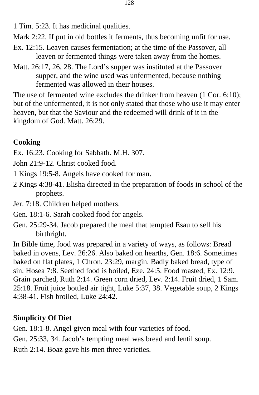1 Tim. 5:23. It has medicinal qualities.

Mark 2:22. If put in old bottles it ferments, thus becoming unfit for use.

- Ex. 12:15. Leaven causes fermentation; at the time of the Passover, all leaven or fermented things were taken away from the homes.
- Matt. 26:17, 26, 28. The Lord's supper was instituted at the Passover supper, and the wine used was unfermented, because nothing fermented was allowed in their houses.

The use of fermented wine excludes the drinker from heaven (1 Cor. 6:10); but of the unfermented, it is not only stated that those who use it may enter heaven, but that the Saviour and the redeemed will drink of it in the kingdom of God. Matt. 26:29.

## **Cooking**

- Ex. 16:23. Cooking for Sabbath. M.H. 307.
- John 21:9-12. Christ cooked food.
- 1 Kings 19:5-8. Angels have cooked for man.
- 2 Kings 4:38-41. Elisha directed in the preparation of foods in school of the prophets.
- Jer. 7:18. Children helped mothers.
- Gen. 18:1-6. Sarah cooked food for angels.
- Gen. 25:29-34. Jacob prepared the meal that tempted Esau to sell his birthright.

In Bible time, food was prepared in a variety of ways, as follows: Bread baked in ovens, Lev. 26:26. Also baked on hearths, Gen. 18:6. Sometimes baked on flat plates, 1 Chron. 23:29, margin. Badly baked bread, type of sin. Hosea 7:8. Seethed food is boiled, Eze. 24:5. Food roasted, Ex. 12:9. Grain parched, Ruth 2:14. Green corn dried, Lev. 2:14. Fruit dried, 1 Sam. 25:18. Fruit juice bottled air tight, Luke 5:37, 38. Vegetable soup, 2 Kings 4:38-41. Fish broiled, Luke 24:42.

# **Simplicity Of Diet**

Gen. 18:1-8. Angel given meal with four varieties of food.

Gen. 25:33, 34. Jacob's tempting meal was bread and lentil soup.

Ruth 2:14. Boaz gave his men three varieties.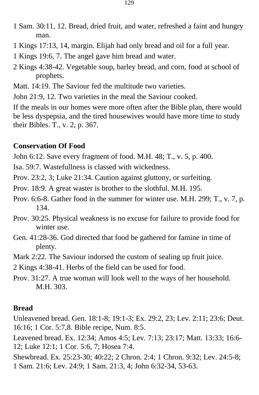- 1 Sam. 30:11, 12. Bread, dried fruit, and water, refreshed a faint and hungry man.
- 1 Kings 17:13, 14, margin. Elijah had only bread and oil for a full year.
- 1 Kings 19:6, 7. The angel gave him bread and water.
- 2 Kings 4:38-42. Vegetable soup, barley bread, and corn, food at school of prophets.
- Matt. 14:19. The Saviour fed the multitude two varieties.
- John 21:9, 12. Two varieties in the meal the Saviour cooked.

If the meals in our homes were more often after the Bible plan, there would be less dyspepsia, and the tired housewives would have more time to study their Bibles. T., v. 2, p. 367.

### **Conservation Of Food**

John 6:12. Save every fragment of food. M.H. 48; T., v. 5, p. 400.

Isa. 59:7. Wastefullness is classed with wickedness.

Prov. 23:2, 3; Luke 21:34. Caution against gluttony, or surfeiting.

Prov. 18:9. A great waster is brother to the slothful. M.H. 195.

- Prov. 6:6-8. Gather food in the summer for winter use. M.H. 299; T., v. 7, p. 134.
- Prov. 30:25. Physical weakness is no excuse for failure to provide food for winter use.
- Gen. 41:28-36. God directed that food be gathered for famine in time of plenty.
- Mark 2:22. The Saviour indorsed the custom of sealing up fruit juice.
- 2 Kings 4:38-41. Herbs of the field can be used for food.
- Prov. 31:27. A true woman will look well to the ways of her household. M.H. 303.

### **Bread**

Unleavened bread. Gen. 18:1-8; 19:1-3; Ex. 29:2, 23; Lev. 2:11; 23:6; Deut. 16:16; 1 Cor. 5:7,8. Bible recipe, Num. 8:5.

Leavened bread. Ex. 12:34; Amos 4:5; Lev. 7:13; 23:17; Matt. 13:33; 16:6- 12; Luke 12:1; 1 Cor. 5:6, 7; Hosea 7:4.

Shewbread. Ex. 25:23-30; 40:22; 2 Chron. 2:4; 1 Chron. 9:32; Lev. 24:5-8; 1 Sam. 21:6; Lev. 24:9; 1 Sam. 21:3, 4; John 6:32-34, 53-63.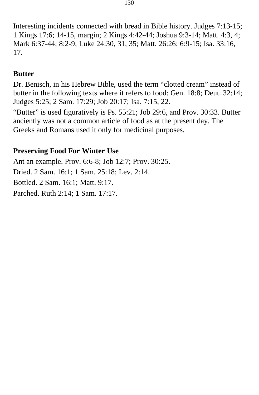Interesting incidents connected with bread in Bible history. Judges 7:13-15; 1 Kings 17:6; 14-15, margin; 2 Kings 4:42-44; Joshua 9:3-14; Matt. 4:3, 4; Mark 6:37-44; 8:2-9; Luke 24:30, 31, 35; Matt. 26:26; 6:9-15; Isa. 33:16, 17.

### **Butter**

Dr. Benisch, in his Hebrew Bible, used the term "clotted cream" instead of butter in the following texts where it refers to food: Gen. 18:8; Deut. 32:14; Judges 5:25; 2 Sam. 17:29; Job 20:17; Isa. 7:15, 22.

"Butter" is used figuratively is Ps. 55:21; Job 29:6, and Prov. 30:33. Butter anciently was not a common article of food as at the present day. The Greeks and Romans used it only for medicinal purposes.

### **Preserving Food For Winter Use**

Ant an example. Prov. 6:6-8; Job 12:7; Prov. 30:25. Dried. 2 Sam. 16:1; 1 Sam. 25:18; Lev. 2:14. Bottled. 2 Sam. 16:1; Matt. 9:17. Parched. Ruth 2:14; 1 Sam. 17:17.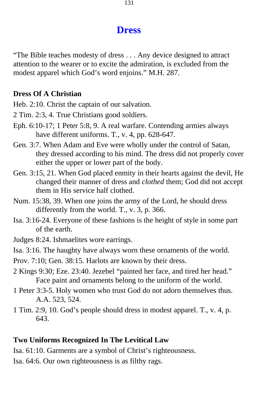## **Dress**

"The Bible teaches modesty of dress . . . Any device designed to attract attention to the wearer or to excite the admiration, is excluded from the modest apparel which God's word enjoins." M.H. 287.

#### **Dress Of A Christian**

Heb. 2:10. Christ the captain of our salvation.

2 Tim. 2:3, 4. True Christians good soldiers.

- Eph. 6:10-17; 1 Peter 5:8, 9. A real warfare. Contending armies always have different uniforms. T., v. 4, pp. 628-647.
- Gen. 3:7. When Adam and Eve were wholly under the control of Satan, they dressed according to his mind. The dress did not properly cover either the upper or lower part of the body.
- Gen. 3:15, 21. When God placed enmity in their hearts against the devil, He changed their manner of dress and *clothed* them; God did not accept them in His service half clothed.
- Num. 15:38, 39. When one joins the army of the Lord, he should dress differently from the world. T., v. 3, p. 366.
- Isa. 3:16-24. Everyone of these fashions is the height of style in some part of the earth.
- Judges 8:24. Ishmaelites wore earrings.

Isa. 3:16. The haughty have always worn these ornaments of the world.

Prov. 7:10; Gen. 38:15. Harlots are known by their dress.

- 2 Kings 9:30; Eze. 23:40. Jezebel "painted her face, and tired her head." Face paint and ornaments belong to the uniform of the world.
- 1 Peter 3:3-5. Holy women who trust God do not adorn themselves thus. A.A. 523, 524.
- 1 Tim. 2:9, 10. God's people should dress in modest apparel. T., v. 4, p. 643.

### **Two Uniforms Recognized In The Levitical Law**

Isa. 61:10. Garments are a symbol of Christ's righteousness.

Isa. 64:6. Our own righteousness is as filthy rags.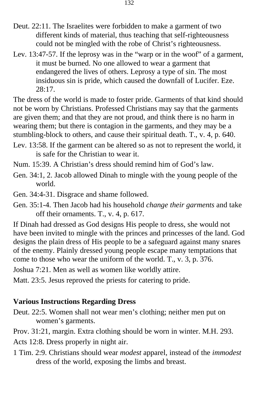- Deut. 22:11. The Israelites were forbidden to make a garment of two different kinds of material, thus teaching that self-righteousness could not be mingled with the robe of Christ's righteousness.
- Lev. 13:47-57. If the leprosy was in the "warp or in the woof" of a garment, it must be burned. No one allowed to wear a garment that endangered the lives of others. Leprosy a type of sin. The most insiduous sin is pride, which caused the downfall of Lucifer. Eze. 28:17.

The dress of the world is made to foster pride. Garments of that kind should not be worn by Christians. Professed Christians may say that the garments are given them; and that they are not proud, and think there is no harm in wearing them; but there is contagion in the garments, and they may be a stumbling-block to others, and cause their spiritual death. T., v. 4, p. 640.

- Lev. 13:58. If the garment can be altered so as not to represent the world, it is safe for the Christian to wear it.
- Num. 15:39. A Christian's dress should remind him of God's law.
- Gen. 34:1, 2. Jacob allowed Dinah to mingle with the young people of the world.
- Gen. 34:4-31. Disgrace and shame followed.
- Gen. 35:1-4. Then Jacob had his household *change their garments* and take off their ornaments. T., v. 4, p. 617.

If Dinah had dressed as God designs His people to dress, she would not have been invited to mingle with the princes and princesses of the land. God designs the plain dress of His people to be a safeguard against many snares of the enemy. Plainly dressed young people escape many temptations that come to those who wear the uniform of the world. T., v. 3, p. 376.

Joshua 7:21. Men as well as women like worldly attire.

Matt. 23:5. Jesus reproved the priests for catering to pride.

### **Various Instructions Regarding Dress**

- Deut. 22:5. Women shall not wear men's clothing; neither men put on women's garments.
- Prov. 31:21, margin. Extra clothing should be worn in winter. M.H. 293.
- Acts 12:8. Dress properly in night air.
- 1 Tim. 2:9. Christians should wear *modest* apparel, instead of the *immodest*  dress of the world, exposing the limbs and breast.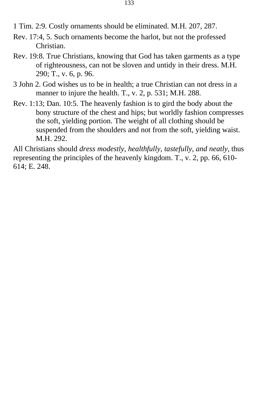1 Tim. 2:9. Costly ornaments should be eliminated. M.H. 207, 287.

- Rev. 17:4, 5. Such ornaments become the harlot, but not the professed Christian.
- Rev. 19:8. True Christians, knowing that God has taken garments as a type of righteousness, can not be sloven and untidy in their dress. M.H. 290; T., v. 6, p. 96.
- 3 John 2. God wishes us to be in health; a true Christian can not dress in a manner to injure the health. T., v. 2, p. 531; M.H. 288.
- Rev. 1:13; Dan. 10:5. The heavenly fashion is to gird the body about the bony structure of the chest and hips; but worldly fashion compresses the soft, yielding portion. The weight of all clothing should be suspended from the shoulders and not from the soft, yielding waist. M.H. 292.

All Christians should *dress modestly, healthfully, tastefully, and neatly,* thus representing the principles of the heavenly kingdom. T., v. 2, pp. 66, 610 614; E. 248.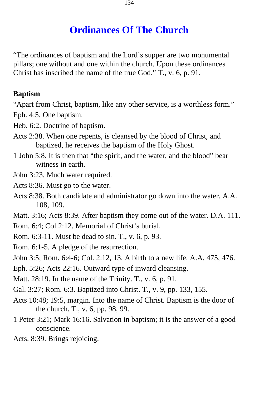# **Ordinances Of The Church**

"The ordinances of baptism and the Lord's supper are two monumental pillars; one without and one within the church. Upon these ordinances Christ has inscribed the name of the true God." T., v. 6, p. 91.

### **Baptism**

"Apart from Christ, baptism, like any other service, is a worthless form." Eph. 4:5. One baptism.

- Heb. 6:2. Doctrine of baptism.
- Acts 2:38. When one repents, is cleansed by the blood of Christ, and baptized, he receives the baptism of the Holy Ghost.
- 1 John 5:8. It is then that "the spirit, and the water, and the blood" bear witness in earth.
- John 3:23. Much water required.
- Acts 8:36. Must go to the water.
- Acts 8:38. Both candidate and administrator go down into the water. A.A. 108, 109.
- Matt. 3:16; Acts 8:39. After baptism they come out of the water. D.A. 111.
- Rom. 6:4; Col 2:12. Memorial of Christ's burial.
- Rom. 6:3-11. Must be dead to sin. T., v. 6, p. 93.
- Rom. 6:1-5. A pledge of the resurrection.
- John 3:5; Rom. 6:4-6; Col. 2:12, 13. A birth to a new life. A.A. 475, 476.
- Eph. 5:26; Acts 22:16. Outward type of inward cleansing.
- Matt. 28:19. In the name of the Trinity. T., v. 6, p. 91.
- Gal. 3:27; Rom. 6:3. Baptized into Christ. T., v. 9, pp. 133, 155.
- Acts 10:48; 19:5, margin. Into the name of Christ. Baptism is the door of the church. T., v. 6, pp. 98, 99.
- 1 Peter 3:21; Mark 16:16. Salvation in baptism; it is the answer of a good conscience.
- Acts. 8:39. Brings rejoicing.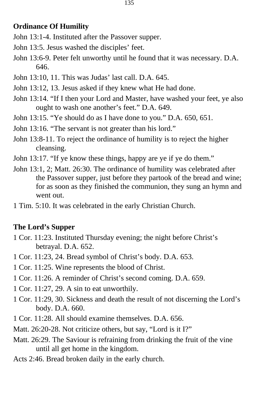### **Ordinance Of Humility**

- John 13:1-4. Instituted after the Passover supper.
- John 13:5. Jesus washed the disciples' feet.
- John 13:6-9. Peter felt unworthy until he found that it was necessary. D.A. 646.
- John 13:10, 11. This was Judas' last call. D.A. 645.
- John 13:12, 13. Jesus asked if they knew what He had done.
- John 13:14. "If I then your Lord and Master, have washed your feet, ye also ought to wash one another's feet." D.A. 649.
- John 13:15. "Ye should do as I have done to you." D.A. 650, 651.
- John 13:16. "The servant is not greater than his lord."
- John 13:8-11. To reject the ordinance of humility is to reject the higher cleansing.
- John 13:17. "If ye know these things, happy are ye if ye do them."
- John 13:1, 2; Matt. 26:30. The ordinance of humility was celebrated after the Passover supper, just before they partook of the bread and wine; for as soon as they finished the communion, they sung an hymn and went out.
- 1 Tim. 5:10. It was celebrated in the early Christian Church.

### **The Lord's Supper**

- 1 Cor. 11:23. Instituted Thursday evening; the night before Christ's betrayal. D.A. 652.
- 1 Cor. 11:23, 24. Bread symbol of Christ's body. D.A. 653.
- 1 Cor. 11:25. Wine represents the blood of Christ.
- 1 Cor. 11:26. A reminder of Christ's second coming. D.A. 659.
- 1 Cor. 11:27, 29. A sin to eat unworthily.
- 1 Cor. 11:29, 30. Sickness and death the result of not discerning the Lord's body. D.A. 660.
- 1 Cor. 11:28. All should examine themselves. D.A. 656.
- Matt. 26:20-28. Not criticize others, but say, "Lord is it I?"
- Matt. 26:29. The Saviour is refraining from drinking the fruit of the vine until all get home in the kingdom.
- Acts 2:46. Bread broken daily in the early church.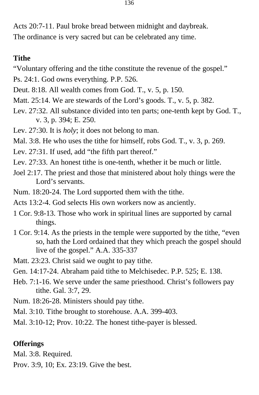Acts 20:7-11. Paul broke bread between midnight and daybreak. The ordinance is very sacred but can be celebrated any time.

### **Tithe**

- "Voluntary offering and the tithe constitute the revenue of the gospel."
- Ps. 24:1. God owns everything. P.P. 526.
- Deut. 8:18. All wealth comes from God. T., v. 5, p. 150.
- Matt. 25:14. We are stewards of the Lord's goods. T., v. 5, p. 382.
- Lev. 27:32. All substance divided into ten parts; one-tenth kept by God. T., v. 3, p. 394; E. 250.
- Lev. 27:30. It is *holy*; it does not belong to man.
- Mal. 3:8. He who uses the tithe for himself, robs God. T., v. 3, p. 269.
- Lev. 27:31. If used, add "the fifth part thereof."
- Lev. 27:33. An honest tithe is one-tenth, whether it be much or little.
- Joel 2:17. The priest and those that ministered about holy things were the Lord's servants.
- Num. 18:20-24. The Lord supported them with the tithe.
- Acts 13:2-4. God selects His own workers now as anciently.
- 1 Cor. 9:8-13. Those who work in spiritual lines are supported by carnal things.
- 1 Cor. 9:14. As the priests in the temple were supported by the tithe, "even so, hath the Lord ordained that they which preach the gospel should live of the gospel." A.A. 335-337
- Matt. 23:23. Christ said we ought to pay tithe.
- Gen. 14:17-24. Abraham paid tithe to Melchisedec. P.P. 525; E. 138.
- Heb. 7:1-16. We serve under the same priesthood. Christ's followers pay tithe. Gal. 3:7, 29.
- Num. 18:26-28. Ministers should pay tithe.
- Mal. 3:10. Tithe brought to storehouse. A.A. 399-403.
- Mal. 3:10-12; Prov. 10:22. The honest tithe-payer is blessed.

### **Offerings**

- Mal. 3:8. Required.
- Prov. 3:9, 10; Ex. 23:19. Give the best.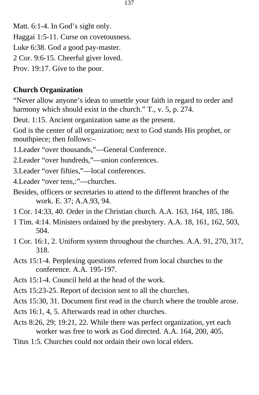Matt. 6:1-4. In God's sight only.

Haggai 1:5-11. Curse on covetousness.

Luke 6:38. God a good pay-master.

2 Cor. 9:6-15. Cheerful giver loved.

Prov. 19:17. Give to the poor.

## **Church Organization**

"Never allow anyone's ideas to unsettle your faith in regard to order and harmony which should exist in the church." T., v. 5, p. 274.

Deut. 1:15. Ancient organization same as the present.

God is the center of all organization; next to God stands His prophet, or mouthpiece; then follows:–

1.Leader "over thousands,"—General Conference.

2.Leader "over hundreds,"—union conferences.

3.Leader "over fifties,"—local conferences.

4.Leader "over tens,:"—churches.

- Besides, officers or secretaries to attend to the different branches of the work. E. 37; A.A.93, 94.
- 1 Cor. 14:33, 40. Order in the Christian church. A.A. 163, 164, 185, 186.
- 1 Tim. 4:14. Ministers ordained by the presbytery. A.A. 18, 161, 162, 503, 504.
- 1 Cor. 16:1, 2. Uniform system throughout the churches. A.A. 91, 270, 317, 318.
- Acts 15:1-4. Perplexing questions referred from local churches to the conference. A.A. 195-197.
- Acts 15:1-4. Council held at the head of the work.
- Acts 15:23-25. Report of decision sent to all the churches.

Acts 15:30, 31. Document first read in the church where the trouble arose.

- Acts 16:1, 4, 5. Afterwards read in other churches.
- Acts 8:26, 29; 19:21, 22. While there was perfect organization, yet each worker was free to work as God directed. A.A. 164, 200, 405.
- Titus 1:5. Churches could not ordain their own local elders.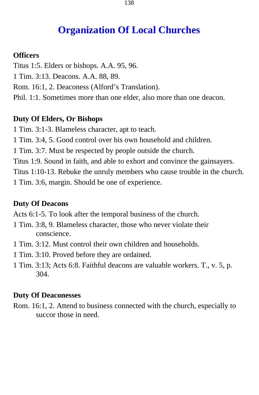# **Organization Of Local Churches**

### **Officers**

- Titus 1:5. Elders or bishops. A.A. 95, 96.
- 1 Tim. 3:13. Deacons. A.A. 88, 89.
- Rom. 16:1, 2. Deaconess (Alford's Translation).
- Phil. 1:1. Sometimes more than one elder, also more than one deacon.

### **Duty Of Elders, Or Bishops**

- 1 Tim. 3:1-3. Blameless character, apt to teach.
- 1 Tim. 3:4, 5. Good control over his own household and children.
- 1 Tim. 3:7. Must be respected by people outside the church.
- Titus 1:9. Sound in faith, and able to exhort and convince the gainsayers.
- Titus 1:10-13. Rebuke the unruly members who cause trouble in the church.
- 1 Tim. 3:6, margin. Should be one of experience.

### **Duty Of Deacons**

Acts 6:1-5. To look after the temporal business of the church.

- 1 Tim. 3:8, 9. Blameless character, those who never violate their conscience.
- 1 Tim. 3:12. Must control their own children and households.
- 1 Tim. 3:10. Proved before they are ordained.
- 1 Tim. 3:13; Acts 6:8. Faithful deacons are valuable workers. T., v. 5, p. 304.

#### **Duty Of Deaconesses**

Rom. 16:1, 2. Attend to business connected with the church, especially to succor those in need.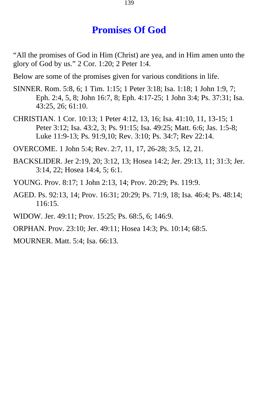# **Promises Of God**

"All the promises of God in Him (Christ) are yea, and in Him amen unto the glory of God by us." 2 Cor. 1:20; 2 Peter 1:4.

Below are some of the promises given for various conditions in life.

- SINNER. Rom. 5:8, 6; 1 Tim. 1:15; 1 Peter 3:18; Isa. 1:18; 1 John 1:9, 7; Eph. 2:4, 5, 8; John 16:7, 8; Eph. 4:17-25; 1 John 3:4; Ps. 37:31; Isa. 43:25, 26; 61:10.
- CHRISTIAN. 1 Cor. 10:13; 1 Peter 4:12, 13, 16; Isa. 41:10, 11, 13-15; 1 Peter 3:12; Isa. 43:2, 3; Ps. 91:15; Isa. 49:25; Matt. 6:6; Jas. 1:5-8; Luke 11:9-13; Ps. 91:9,10; Rev. 3:10; Ps. 34:7; Rev 22:14.

OVERCOME. 1 John 5:4; Rev. 2:7, 11, 17, 26-28; 3:5, 12, 21.

- BACKSLIDER. Jer 2:19, 20; 3:12, 13; Hosea 14:2; Jer. 29:13, 11; 31:3; Jer. 3:14, 22; Hosea 14:4, 5; 6:1.
- YOUNG. Prov. 8:17; 1 John 2:13, 14; Prov. 20:29; Ps. 119:9.
- AGED. Ps. 92:13, 14; Prov. 16:31; 20:29; Ps. 71:9, 18; Isa. 46:4; Ps. 48:14; 116:15.
- WIDOW. Jer. 49:11; Prov. 15:25; Ps. 68:5, 6; 146:9.
- ORPHAN. Prov. 23:10; Jer. 49:11; Hosea 14:3; Ps. 10:14; 68:5.

MOURNER. Matt. 5:4; Isa. 66:13.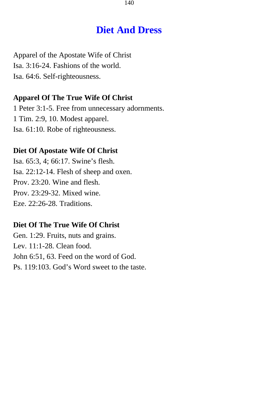# **Diet And Dress**

Apparel of the Apostate Wife of Christ Isa. 3:16-24. Fashions of the world. Isa. 64:6. Self-righteousness.

### **Apparel Of The True Wife Of Christ**

1 Peter 3:1-5. Free from unnecessary adornments. 1 Tim. 2:9, 10. Modest apparel. Isa. 61:10. Robe of righteousness.

#### **Diet Of Apostate Wife Of Christ**

Isa. 65:3, 4; 66:17. Swine's flesh. Isa. 22:12-14. Flesh of sheep and oxen. Prov. 23:20. Wine and flesh. Prov. 23:29-32. Mixed wine. Eze. 22:26-28. Traditions.

### **Diet Of The True Wife Of Christ**

Gen. 1:29. Fruits, nuts and grains. Lev. 11:1-28. Clean food. John 6:51, 63. Feed on the word of God. Ps. 119:103. God's Word sweet to the taste.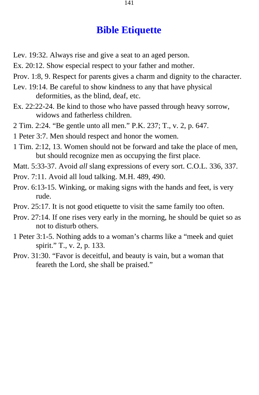# **Bible Etiquette**

- Lev. 19:32. Always rise and give a seat to an aged person.
- Ex. 20:12. Show especial respect to your father and mother.
- Prov. 1:8, 9. Respect for parents gives a charm and dignity to the character.
- Lev. 19:14. Be careful to show kindness to any that have physical deformities, as the blind, deaf, etc.
- Ex. 22:22-24. Be kind to those who have passed through heavy sorrow, widows and fatherless children.
- 2 Tim. 2:24. "Be gentle unto all men." P.K. 237; T., v. 2, p. 647.
- 1 Peter 3:7. Men should respect and honor the women.
- 1 Tim. 2:12, 13. Women should not be forward and take the place of men, but should recognize men as occupying the first place.
- Matt. 5:33-37. Avoid *all* slang expressions of every sort. C.O.L. 336, 337.
- Prov. 7:11. Avoid all loud talking. M.H. 489, 490.
- Prov. 6:13-15. Winking, or making signs with the hands and feet, is very rude.
- Prov. 25:17. It is not good etiquette to visit the same family too often.
- Prov. 27:14. If one rises very early in the morning, he should be quiet so as not to disturb others.
- 1 Peter 3:1-5. Nothing adds to a woman's charms like a "meek and quiet spirit." T., v. 2, p. 133.
- Prov. 31:30. "Favor is deceitful, and beauty is vain, but a woman that feareth the Lord, she shall be praised."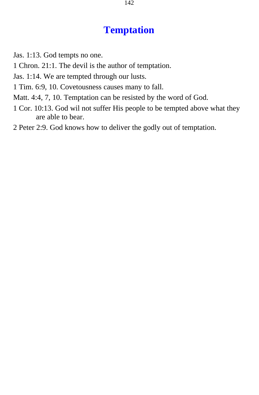# **Temptation**

- Jas. 1:13. God tempts no one.
- 1 Chron. 21:1. The devil is the author of temptation.
- Jas. 1:14. We are tempted through our lusts.
- 1 Tim. 6:9, 10. Covetousness causes many to fall.
- Matt. 4:4, 7, 10. Temptation can be resisted by the word of God.
- 1 Cor. 10:13. God wil not suffer His people to be tempted above what they are able to bear.
- 2 Peter 2:9. God knows how to deliver the godly out of temptation.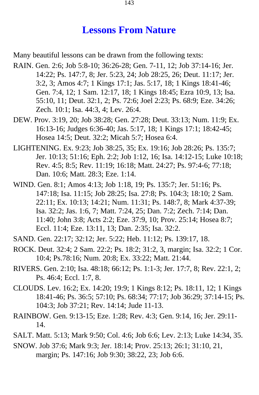## **Lessons From Nature**

Many beautiful lessons can be drawn from the following texts:

- RAIN. Gen. 2:6; Job 5:8-10; 36:26-28; Gen. 7-11, 12; Job 37:14-16; Jer. 14:22; Ps. 147:7, 8; Jer. 5:23, 24; Job 28:25, 26; Deut. 11:17; Jer. 3:2, 3; Amos 4:7; 1 Kings 17:1; Jas. 5:17, 18; 1 Kings 18:41-46; Gen. 7:4, 12; 1 Sam. 12:17, 18; 1 Kings 18:45; Ezra 10:9, 13; Isa. 55:10, 11; Deut. 32:1, 2; Ps. 72:6; Joel 2:23; Ps. 68:9; Eze. 34:26; Zech. 10:1; Isa. 44:3, 4; Lev. 26:4.
- DEW. Prov. 3:19, 20; Job 38:28; Gen. 27:28; Deut. 33:13; Num. 11:9; Ex. 16:13-16; Judges 6:36-40; Jas. 5:17, 18; 1 Kings 17:1; 18:42-45; Hosea 14:5; Deut. 32:2; Micah 5:7; Hosea 6:4.
- LIGHTENING. Ex. 9:23; Job 38:25, 35; Ex. 19:16; Job 28:26; Ps. 135:7; Jer. 10:13; 51:16; Eph. 2:2; Job 1:12, 16; Isa. 14:12-15; Luke 10:18; Rev. 4:5; 8:5; Rev. 11:19; 16:18; Matt. 24:27; Ps. 97:4-6; 77:18; Dan. 10:6; Matt. 28:3; Eze. 1:14.
- WIND. Gen. 8:1; Amos 4:13; Job 1:18, 19; Ps. 135:7; Jer. 51:16; Ps. 147:18; Isa. 11:15; Job 28:25; Isa. 27:8; Ps. 104:3; 18:10; 2 Sam. 22:11; Ex. 10:13; 14:21; Num. 11:31; Ps. 148:7, 8; Mark 4:37-39; Isa. 32:2; Jas. 1:6, 7; Matt. 7:24, 25; Dan. 7:2; Zech. 7:14; Dan. 11:40; John 3:8; Acts 2:2; Eze. 37:9, 10; Prov. 25:14; Hosea 8:7; Eccl. 11:4; Eze. 13:11, 13; Dan. 2:35; Isa. 32:2.
- SAND. Gen. 22:17; 32:12; Jer. 5:22; Heb. 11:12; Ps. 139:17, 18.
- ROCK. Deut. 32:4; 2 Sam. 22:2; Ps. 18:2; 31:2, 3, margin; Isa. 32:2; 1 Cor. 10:4; Ps.78:16; Num. 20:8; Ex. 33:22; Matt. 21:44.
- RIVERS. Gen. 2:10; Isa. 48:18; 66:12; Ps. 1:1-3; Jer. 17:7, 8; Rev. 22:1, 2; Ps. 46:4; Eccl. 1:7, 8.
- CLOUDS. Lev. 16:2; Ex. 14:20; 19:9; 1 Kings 8:12; Ps. 18:11, 12; 1 Kings 18:41-46; Ps. 36:5; 57:10; Ps. 68:34; 77:17; Job 36:29; 37:14-15; Ps. 104:3; Job 37:21; Rev. 14:14; Jude 11-13.
- RAINBOW. Gen. 9:13-15; Eze. 1:28; Rev. 4:3; Gen. 9:14, 16; Jer. 29:11- 14.
- SALT. Matt. 5:13; Mark 9:50; Col. 4:6; Job 6:6; Lev. 2:13; Luke 14:34, 35.
- SNOW. Job 37:6; Mark 9:3; Jer. 18:14; Prov. 25:13; 26:1; 31:10, 21, margin; Ps. 147:16; Job 9:30; 38:22, 23; Job 6:6.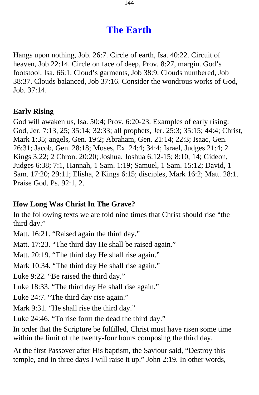# **The Earth**

Hangs upon nothing, Job. 26:7. Circle of earth, Isa. 40:22. Circuit of heaven, Job 22:14. Circle on face of deep, Prov. 8:27, margin. God's footstool, Isa. 66:1. Cloud's garments, Job 38:9. Clouds numbered, Job 38:37. Clouds balanced, Job 37:16. Consider the wondrous works of God, Job. 37:14.

### **Early Rising**

God will awaken us, Isa. 50:4; Prov. 6:20-23. Examples of early rising: God, Jer. 7:13, 25; 35:14; 32:33; all prophets, Jer. 25:3; 35:15; 44:4; Christ, Mark 1:35; angels, Gen. 19:2; Abraham, Gen. 21:14; 22:3; Isaac, Gen. 26:31; Jacob, Gen. 28:18; Moses, Ex. 24:4; 34:4; Israel, Judges 21:4; 2 Kings 3:22; 2 Chron. 20:20; Joshua, Joshua 6:12-15; 8:10, 14; Gideon, Judges 6:38; 7:1, Hannah, 1 Sam. 1:19; Samuel, 1 Sam. 15:12; David, 1 Sam. 17:20; 29:11; Elisha, 2 Kings 6:15; disciples, Mark 16:2; Matt. 28:1. Praise God. Ps. 92:1, 2.

### **How Long Was Christ In The Grave?**

In the following texts we are told nine times that Christ should rise "the third day."

Matt. 16:21. "Raised again the third day."

Matt. 17:23. "The third day He shall be raised again."

Matt. 20:19. "The third day He shall rise again."

Mark 10:34. "The third day He shall rise again."

Luke 9:22. "Be raised the third day."

Luke 18:33. "The third day He shall rise again."

Luke 24:7. "The third day rise again."

Mark 9:31. "He shall rise the third day."

Luke 24:46. "To rise form the dead the third day."

In order that the Scripture be fulfilled, Christ must have risen some time within the limit of the twenty-four hours composing the third day.

At the first Passover after His baptism, the Saviour said, "Destroy this temple, and in three days I will raise it up." John 2:19. In other words,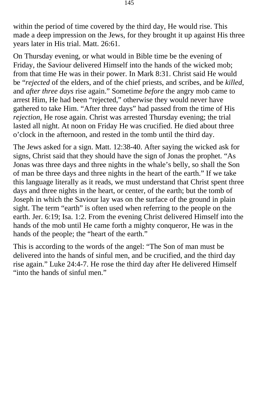within the period of time covered by the third day, He would rise. This made a deep impression on the Jews, for they brought it up against His three years later in His trial. Matt. 26:61.

On Thursday evening, or what would in Bible time be the evening of Friday, the Saviour delivered Himself into the hands of the wicked mob; from that time He was in their power. In Mark 8:31. Christ said He would be "*rejected* of the elders, and of the chief priests, and scribes, and be *killed*, and *after three days* rise again." Sometime *before* the angry mob came to arrest Him, He had been "rejected," otherwise they would never have gathered to take Him. "After three days" had passed from the time of His *rejection,* He rose again. Christ was arrested Thursday evening; the trial lasted all night. At noon on Friday He was crucified. He died about three o'clock in the afternoon, and rested in the tomb until the third day.

The Jews asked for a sign. Matt. 12:38-40. After saying the wicked ask for signs, Christ said that they should have the sign of Jonas the prophet. "As Jonas was three days and three nights in the whale's belly, so shall the Son of man be three days and three nights in the heart of the earth." If we take this language literally as it reads, we must understand that Christ spent three days and three nights in the heart, or center, of the earth; but the tomb of Joseph in which the Saviour lay was on the surface of the ground in plain sight. The term "earth" is often used when referring to the people on the earth. Jer. 6:19; Isa. 1:2. From the evening Christ delivered Himself into the hands of the mob until He came forth a mighty conqueror, He was in the hands of the people; the "heart of the earth."

This is according to the words of the angel: "The Son of man must be delivered into the hands of sinful men, and be crucified, and the third day rise again." Luke 24:4-7. He rose the third day after He delivered Himself "into the hands of sinful men."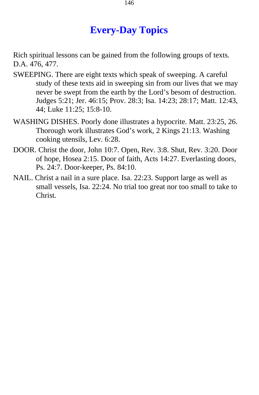# **Every-Day Topics**

Rich spiritual lessons can be gained from the following groups of texts. D.A. 476, 477.

- SWEEPING. There are eight texts which speak of sweeping. A careful study of these texts aid in sweeping sin from our lives that we may never be swept from the earth by the Lord's besom of destruction. Judges 5:21; Jer. 46:15; Prov. 28:3; Isa. 14:23; 28:17; Matt. 12:43, 44; Luke 11:25; 15:8-10.
- WASHING DISHES. Poorly done illustrates a hypocrite. Matt. 23:25, 26. Thorough work illustrates God's work, 2 Kings 21:13. Washing cooking utensils, Lev. 6:28.
- DOOR. Christ the door, John 10:7. Open, Rev. 3:8. Shut, Rev. 3:20. Door of hope, Hosea 2:15. Door of faith, Acts 14:27. Everlasting doors, Ps. 24:7. Door-keeper, Ps. 84:10.
- NAIL. Christ a nail in a sure place. Isa. 22:23. Support large as well as small vessels, Isa. 22:24. No trial too great nor too small to take to Christ.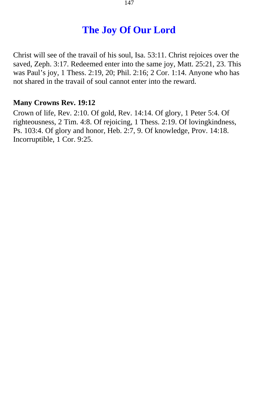# **The Joy Of Our Lord**

Christ will see of the travail of his soul, Isa. 53:11. Christ rejoices over the saved, Zeph. 3:17. Redeemed enter into the same joy, Matt. 25:21, 23. This was Paul's joy, 1 Thess. 2:19, 20; Phil. 2:16; 2 Cor. 1:14. Anyone who has not shared in the travail of soul cannot enter into the reward.

## **Many Crowns Rev. 19:12**

Crown of life, Rev. 2:10. Of gold, Rev. 14:14. Of glory, 1 Peter 5:4. Of righteousness, 2 Tim. 4:8. Of rejoicing, 1 Thess. 2:19. Of lovingkindness, Ps. 103:4. Of glory and honor, Heb. 2:7, 9. Of knowledge, Prov. 14:18. Incorruptible, 1 Cor. 9:25.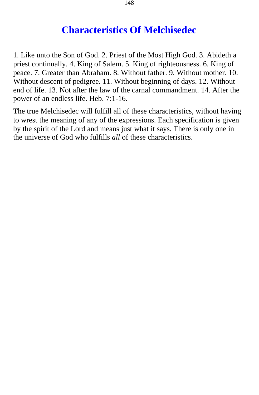# **Characteristics Of Melchisedec**

1. Like unto the Son of God. 2. Priest of the Most High God. 3. Abideth a priest continually. 4. King of Salem. 5. King of righteousness. 6. King of peace. 7. Greater than Abraham. 8. Without father. 9. Without mother. 10. Without descent of pedigree. 11. Without beginning of days. 12. Without end of life. 13. Not after the law of the carnal commandment. 14. After the power of an endless life. Heb. 7:1-16.

The true Melchisedec will fulfill all of these characteristics, without having to wrest the meaning of any of the expressions. Each specification is given by the spirit of the Lord and means just what it says. There is only one in the universe of God who fulfills *all* of these characteristics.